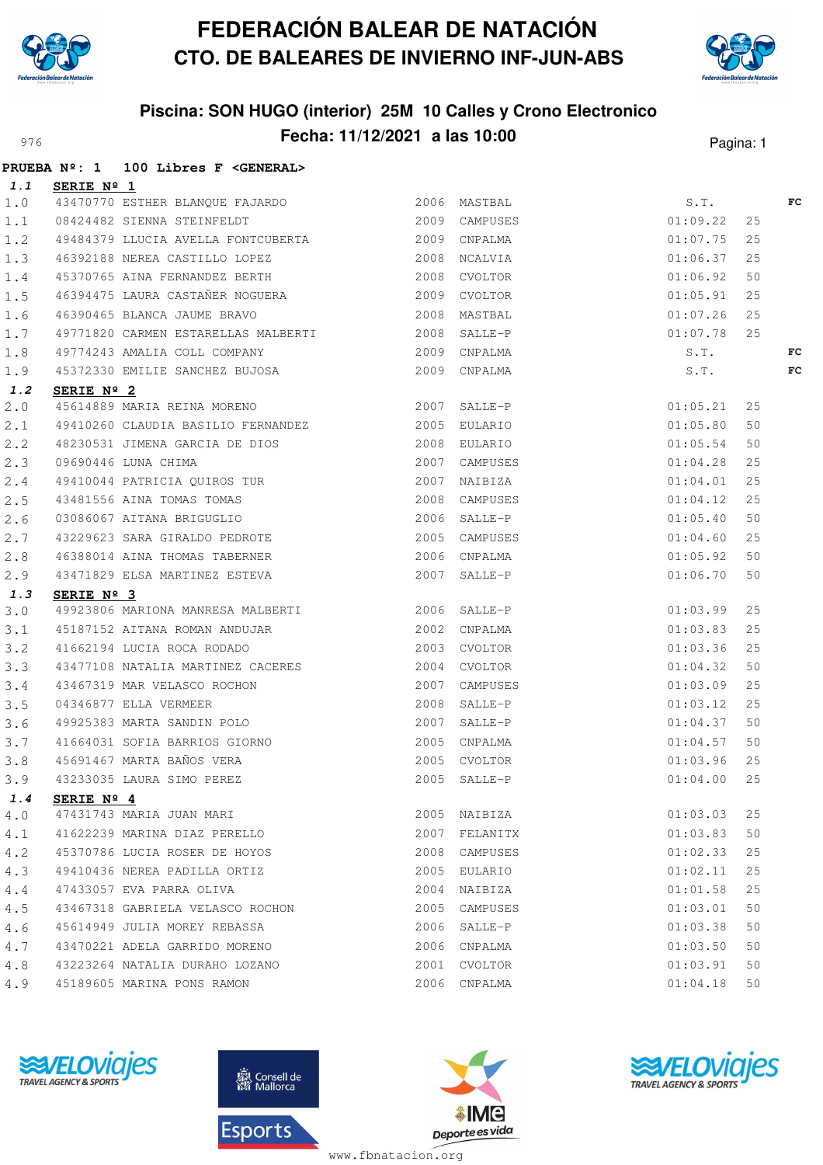



## **Piscina: SON HUGO (interior) 25M 10 Calles y Crono Electronico** Pagina: 11/12/2021 **a las 10:00** Pagina: 1

|     |                     | PRUEBA Nº: 1 100 Libres F <general></general>                                                                                                                       |              |               |               |    |    |
|-----|---------------------|---------------------------------------------------------------------------------------------------------------------------------------------------------------------|--------------|---------------|---------------|----|----|
| 1.1 | <b>SERIE Nº 1</b>   |                                                                                                                                                                     |              |               |               |    |    |
| 1.0 |                     | 43470770 ESTHER BLANQUE FAJARDO 1999 2006 MASTBAL 2006 AMSTBAL 2009 CAMPUSES                                                                                        |              |               | S.T.          |    | FC |
| 1.1 |                     |                                                                                                                                                                     |              |               | 01:09.22      | 25 |    |
| 1.2 |                     | 49484379 LLUCIA AVELLA FONTCUBERTA 2009 CNPALMA                                                                                                                     |              |               | 01:07.75      | 25 |    |
| 1.3 |                     | 46392188 NEREA CASTILLO LOPEZ 2008 NCALVIA                                                                                                                          |              |               | 01:06.37      | 25 |    |
| 1.4 |                     | 45370765 AINA FERNANDEZ BERTH 2008 CVOLTOR                                                                                                                          |              |               | 01:06.92      | 50 |    |
| 1.5 |                     | 46394475 LAURA CASTAÑER NOGUERA 2009 CVOLTOR                                                                                                                        |              |               | 01:05.91      | 25 |    |
| 1.6 |                     | 46390465 BLANCA JAUME BRAVO 2008 MASTBAL                                                                                                                            |              |               | 01:07.26      | 25 |    |
| 1.7 |                     | 49771820 CARMEN ESTARELLAS MALBERTI 2008 SALLE-P                                                                                                                    |              |               | 01:07.78      | 25 |    |
| 1.8 |                     |                                                                                                                                                                     |              |               | S.T.          |    | FC |
| 1.9 |                     | 49774243 AMALIA COLL COMPANY 6 (2009 CNPALMA 45372330 EMILIE SANCHEZ BUJOSA (2009 CNPALMA                                                                           |              |               | S.T.          |    | FC |
| 1.2 | SERIE $N^{\circ}$ 2 |                                                                                                                                                                     |              |               |               |    |    |
| 2.0 |                     |                                                                                                                                                                     |              |               |               | 25 |    |
| 2.1 |                     | 49410260 CLAUDIA BASILIO FERNANDEZ 2005 EULARIO                                                                                                                     |              |               | 01:05.80      | 50 |    |
| 2.2 |                     | 48230531 JIMENA GARCIA DE DIOS<br>2008 EULARIO                                                                                                                      |              |               | 01:05.54      | 50 |    |
| 2.3 |                     |                                                                                                                                                                     |              |               | 01:04.28      | 25 |    |
| 2.4 |                     | 09690446 LUNA CHIMA 2007 CAMPUSES<br>49410044 PATRICIA QUIROS TUR 2007 NAIBIZA<br>43481556 AINA TOMAS TOMAS 2008 CAMPUSES<br>03086067 AITANA BRIGUGLIO 2006 SALLE-P |              |               | 01:04.01      | 25 |    |
| 2.5 |                     |                                                                                                                                                                     |              |               | 01:04.12      | 25 |    |
| 2.6 |                     |                                                                                                                                                                     |              |               | 01:05.40      | 50 |    |
| 2.7 |                     | 43229623 SARA GIRALDO PEDROTE 2005 CAMPUSES                                                                                                                         |              |               | 01:04.60      | 25 |    |
| 2.8 |                     | 46388014 AINA THOMAS TABERNER 2006 CNPALMA                                                                                                                          |              |               | 01:05.92      | 50 |    |
| 2.9 |                     | 43471829 ELSA MARTINEZ ESTEVA 2007 SALLE-P                                                                                                                          |              |               | 01:06.70      | 50 |    |
| 1.3 | SERIE $N^{\circ}$ 3 |                                                                                                                                                                     |              |               |               |    |    |
| 3.0 |                     | 49923806 MARIONA MANRESA MALBERTI 40006 SALLE-P                                                                                                                     |              |               | 01:03.99      | 25 |    |
| 3.1 |                     | 45187152 AITANA ROMAN ANDUJAR 2002 CNPALMA                                                                                                                          |              |               | 01:03.83      | 25 |    |
| 3.2 |                     | 41662194 LUCIA ROCA RODADO                                                                                                                                          | 2003 CVOLTOR |               | 01:03.36      | 25 |    |
| 3.3 |                     | 43477108 NATALIA MARTINEZ CACERES 2004 CVOLTOR                                                                                                                      |              |               | 01:04.32      | 50 |    |
| 3.4 |                     | 43467319 MAR VELASCO ROCHON<br>04346877 ELLA VERMEER<br>49925383 MARTA SANDIN POLO<br>41664031 SOFIA BARDIN POLO<br>41664031 SOFIA BARDIN CLOUD                     |              |               | 01:03.09      | 25 |    |
| 3.5 |                     |                                                                                                                                                                     |              |               | 01:03.12      | 25 |    |
| 3.6 |                     |                                                                                                                                                                     |              |               | 01:04.37      | 50 |    |
| 3.7 |                     | 41664031 SOFIA BARRIOS GIORNO<br>2005 CNPALMA                                                                                                                       |              |               | 01:04.57      | 50 |    |
| 3.8 |                     | 45691467 MARTA BAÑOS VERA<br>45691467 MARTA BAÑOS VERA (2005 CVOLTOR 43233035 LAURA SIMO PEREZ (2005 SALLE-P                                                        |              |               | 01:03.96      | 25 |    |
| 3.9 |                     |                                                                                                                                                                     |              |               | $01:04.00$ 25 |    |    |
| 1.4 | SERIE $N^{\circ}$ 4 |                                                                                                                                                                     |              |               |               |    |    |
| 4.0 |                     | 47431743 MARIA JUAN MARI                                                                                                                                            |              | 2005 NAIBIZA  | 01:03.03      | 25 |    |
| 4.1 |                     | 41622239 MARINA DIAZ PERELLO                                                                                                                                        |              | 2007 FELANITX | 01:03.83      | 50 |    |
| 4.2 |                     | 45370786 LUCIA ROSER DE HOYOS                                                                                                                                       |              | 2008 CAMPUSES | 01:02.33      | 25 |    |
| 4.3 |                     | 49410436 NEREA PADILLA ORTIZ                                                                                                                                        | 2005         | EULARIO       | 01:02.11      | 25 |    |
| 4.4 |                     | 47433057 EVA PARRA OLIVA                                                                                                                                            |              | 2004 NAIBIZA  | 01:01.58      | 25 |    |
| 4.5 |                     | 43467318 GABRIELA VELASCO ROCHON                                                                                                                                    |              | 2005 CAMPUSES | 01:03.01      | 50 |    |
| 4.6 |                     | 45614949 JULIA MOREY REBASSA                                                                                                                                        |              | 2006 SALLE-P  | 01:03.38      | 50 |    |
| 4.7 |                     | 43470221 ADELA GARRIDO MORENO                                                                                                                                       |              | 2006 CNPALMA  | 01:03.50      | 50 |    |
| 4.8 |                     | 43223264 NATALIA DURAHO LOZANO                                                                                                                                      |              | 2001 CVOLTOR  | 01:03.91      | 50 |    |
| 4.9 |                     | 45189605 MARINA PONS RAMON                                                                                                                                          |              | 2006 CNPALMA  | 01:04.18      | 50 |    |







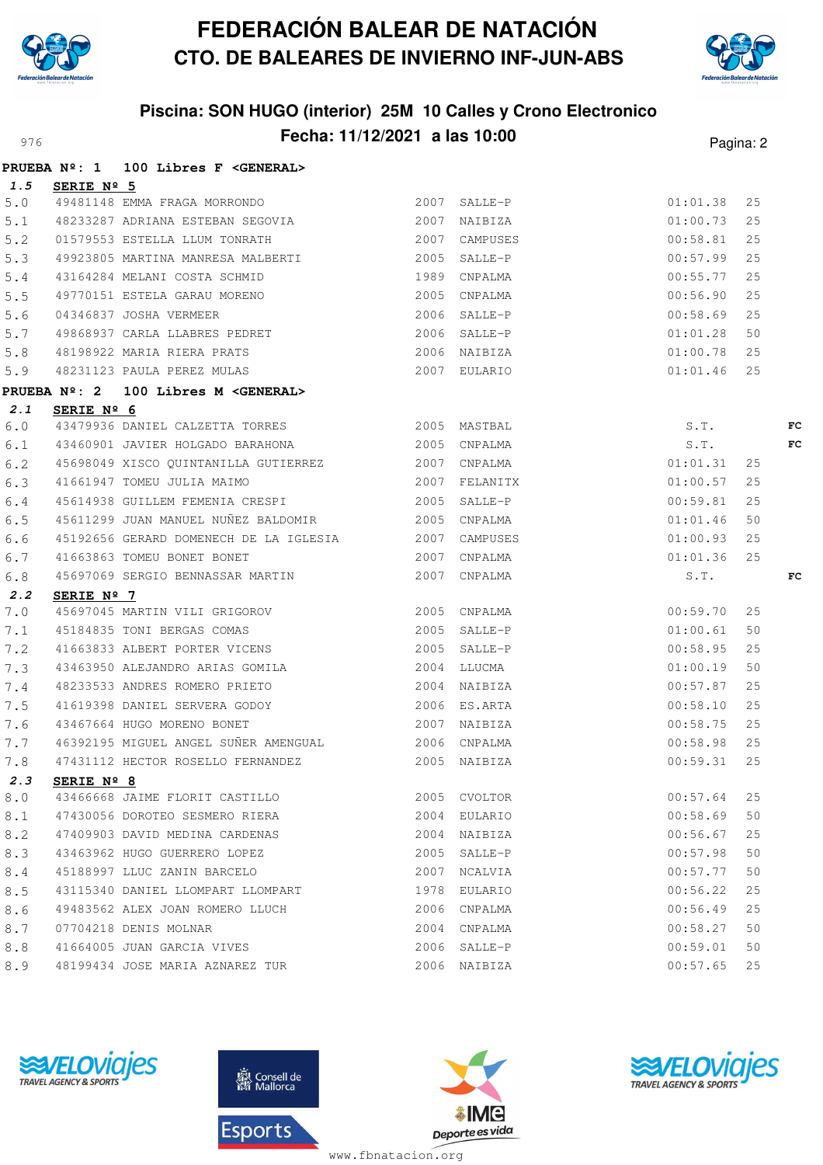



## **Piscina: SON HUGO (interior) 25M 10 Calles y Crono Electronico** Pagina: 2

|     | <b>PRUEBA Nº: 1</b> | 100 Libres F < GENERAL>                                                                         |               |             |    |    |
|-----|---------------------|-------------------------------------------------------------------------------------------------|---------------|-------------|----|----|
| 1.5 | SERIE $N^{\circ}$ 5 |                                                                                                 |               |             |    |    |
| 5.0 |                     | <u>2007</u> SALLE-P<br>49481148 EMMA FRAGA MORRONDO                                             |               | 01:01.38    | 25 |    |
| 5.1 |                     | 48233287 ADRIANA ESTEBAN SEGOVIA (2007 NAIBIZA                                                  |               | 01:00.73    | 25 |    |
| 5.2 |                     | 01579553 ESTELLA LLUM TONRATH                                                                   | 2007 CAMPUSES | 00:58.81    | 25 |    |
| 5.3 |                     |                                                                                                 |               | 00:57.99    | 25 |    |
| 5.4 |                     | 43164284 MELANI COSTA SCHMID 1989 CNPALMA                                                       |               | 00:55.77    | 25 |    |
| 5.5 |                     | 49770151 ESTELA GARAU MORENO 2005 CNPALMA                                                       |               | 00:56.90    | 25 |    |
| 5.6 |                     | 04346837 JOSHA VERMEER 2006 SALLE-P<br>49868937 CARLA LLABRES PEDRET 2006 SALLE-P               |               | 00:58.69    | 25 |    |
| 5.7 |                     |                                                                                                 |               | 01:01.28    | 50 |    |
| 5.8 |                     |                                                                                                 |               | 01:00.78    | 25 |    |
| 5.9 |                     |                                                                                                 |               | 01:01.46    | 25 |    |
|     |                     | PRUEBA Nº: 2 100 Libres M <general></general>                                                   |               |             |    |    |
| 2.1 | SERIE $N^{\circ}$ 6 |                                                                                                 |               |             |    |    |
| 6.0 |                     | 43479936 DANIEL CALZETTA TORRES 2005 MASTBAL                                                    |               | S.T.        |    | FC |
| 6.1 |                     | 43460901 JAVIER HOLGADO BARAHONA 2005 CNPALMA                                                   |               | S.T.        |    | FC |
| 6.2 |                     | 45698049 XISCO QUINTANILLA GUTIERREZ 2007 CNPALMA                                               |               | 01:01.31    | 25 |    |
| 6.3 |                     | 2007 FELANITX<br>41661947 TOMEU JULIA MAIMO                                                     |               | 01:00.57    | 25 |    |
| 6.4 |                     | 45614938 GUILLEM FEMENIA CRESPI 2005 SALLE-P                                                    |               | 00:59.81    | 25 |    |
| 6.5 |                     | 45611299 JUAN MANUEL NUÑEZ BALDOMIR 2005 CNPALMA                                                |               | 01:01.46    | 50 |    |
| 6.6 |                     | 45192656 GERARD DOMENECH DE LA IGLESIA 2007 CAMPUSES                                            |               | $01$ :00.93 | 25 |    |
| 6.7 |                     | 41663863 TOMEU BONET BONET CONFIDENT 2007 CNPALMA                                               |               | 01:01.36    | 25 |    |
| 6.8 |                     | 45697069 SERGIO BENNASSAR MARTIN 2007 CNPALMA                                                   |               | S.T.        |    | FC |
| 2.2 | SERIE Nº 7          |                                                                                                 |               |             |    |    |
| 7.0 |                     | 45697045 MARTIN VILI GRIGOROV 1999 2005 CNPALMA<br>45184835 TONI BERGAS COMAS 1999 2005 SALLE-P |               | 00:59.70    | 25 |    |
| 7.1 |                     |                                                                                                 |               | 01:00.61    | 50 |    |
| 7.2 |                     | 41663833 ALBERT PORTER VICENS 2005 SALLE-P                                                      |               | 00:58.95    | 25 |    |
| 7.3 |                     | 43463950 ALEJANDRO ARIAS GOMILA 2004 LLUCMA                                                     |               | 01:00.19    | 50 |    |
| 7.4 |                     | 48233533 ANDRES ROMERO PRIETO                                                                   | 2004 NAIBIZA  | 00:57.87    | 25 |    |
| 7.5 |                     | 41619398 DANIEL SERVERA GODOY 2006 ES.ARTA                                                      |               | 00:58.10    | 25 |    |
| 7.6 |                     | 43467664 HUGO MORENO BONET 2007 NAIBIZA                                                         |               | 00:58.75    | 25 |    |
| 7.7 |                     | 46392195 MIGUEL ANGEL SUÑER AMENGUAL 6392195 CNPALMA                                            |               | 00:58.98    | 25 |    |
| 7.8 |                     | 47431112 HECTOR ROSELLO FERNANDEZ 2005 NAIBIZA                                                  |               | 00:59.31    | 25 |    |
| 2.3 | SERIE Nº 8          |                                                                                                 |               |             |    |    |
| 8.0 |                     | 43466668 JAIME FLORIT CASTILLO                                                                  | 2005 CVOLTOR  | 00:57.64    | 25 |    |
| 8.1 |                     | 47430056 DOROTEO SESMERO RIERA                                                                  | 2004 EULARIO  | 00:58.69    | 50 |    |
| 8.2 |                     | 47409903 DAVID MEDINA CARDENAS                                                                  | 2004 NAIBIZA  | 00:56.67    | 25 |    |
| 8.3 |                     | 43463962 HUGO GUERRERO LOPEZ                                                                    | 2005 SALLE-P  | 00:57.98    | 50 |    |
| 8.4 |                     | 45188997 LLUC ZANIN BARCELO                                                                     | 2007 NCALVIA  | 00:57.77    | 50 |    |
| 8.5 |                     | 43115340 DANIEL LLOMPART LLOMPART                                                               | 1978 EULARIO  | 00:56.22    | 25 |    |
| 8.6 |                     | 49483562 ALEX JOAN ROMERO LLUCH                                                                 | 2006 CNPALMA  | 00:56.49    | 25 |    |
| 8.7 |                     | 07704218 DENIS MOLNAR                                                                           | 2004 CNPALMA  | 00:58.27    | 50 |    |
| 8.8 |                     | 41664005 JUAN GARCIA VIVES                                                                      | 2006 SALLE-P  | 00:59.01    | 50 |    |
| 8.9 |                     | 48199434 JOSE MARIA AZNAREZ TUR                                                                 | 2006 NAIBIZA  | 00:57.65    | 25 |    |







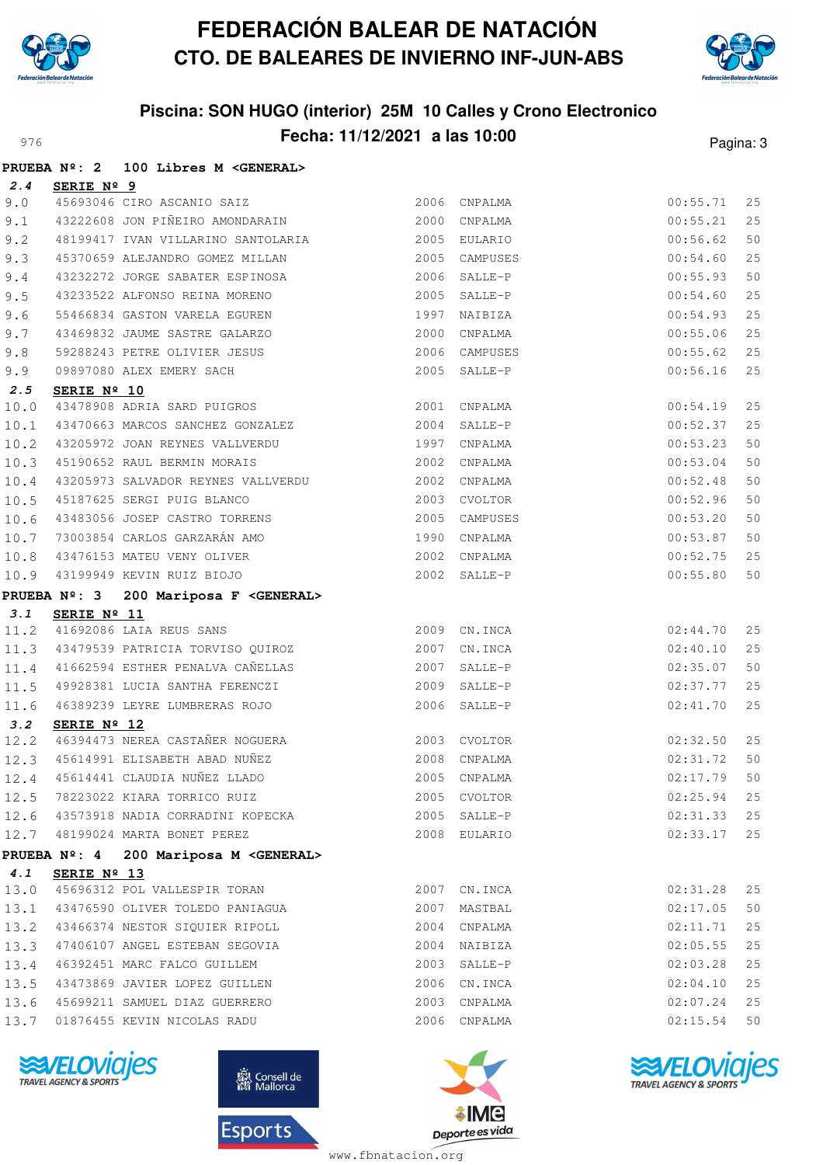



# **Piscina: SON HUGO (interior) 25M 10 Calles y Crono Electronico** Pagina: 3

|      |             | PRUEBA Nº: 2 100 Libres M <general></general>                                        |               |               |          |    |
|------|-------------|--------------------------------------------------------------------------------------|---------------|---------------|----------|----|
| 2.4  | SERIE Nº 9  |                                                                                      |               |               |          |    |
| 9.0  |             |                                                                                      |               |               | 00:55.71 | 25 |
| 9.1  |             |                                                                                      |               |               | 00:55.21 | 25 |
| 9.2  |             |                                                                                      |               |               | 00:56.62 | 50 |
| 9.3  |             | 45370659 ALEJANDRO GOMEZ MILLAN                                                      | 2005 CAMPUSES |               | 00:54.60 | 25 |
| 9.4  |             | 43232272 JORGE SABATER ESPINOSA 2006 SALLE-P                                         |               |               | 00:55.93 | 50 |
| 9.5  |             | 43233522 ALFONSO REINA MORENO 2005 SALLE-P                                           |               |               | 00:54.60 | 25 |
| 9.6  |             | 55466834 GASTON VARELA EGUREN 1997 NAIBIZA                                           |               |               | 00:54.93 | 25 |
| 9.7  |             | 43469832 JAUME SASTRE GALARZO                                                        |               | 2000 CNPALMA  | 00:55.06 | 25 |
| 9.8  |             |                                                                                      |               | 2006 CAMPUSES | 00:55.62 | 25 |
| 9.9  |             | 59288243 PETRE OLIVIER JESUS<br>09897080 ALEX EMERY SACH<br>09897080 ALEX EMERY SACH |               | 2005 SALLE-P  | 00:56.16 | 25 |
| 2.5  | SERIE Nº 10 |                                                                                      |               |               |          |    |
| 10.0 |             | 43478908 ADRIA SARD PUIGROS 2001 CNPALMA                                             |               |               | 00:54.19 | 25 |
| 10.1 |             | 43470663 MARCOS SANCHEZ GONZALEZ 2004 SALLE-P                                        |               |               | 00:52.37 | 25 |
| 10.2 |             | 43205972 JOAN REYNES VALLVERDU                                                       | 1997 CNPALMA  |               | 00:53.23 | 50 |
|      |             | 10.3 45190652 RAUL BERMIN MORAIS 2002 CNPALMA                                        |               |               | 00:53.04 | 50 |
|      |             | 10.4 43205973 SALVADOR REYNES VALLVERDU 2002                                         |               | CNPALMA       | 00:52.48 | 50 |
| 10.5 |             | 45187625 SERGI PUIG BLANCO                                                           |               | 2003 CVOLTOR  | 00:52.96 | 50 |
|      |             |                                                                                      |               |               | 00:53.20 | 50 |
|      |             |                                                                                      |               |               | 00:53.87 | 50 |
|      |             |                                                                                      |               |               | 00:52.75 | 25 |
|      |             |                                                                                      |               |               | 00:55.80 | 50 |
|      |             | PRUEBA Nº: 3 200 Mariposa F <general></general>                                      |               |               |          |    |
| 3.1  | SERIE Nº 11 |                                                                                      |               |               |          |    |
|      |             | 11.2 41692086 LAIA REUS SANS 2009 CN.INCA                                            |               |               | 02:44.70 | 25 |
|      |             | 11.3 43479539 PATRICIA TORVISO QUIROZ 2007 CN.INCA                                   |               |               | 02:40.10 | 25 |
|      |             | 11.4 41662594 ESTHER PENALVA CAÑELLAS                                                | 2007 SALLE-P  |               | 02:35.07 | 50 |
| 11.5 |             | 49928381 LUCIA SANTHA FERENCZI 2009 SALLE-P                                          |               |               | 02:37.77 | 25 |
| 11.6 |             | 46389239 LEYRE LUMBRERAS ROJO                                                        |               | 2006 SALLE-P  | 02:41.70 | 25 |
| 3.2  | SERIE Nº 12 |                                                                                      |               |               |          |    |
|      |             | 12.2 46394473 NEREA CASTAÑER NOGUERA 2003 CVOLTOR                                    |               |               | 02:32.50 | 25 |
|      |             | 12.3 45614991 ELISABETH ABAD NUÑEZ<br>12.4 45614441 CLAUDIA NUÑEZ LLADO              | 2008 CNPALMA  |               | 02:31.72 | 50 |
| 12.4 |             |                                                                                      |               | 2005 CNPALMA  | 02:17.79 | 50 |
|      |             | 12.5 78223022 KIARA TORRICO RUIZ                                                     |               | 2005 CVOLTOR  | 02:25.94 | 25 |
|      |             | 12.6 43573918 NADIA CORRADINI KOPECKA                                                |               | 2005 SALLE-P  | 02:31.33 | 25 |
|      |             | 12.7 48199024 MARTA BONET PEREZ                                                      |               | 2008 EULARIO  | 02:33.17 | 25 |
|      |             | PRUEBA Nº: 4 200 Mariposa M <general></general>                                      |               |               |          |    |
| 4.1  | SERIE Nº 13 |                                                                                      |               |               |          |    |
|      |             | 13.0 45696312 POL VALLESPIR TORAN                                                    | 2007          | CN.INCA       | 02:31.28 | 25 |
|      |             | 13.1 43476590 OLIVER TOLEDO PANIAGUA                                                 |               | 2007 MASTBAL  | 02:17.05 | 50 |
|      |             | 13.2 43466374 NESTOR SIQUIER RIPOLL                                                  |               | 2004 CNPALMA  | 02:11.71 | 25 |
|      |             | 13.3 47406107 ANGEL ESTEBAN SEGOVIA                                                  |               | 2004 NAIBIZA  | 02:05.55 | 25 |
|      |             | 13.4 46392451 MARC FALCO GUILLEM                                                     |               | 2003 SALLE-P  | 02:03.28 | 25 |
|      |             | 13.5 43473869 JAVIER LOPEZ GUILLEN                                                   |               | 2006 CN.INCA  | 02:04.10 | 25 |
| 13.6 |             | 45699211 SAMUEL DIAZ GUERRERO                                                        |               | 2003 CNPALMA  | 02:07.24 | 25 |
| 13.7 |             | 01876455 KEVIN NICOLAS RADU                                                          |               | 2006 CNPALMA  | 02:15.54 | 50 |







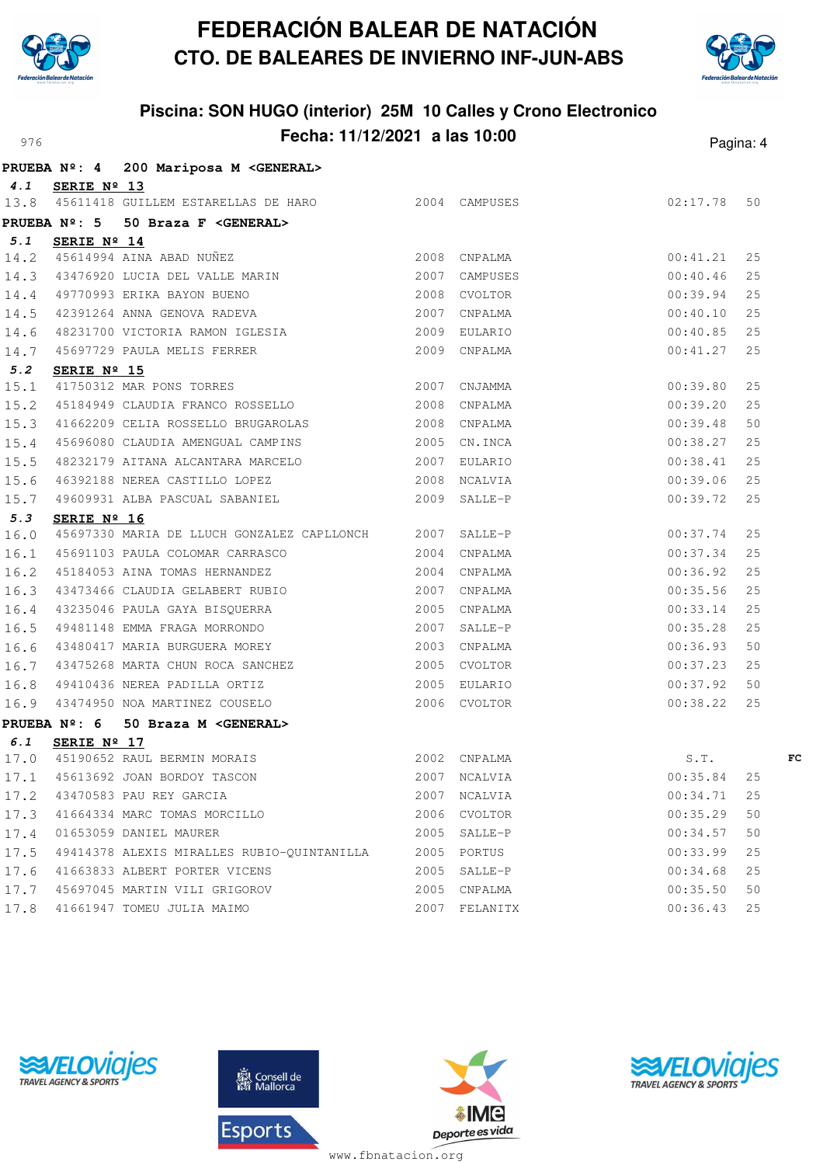



### **Piscina: SON HUGO (interior) 25M 10 Calles y Crono Electronico** Pagina: 4

|      |                     | PRUEBA Nº: 4 200 Mariposa M <general></general>                                                                                             |               |          |    |
|------|---------------------|---------------------------------------------------------------------------------------------------------------------------------------------|---------------|----------|----|
| 4.1  | SERIE Nº 13         |                                                                                                                                             |               |          |    |
| 13.8 |                     | 45611418 GUILLEM ESTARELLAS DE HARO 2004 CAMPUSES                                                                                           |               | 02:17.78 | 50 |
|      | <b>PRUEBA Nº: 5</b> | 50 Braza F <general></general>                                                                                                              |               |          |    |
| 5.1  | SERIE Nº 14         |                                                                                                                                             |               |          |    |
|      |                     | 5.1 SERIE Nº 14<br>14.2 45614994 AINA ABAD NUÑEZ 2008 CNPALMA<br>14.3 43476920 LUCIA DEL VALLE MARIN 2007 CAMPUSES                          |               | 00:41.21 | 25 |
|      |                     |                                                                                                                                             |               | 00:40.46 | 25 |
| 14.4 |                     |                                                                                                                                             |               | 00:39.94 | 25 |
| 14.5 |                     |                                                                                                                                             | CNPALMA       | 00:40.10 | 25 |
|      |                     |                                                                                                                                             |               | 00:40.85 | 25 |
|      |                     | 14.6 48231700 VICTORIA RAMON IGLESIA (2009 EULARIO)<br>14.7 45697729 PAULA MELIS FERRER (2009 CNPALMA)                                      |               | 00:41.27 | 25 |
| 5.2  | SERIE Nº 15         | SERIE Nº 15<br>41750312 MAR PONS TORRES 2007 CNJAMMA                                                                                        |               |          |    |
| 15.1 |                     |                                                                                                                                             |               | 00:39.80 | 25 |
| 15.2 |                     | 45184949 CLAUDIA FRANCO ROSSELLO 2008                                                                                                       | CNPALMA       | 00:39.20 | 25 |
| 15.3 |                     | 41662209 CELIA ROSSELLO BRUGAROLAS 2008 CNPALMA                                                                                             |               | 00:39.48 | 50 |
| 15.4 |                     | 45696080 CLAUDIA AMENGUAL CAMPINS 2005 CN.INCA                                                                                              |               | 00:38.27 | 25 |
| 15.5 |                     | 48232179 AITANA ALCANTARA MARCELO 2007                                                                                                      | EULARIO       | 00:38.41 | 25 |
| 15.6 |                     |                                                                                                                                             |               | 00:39.06 | 25 |
| 15.7 |                     |                                                                                                                                             |               | 00:39.72 | 25 |
| 5.3  | SERIE Nº 16         |                                                                                                                                             |               |          |    |
| 16.0 |                     | 45697330 MARIA DE LLUCH GONZALEZ CAPLLONCH 2007 SALLE-P                                                                                     |               | 00:37.74 | 25 |
| 16.1 |                     | 45691103 PAULA COLOMAR CARRASCO 2004 CNPALMA                                                                                                |               | 00:37.34 | 25 |
| 16.2 |                     | 45184053 AINA TOMAS HERNANDEZ 2004 CNPALMA                                                                                                  |               | 00:36.92 | 25 |
| 16.3 |                     | 43473466 CLAUDIA GELABERT RUBIO 2007 CNPALMA                                                                                                |               | 00:35.56 | 25 |
| 16.4 |                     | 43235046 PAULA GAYA BISQUERRA 2005 CNPALMA                                                                                                  |               | 00:33.14 | 25 |
| 16.5 |                     | 49481148 EMMA FRAGA MORRONDO 2007                                                                                                           | SALLE-P       | 00:35.28 | 25 |
| 16.6 |                     | 43480417 MARIA BURGUERA MOREY<br>2003 CNPALMA                                                                                               |               | 00:36.93 | 50 |
| 16.7 |                     | 43475268 MARTA CHUN ROCA SANCHEZ 2005 CVOLTOR                                                                                               |               | 00:37.23 | 25 |
| 16.8 |                     | 2005 EULARIO<br>49410436 NEREA PADILLA ORTIZ                                                                                                |               | 00:37.92 | 50 |
|      |                     | 16.9 43474950 NOA MARTINEZ COUSELO 2006 CVOLTOR                                                                                             |               | 00:38.22 | 25 |
|      |                     | PRUEBA Nº: 6 50 Braza M <general></general>                                                                                                 |               |          |    |
| 6.1  | SERIE Nº 17         |                                                                                                                                             |               |          |    |
|      |                     | 17.0 45190652 RAUL BERMIN MORAIS 6.T.<br>17.1 45613692 JOAN BORDOY TASCON 17.1 45613692 JOAN BORDOY TASCON 1888 1888 1890 1890 2007 NCALVIA |               |          | FC |
|      |                     |                                                                                                                                             |               |          |    |
|      |                     | 17.2 43470583 PAU REY GARCIA                                                                                                                | 2007 NCALVIA  | 00:34.71 | 25 |
|      |                     | 17.3 41664334 MARC TOMAS MORCILLO                                                                                                           | 2006 CVOLTOR  | 00:35.29 | 50 |
| 17.4 |                     | 01653059 DANIEL MAURER                                                                                                                      | 2005 SALLE-P  | 00:34.57 | 50 |
| 17.5 |                     | 49414378 ALEXIS MIRALLES RUBIO-QUINTANILLA                                                                                                  | 2005 PORTUS   | 00:33.99 | 25 |
| 17.6 |                     | 41663833 ALBERT PORTER VICENS                                                                                                               | 2005 SALLE-P  | 00:34.68 | 25 |
| 17.7 |                     | 45697045 MARTIN VILI GRIGOROV                                                                                                               | 2005 CNPALMA  | 00:35.50 | 50 |
| 17.8 |                     | 41661947 TOMEU JULIA MAIMO                                                                                                                  | 2007 FELANITX | 00:36.43 | 25 |







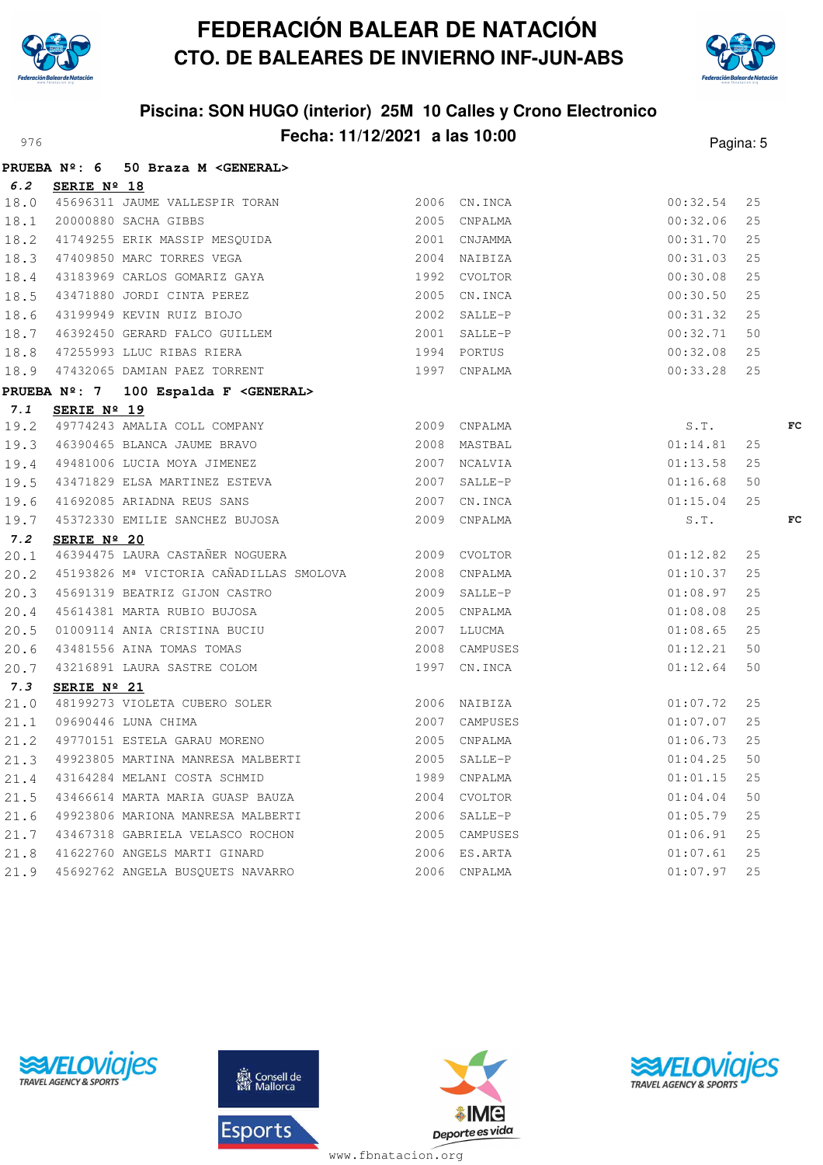



## **Piscina: SON HUGO (interior) 25M 10 Calles y Crono Electronico** Pagina: 5

|     |                      | PRUEBA Nº: 6 50 Braza M <general></general>                                                                                                                                                                                                      |              |                |          |    |    |
|-----|----------------------|--------------------------------------------------------------------------------------------------------------------------------------------------------------------------------------------------------------------------------------------------|--------------|----------------|----------|----|----|
|     | 6.2 SERIE Nº 18      |                                                                                                                                                                                                                                                  |              |                |          |    |    |
|     |                      | 18.0 45696311 JAUME VALLESPIR TORAN 2006 CN.INCA                                                                                                                                                                                                 |              |                | 00:32.54 | 25 |    |
|     |                      |                                                                                                                                                                                                                                                  |              |                | 00:32.06 | 25 |    |
|     |                      | 18.1 20000880 SACHA GIBBS<br>18.2 41749255 ERIK MASSIP MESQUIDA 2001 CNJAMMA                                                                                                                                                                     |              |                | 00:31.70 | 25 |    |
|     |                      |                                                                                                                                                                                                                                                  |              | $2004$ NAIBIZA | 00:31.03 | 25 |    |
|     |                      |                                                                                                                                                                                                                                                  | 1992 CVOLTOR |                | 00:30.08 | 25 |    |
|     |                      |                                                                                                                                                                                                                                                  |              | 2005 CN.INCA   | 00:30.50 | 25 |    |
|     |                      |                                                                                                                                                                                                                                                  |              | 2002 SALLE-P   | 00:31.32 | 25 |    |
|     |                      |                                                                                                                                                                                                                                                  |              | 2001 SALLE-P   | 00:32.71 | 50 |    |
|     |                      |                                                                                                                                                                                                                                                  |              | 1994 PORTUS    | 00:32.08 | 25 |    |
|     |                      | 18.3 47409850 MARC TORRES VEGA<br>18.4 43183969 CARLOS GOMARIZ GAYA<br>18.5 43471880 JORDI CINTA PEREZ<br>18.6 43199949 KEVIN RUIZ BIOJO<br>18.7 46392450 GERARD FALCO GUILLEM<br>18.8 47255993 LLUC RIBAS RIERA<br>18.9 47432065 DAMIAN PAEZ TO |              | 1997 CNPALMA   | 00:33.28 | 25 |    |
|     |                      | PRUEBA Nº: 7 100 Espalda F <general></general>                                                                                                                                                                                                   |              |                |          |    |    |
| 7.1 | SERIE Nº 19          |                                                                                                                                                                                                                                                  |              |                |          |    |    |
|     |                      | 7.1 SERIE Nº 19<br>19.2 49774243 AMALIA COLL COMPANY 2009 CNPALMA                                                                                                                                                                                |              |                | S.T.     |    | FC |
|     |                      | 19.3 46390465 BLANCA JAUME BRAVO 2008 MASTBAL                                                                                                                                                                                                    |              |                | 01:14.81 | 25 |    |
|     |                      | 19.4 49481006 LUCIA MOYA JIMENEZ 2007 NCALVIA                                                                                                                                                                                                    |              |                | 01:13.58 | 25 |    |
|     |                      | 19.5 43471829 ELSA MARTINEZ ESTEVA 2007 SALLE-P                                                                                                                                                                                                  |              |                | 01:16.68 | 50 |    |
|     |                      | 19.6 41692085 ARIADNA REUS SANS                                                                                                                                                                                                                  |              | 2007 CN. INCA  | 01:15.04 | 25 |    |
|     |                      | 19.7 45372330 EMILIE SANCHEZ BUJOSA 2009 CNPALMA                                                                                                                                                                                                 |              |                | S.T.     |    | FC |
| 7.2 | SERIE Nº 20          |                                                                                                                                                                                                                                                  |              |                |          |    |    |
|     |                      | 7.2 SERIE Nº ZU<br>20.1 46394475 LAURA CASTAÑER NOGUERA 2009 CVOLTOR                                                                                                                                                                             |              |                | 01:12.82 | 25 |    |
|     |                      | 20.2 45193826 Mª VICTORIA CAÑADILLAS SMOLOVA 2008 CNPALMA                                                                                                                                                                                        |              |                | 01:10.37 | 25 |    |
|     |                      | 20.3 45691319 BEATRIZ GIJON CASTRO 2009 SALLE-P<br>20.4 45614381 MARTA RUBIO BUJOSA 2005 CNPALMA<br>20.5 01009114 ANIA CRISTINA BUCIU 2007 LLUCMA<br>20.6 43481556 AINA TOMAS TOMAS 2008 CAMPUSES<br>20.7 43216891 LAURA SASTRE COLOM            |              |                | 01:08.97 | 25 |    |
|     |                      |                                                                                                                                                                                                                                                  |              |                | 01:08.08 | 25 |    |
|     |                      |                                                                                                                                                                                                                                                  |              |                | 01:08.65 | 25 |    |
|     |                      |                                                                                                                                                                                                                                                  |              | 2008 CAMPUSES  | 01:12.21 | 50 |    |
|     |                      |                                                                                                                                                                                                                                                  |              |                | 01:12.64 | 50 |    |
| 7.3 | SERIE $N^{\circ}$ 21 |                                                                                                                                                                                                                                                  |              |                |          |    |    |
|     |                      | 21.0 48199273 VIOLETA CUBERO SOLER 2006 NAIBIZA<br>21.1 09690446 LUNA CHIMA 2007 CAMPUSES                                                                                                                                                        |              |                | 01:07.72 | 25 |    |
|     |                      |                                                                                                                                                                                                                                                  |              |                | 01:07.07 | 25 |    |
|     |                      |                                                                                                                                                                                                                                                  |              |                | 01:06.73 | 25 |    |
|     |                      | 21.3 49923805 MARTINA MANRESA MALBERTI 2005 SALLE-P                                                                                                                                                                                              |              |                | 01:04.25 | 50 |    |
|     |                      | 21.4 43164284 MELANI COSTA SCHMID                                                                                                                                                                                                                |              | 1989 CNPALMA   | 01:01.15 | 25 |    |
|     |                      | 21.5 43466614 MARTA MARIA GUASP BAUZA 2004 CVOLTOR                                                                                                                                                                                               |              |                | 01:04.04 | 50 |    |
|     |                      | 21.6 49923806 MARIONA MANRESA MALBERTI 2006 SALLE-P                                                                                                                                                                                              |              |                | 01:05.79 | 25 |    |
|     |                      | 21.7 43467318 GABRIELA VELASCO ROCHON 2005 CAMPUSES                                                                                                                                                                                              |              |                | 01:06.91 | 25 |    |
|     |                      |                                                                                                                                                                                                                                                  |              |                | 01:07.61 | 25 |    |
|     |                      | 21.9 45692762 ANGELA BUSQUETS NAVARRO                                                                                                                                                                                                            |              | 2006 CNPALMA   | 01:07.97 | 25 |    |





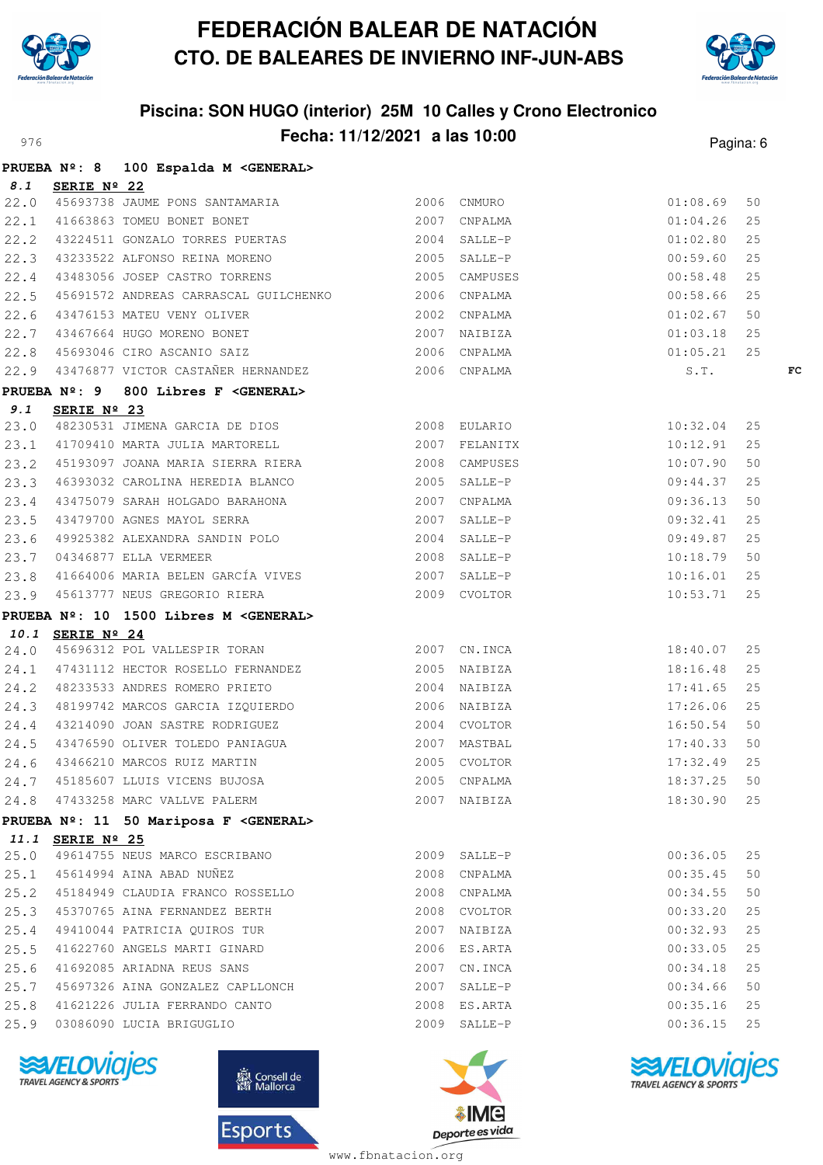



## **Piscina: SON HUGO (interior) 25M 10 Calles y Crono Electronico** Pagina: 6 **Fecha: 11/12/2021 a las 10:00** Pagina: 6

|      |                  | PRUEBA Nº: 8 100 Espalda M <general></general>                                                                                                                                                                                                  |              |               |    |
|------|------------------|-------------------------------------------------------------------------------------------------------------------------------------------------------------------------------------------------------------------------------------------------|--------------|---------------|----|
|      | 8.1 SERIE Nº 22  |                                                                                                                                                                                                                                                 |              |               |    |
|      |                  | 22.0 45693738 JAUME PONS SANTAMARIA<br>22.0 45693738 JAUME PONS SANTAMARIA 2006 CNMURO 2007 COMPALMA 01:08.69                                                                                                                                   |              |               | 50 |
|      |                  |                                                                                                                                                                                                                                                 |              |               | 25 |
|      |                  | 22.2 43224511 GONZALO TORRES PUERTAS 2004 SALLE-P 01:02.80                                                                                                                                                                                      |              |               | 25 |
|      |                  |                                                                                                                                                                                                                                                 |              |               |    |
|      |                  | 22.3 13233522 ALFONSO REINA MORENO<br>22.3 13233522 ALFONSO REINA MORENO<br>2005 CAMPUSES 00:58.48 25                                                                                                                                           |              |               |    |
|      |                  | 22.5 45691572 ANDREAS CARRASCAL GUILCHENKO 2006 CNPALMA 60:58.66                                                                                                                                                                                |              |               | 25 |
|      |                  |                                                                                                                                                                                                                                                 |              |               |    |
|      |                  |                                                                                                                                                                                                                                                 |              |               |    |
|      |                  |                                                                                                                                                                                                                                                 |              |               |    |
|      |                  | 22.6 43476153 MATEU VENY OLIVER<br>22.7 43467664 HUGO MORENO BONET<br>22.8 45693046 CIRO ASCANIO SAIZ<br>22.9 43476877 VICTOR CASTAÑER HERNANDEZ<br>22.9 43476877 VICTOR CASTAÑER HERNANDEZ<br>2006 CNPALMA<br>2006 CNPALMA<br>2006 CNPALMA<br> |              |               | FC |
|      |                  | PRUEBA Nº: 9 800 Libres F <general></general>                                                                                                                                                                                                   |              |               |    |
|      | 9.1 SERIE Nº 23  |                                                                                                                                                                                                                                                 |              |               |    |
|      |                  | 9.1 SERIE Nº 23<br>23.0 48230531 JIMENA GARCIA DE DIOS<br>23.1 41709410 MARTA JULIA MARTORELL 2007 FELANITX 10:12.91                                                                                                                            |              |               | 25 |
|      |                  |                                                                                                                                                                                                                                                 |              |               | 25 |
|      |                  | 23.2 45193097 JOANA MARIA SIERRA RIERA 2008 CAMPUSES                                                                                                                                                                                            |              | 10:07.90      | 50 |
|      |                  | 23.3 46393032 CAROLINA HEREDIA BLANCO 2005 SALLE-P                                                                                                                                                                                              |              | $09:44.37$ 25 |    |
|      |                  |                                                                                                                                                                                                                                                 |              |               |    |
|      |                  |                                                                                                                                                                                                                                                 |              |               |    |
|      |                  | 23.3 48393032 CAROLINA REREDIA BLANCO<br>23.4 43475079 SARAH HOLGADO BARAHONA<br>23.5 43479700 AGNES MAYOL SERRA<br>23.6 49925382 ALEXANDRA SANDIN POLO<br>23.7 04346877 ELLA VERMEER<br>23.7 04346877 ELLA VERMEER<br>23.8 41664006 MARIA      |              |               |    |
|      |                  |                                                                                                                                                                                                                                                 |              |               |    |
|      |                  |                                                                                                                                                                                                                                                 |              |               |    |
|      |                  | 23.9 45613777 NEUS GREGORIO RIERA 2009 CVOLTOR                                                                                                                                                                                                  |              | 10:53.71      | 25 |
|      |                  | PRUEBA Nº: 10 1500 Libres M <general></general>                                                                                                                                                                                                 |              |               |    |
|      | 10.1 SERIE Nº 24 |                                                                                                                                                                                                                                                 |              |               |    |
|      |                  | 10.1 SERIE Nº 24<br>24.0 45696312 POL VALLESPIR TORAN 2007 2007 CN.INCA 18:40.07 25<br>24.1 47431112 HECTOR ROSELLO FERNANDEZ 2005 NAIBIZA 18:16.48 25                                                                                          |              |               |    |
|      |                  |                                                                                                                                                                                                                                                 |              |               |    |
|      |                  | 24.2 48233533 ANDRES ROMERO PRIETO 2004 NAIBIZA                                                                                                                                                                                                 |              | 17:41.65      | 25 |
|      |                  |                                                                                                                                                                                                                                                 |              | 17:26.06 25   |    |
|      |                  |                                                                                                                                                                                                                                                 |              | 16:50.54 50   |    |
|      |                  | 24.5 43476590 OLIVER TOLEDO PANIAGUA 2007 MASTBAL 17:40.33                                                                                                                                                                                      |              |               | 50 |
|      |                  | 24.6 43466210 MARCOS RUIZ MARTIN 2005 CVOLTOR<br>2005 CVOLTOR                                                                                                                                                                                   |              | 17:32.49      | 25 |
|      |                  | 24.7 45185607 LLUIS VICENS BUJOSA 2005 CNPALMA 2005 CNPALMA 18:37.25 50                                                                                                                                                                         |              |               |    |
|      |                  | 24.8 47433258 MARC VALLVE PALERM                                                                                                                                                                                                                | 2007 NAIBIZA | 18:30.90      | 25 |
|      |                  | PRUEBA Nº: 11 50 Mariposa F <general></general>                                                                                                                                                                                                 |              |               |    |
|      | 11.1 SERIE Nº 25 |                                                                                                                                                                                                                                                 |              |               |    |
|      |                  | 25.0 49614755 NEUS MARCO ESCRIBANO                                                                                                                                                                                                              | 2009 SALLE-P | 00:36.05      | 25 |
|      |                  | 25.1 45614994 AINA ABAD NUÑEZ                                                                                                                                                                                                                   | 2008 CNPALMA | 00:35.45      | 50 |
|      |                  | 25.2 45184949 CLAUDIA FRANCO ROSSELLO                                                                                                                                                                                                           | 2008 CNPALMA | 00:34.55      | 50 |
|      |                  | 25.3 45370765 AINA FERNANDEZ BERTH                                                                                                                                                                                                              | 2008 CVOLTOR | 00:33.20      | 25 |
|      |                  | 25.4 49410044 PATRICIA QUIROS TUR                                                                                                                                                                                                               | 2007 NAIBIZA | $00:32.93$ 25 |    |
|      |                  | 25.5 41622760 ANGELS MARTI GINARD                                                                                                                                                                                                               | 2006 ES.ARTA | $00:33.05$ 25 |    |
| 25.6 |                  | 41692085 ARIADNA REUS SANS                                                                                                                                                                                                                      | 2007 CN.INCA | 00:34.18      | 25 |
| 25.7 |                  | 45697326 AINA GONZALEZ CAPLLONCH                                                                                                                                                                                                                | 2007 SALLE-P | 00:34.66      | 50 |
| 25.8 |                  | 41621226 JULIA FERRANDO CANTO                                                                                                                                                                                                                   | 2008 ES.ARTA | 00:35.16      | 25 |
| 25.9 |                  | 03086090 LUCIA BRIGUGLIO                                                                                                                                                                                                                        | 2009 SALLE-P | $00:36.15$ 25 |    |
|      |                  |                                                                                                                                                                                                                                                 |              |               |    |







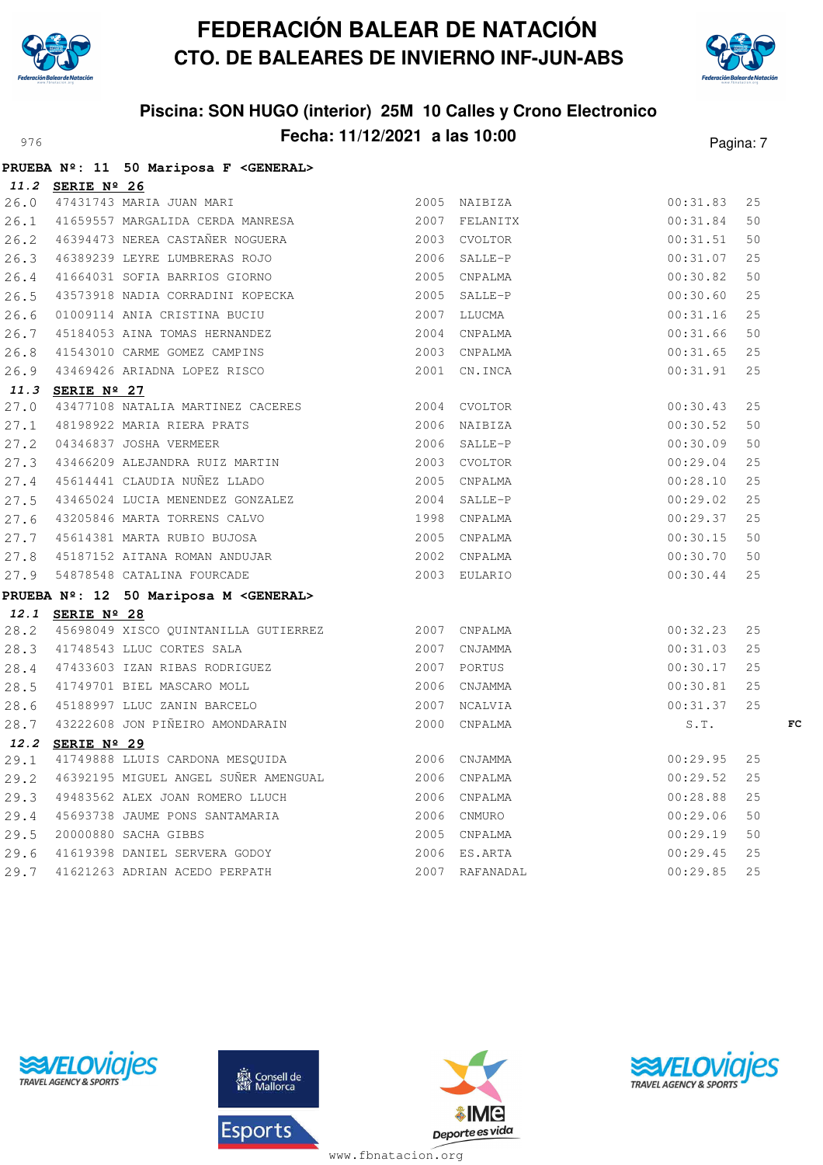

**PRUEBA Nº: 11 50 Mariposa F <GENERAL>**

# **FEDERACIÓN BALEAR DE NATACIÓN CTO. DE BALEARES DE INVIERNO INF-JUN-ABS**



## **Piscina: SON HUGO (interior) 25M 10 Calles y Crono Electronico** Pagina: **Fecha: 11/12/2021 a las 10:00** Pagina: 7

|      |                  | PROEBA Nº: II 30 Mariposa F <general></general>                                                                                                                                                                                           |               |          |     |    |
|------|------------------|-------------------------------------------------------------------------------------------------------------------------------------------------------------------------------------------------------------------------------------------|---------------|----------|-----|----|
|      | 11.2 SERIE Nº 26 |                                                                                                                                                                                                                                           |               |          |     |    |
| 26.0 |                  | 47431743 MARIA JUAN MARI<br>47431743 MARIA JUAN MARI                                                                                                                                                                                      |               | 00:31.83 | 25  |    |
|      |                  | 26.1 41659557 MARGALIDA CERDA MANRESA 2007 FELANITX                                                                                                                                                                                       |               | 00:31.84 | 50  |    |
|      |                  | 26.2 46394473 NEREA CASTAÑER NOGUERA 2003 CVOLTOR                                                                                                                                                                                         |               | 00:31.51 | 50  |    |
| 26.3 |                  | 46389239 LEYRE LUMBRERAS ROJO                                                                                                                                                                                                             | 2006 SALLE-P  | 00:31.07 | 25  |    |
| 26.4 |                  | 41664031 SOFIA BARRIOS GIORNO                                                                                                                                                                                                             | 2005 CNPALMA  | 00:30.82 | 50  |    |
| 26.5 |                  | 43573918 NADIA CORRADINI KOPECKA                                                                                                                                                                                                          | 2005 SALLE-P  | 00:30.60 | 25  |    |
| 26.6 |                  | 01009114 ANIA CRISTINA BUCIU                                                                                                                                                                                                              | 2007 LLUCMA   | 00:31.16 | 25  |    |
| 26.7 |                  | 45184053 AINA TOMAS HERNANDEZ                                                                                                                                                                                                             | 2004 CNPALMA  | 00:31.66 | 50  |    |
| 26.8 |                  | 41543010 CARME GOMEZ CAMPINS                                                                                                                                                                                                              | 2003 CNPALMA  | 00:31.65 | 25  |    |
|      |                  | 26.9 43469426 ARIADNA LOPEZ RISCO                                                                                                                                                                                                         | 2001 CN. INCA | 00:31.91 | 25  |    |
|      | 11.3 SERIE Nº 27 |                                                                                                                                                                                                                                           |               |          |     |    |
|      |                  |                                                                                                                                                                                                                                           |               | 00:30.43 | 25  |    |
|      |                  | 11.3 SERIE Nº 27<br>27.0 43477108 NATALIA MARTINEZ CACERES<br>27.1 48198922 MARIA RIERA PRATS<br>27.2 04346837 JOSHA VERMEER<br>27.2 43466209 ALEJANDRA RUIZ MARTIN<br>27.3 43466209 ALEJANDRA RUIZ MARTIN<br>27.4 45614441 CLAUDIA NUÑEZ |               | 00:30.52 | 50  |    |
|      |                  |                                                                                                                                                                                                                                           |               | 00:30.09 | 50  |    |
|      |                  |                                                                                                                                                                                                                                           |               | 00:29.04 | 25  |    |
|      |                  |                                                                                                                                                                                                                                           |               | 00:28.10 | 25  |    |
|      |                  |                                                                                                                                                                                                                                           |               | 00:29.02 | 25  |    |
|      |                  |                                                                                                                                                                                                                                           |               | 00:29.37 | 25  |    |
|      |                  |                                                                                                                                                                                                                                           |               | 00:30.15 | 50  |    |
|      |                  |                                                                                                                                                                                                                                           |               | 00:30.70 | 50  |    |
|      |                  |                                                                                                                                                                                                                                           |               | 00:30.44 | 25  |    |
|      |                  | PRUEBA Nº: 12 50 Mariposa M <general></general>                                                                                                                                                                                           |               |          |     |    |
|      | 12.1 SERIE Nº 28 |                                                                                                                                                                                                                                           |               |          |     |    |
|      |                  | 28.2 45698049 XISCO QUINTANILLA GUTIERREZ 2007 CNPALMA                                                                                                                                                                                    |               | 00:32.23 | 25  |    |
|      |                  | 2007 CNJAMMA<br>28.3 41748543 LLUC CORTES SALA                                                                                                                                                                                            |               | 00:31.03 | 25  |    |
|      |                  | 28.4 47433603 IZAN RIBAS RODRIGUEZ 2007 PORTUS                                                                                                                                                                                            |               | 00:30.17 | 25  |    |
|      |                  | 28.5 41749701 BIEL MASCARO MOLL                                                                                                                                                                                                           | 2006 CNJAMMA  | 00:30.81 | 25  |    |
|      |                  | 28.6 45188997 LLUC ZANIN BARCELO                                                                                                                                                                                                          | 2007 NCALVIA  | 00:31.37 | 25  |    |
|      |                  | 28.7 43222608 JON PIÑEIRO AMONDARAIN                                                                                                                                                                                                      | 2000 CNPALMA  | S.T.     |     | FC |
|      | 12.2 SERIE Nº 29 |                                                                                                                                                                                                                                           |               |          |     |    |
| 29.1 |                  | 41749888 LLUIS CARDONA MESQUIDA 2006 CNJAMMA                                                                                                                                                                                              |               | 00:29.95 | 25  |    |
|      |                  | 29.2 46392195 MIGUEL ANGEL SUÑER AMENGUAL 2006 CNPALMA                                                                                                                                                                                    |               | 00:29.52 | 25  |    |
|      |                  | 29.3 49483562 ALEX JOAN ROMERO LLUCH 2006 CNPALMA                                                                                                                                                                                         |               | 00:28.88 | 25  |    |
|      |                  | 29.4 45693738 JAUME PONS SANTAMARIA 2006 CNMURO                                                                                                                                                                                           |               | 00:29.06 | 50  |    |
|      |                  | 29.5 20000880 SACHA GIBBS                                                                                                                                                                                                                 |               | 00:29.19 | 50  |    |
| 29.6 |                  |                                                                                                                                                                                                                                           |               | 00:29.45 | 25  |    |
| 29.7 |                  |                                                                                                                                                                                                                                           |               | 00:29.85 | 2.5 |    |





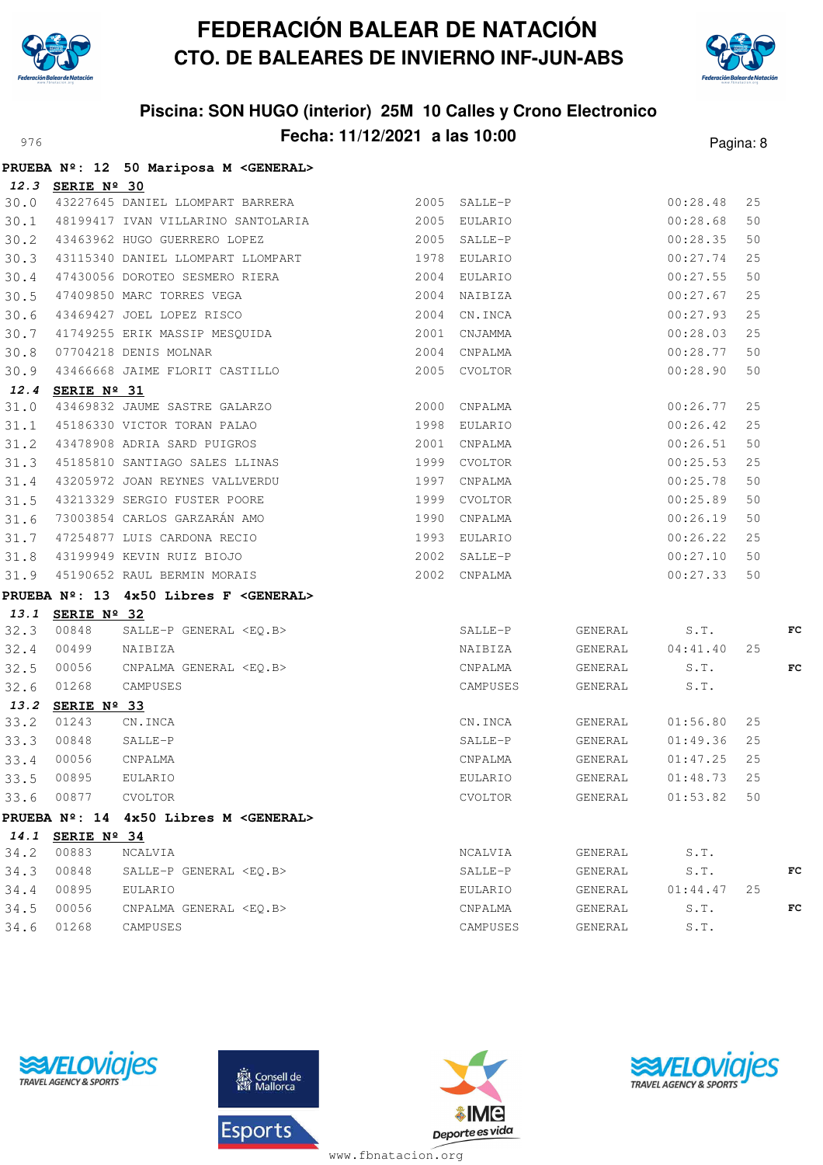



## **Piscina: SON HUGO (interior) 25M 10 Calles y Crono Electronico** Pagina: 8 **Fecha: 11/12/2021 a las 10:00** Pagina: 8

|      |                    | PRUEBA Nº: 12 50 Mariposa M <general></general>                                             |              |              |                             |                  |    |    |
|------|--------------------|---------------------------------------------------------------------------------------------|--------------|--------------|-----------------------------|------------------|----|----|
|      | 12.3 SERIE Nº 30   |                                                                                             |              |              |                             |                  |    |    |
|      |                    | 30.0 43227645 DANIEL LLOMPART BARRERA 2005 SALLE-P                                          |              |              |                             | 00:28.48         | 25 |    |
|      |                    | 30.1 48199417 IVAN VILLARINO SANTOLARIA 62005 EULARIO                                       |              |              |                             | 00:28.68         | 50 |    |
|      |                    | 30.2 43463962 HUGO GUERRERO LOPEZ                                                           |              | 2005 SALLE-P |                             | 00:28.35         | 50 |    |
|      |                    | 30.3 43115340 DANIEL LLOMPART LLOMPART 1978 EULARIO                                         |              |              |                             | $00:27.74$ 25    |    |    |
|      |                    | 30.4 47430056 DOROTEO SESMERO RIERA 2004 EULARIO                                            |              |              |                             | 00:27.55         | 50 |    |
|      |                    |                                                                                             |              |              |                             | 00:27.67         | 25 |    |
|      |                    | 30.5 47409850 MARC TORRES VEGA 2004 NAIBIZA<br>30.6 43469427 JOEL LOPEZ RISCO 2004 CN.INCA  |              |              |                             | 00:27.93         | 25 |    |
|      |                    | 30.7 41749255 ERIK MASSIP MESQUIDA 2001 CNJAMMA                                             |              |              |                             | 00:28.03         | 25 |    |
|      |                    | 30.8 07704218 DENIS MOLNAR 2004 CNPALMA<br>30.9 43466668 JAIME FLORIT CASTILLO 2005 CVOLTOR |              |              |                             | 00:28.77         | 50 |    |
|      |                    |                                                                                             |              |              |                             | 00:28.90         | 50 |    |
|      | 12.4 SERIE Nº 31   |                                                                                             |              |              |                             |                  |    |    |
|      |                    | 31.0 43469832 JAUME SASTRE GALARZO 2000 CNPALMA                                             |              |              |                             | 00:26.77         | 25 |    |
|      |                    | 31.1 45186330 VICTOR TORAN PALAO 1998 EULARIO                                               |              |              |                             | 00:26.42         | 25 |    |
|      |                    | 31.2 43478908 ADRIA SARD PUIGROS 2001 CNPALMA                                               |              |              |                             | 00:26.51         | 50 |    |
|      |                    | 31.3 45185810 SANTIAGO SALES LLINAS 1999 CVOLTOR                                            |              |              |                             | 00:25.53         | 25 |    |
|      |                    | 31.4 43205972 JOAN REYNES VALLVERDU                                                         |              | 1997 CNPALMA |                             | 00:25.78         | 50 |    |
|      |                    | 31.5 43213329 SERGIO FUSTER POORE                                                           | 1999 CVOLTOR |              |                             | 00:25.89         | 50 |    |
|      |                    | 31.6 73003854 CARLOS GARZARÁN AMO                                                           | 1990 CNPALMA |              |                             | 00:26.19         | 50 |    |
|      |                    | 31.7 47254877 LUIS CARDONA RECIO 1993 EULARIO                                               |              |              |                             | 00:26.22         | 25 |    |
|      |                    | 31.8 43199949 KEVIN RUIZ BIOJO                                                              |              | 2002 SALLE-P |                             | 00:27.10         | 50 |    |
|      |                    | 31.9 45190652 RAUL BERMIN MORAIS 2002 CNPALMA                                               |              |              |                             | 00:27.33         | 50 |    |
|      |                    | PRUEBA Nº: 13 4x50 Libres F <general></general>                                             |              |              |                             |                  |    |    |
|      | 13.1 SERIE Nº 32   |                                                                                             |              |              |                             |                  |    |    |
|      | 32.3 00848         |                                                                                             |              | SALLE-P      |                             | GENERAL S.T.     |    | FC |
|      | 32.4 00499         |                                                                                             |              | NAIBIZA      |                             | GENERAL 04:41.40 | 25 |    |
|      | 32.5 00056         |                                                                                             |              | CNPALMA      | GENERAL                     | S.T.             |    | FC |
|      | 32.6 01268         | SALLE-P GENERAL <eq.b><br/>NAIBIZA<br/>CNPALMA GENERAL <eq.b><br/>CAMPUSES</eq.b></eq.b>    |              | CAMPUSES     | GENERAL                     | S.T.             |    |    |
|      | 13.2 SERIE Nº 33   |                                                                                             |              |              |                             |                  |    |    |
|      | 33.2 01243         | CN.INCA                                                                                     |              | CN.INCA      |                             | GENERAL 01:56.80 | 25 |    |
|      | 33.3 00848         | SALLE-P                                                                                     |              | SALLE-P      |                             | GENERAL 01:49.36 | 25 |    |
| 33.4 | 00056              | CNPALMA                                                                                     |              | CNPALMA      | GENERAL                     | 01:47.25         | 25 |    |
|      | 33.5 00895 EULARIO |                                                                                             |              |              | EULARIO GENERAL 01:48.73 25 |                  |    |    |
|      | 33.6 00877         | CVOLTOR                                                                                     |              | CVOLTOR      | GENERAL                     | 01:53.82         | 50 |    |
|      |                    | PRUEBA Nº: 14 4x50 Libres M <general></general>                                             |              |              |                             |                  |    |    |
|      | 14.1 SERIE Nº 34   |                                                                                             |              |              |                             |                  |    |    |
| 34.2 | 00883              | NCALVIA                                                                                     |              | NCALVIA      | GENERAL                     | S.T.             |    |    |
| 34.3 | 00848              | SALLE-P GENERAL <eq.b></eq.b>                                                               |              | SALLE-P      | GENERAL                     | S.T.             |    | FC |
| 34.4 | 00895              | EULARIO                                                                                     |              | EULARIO      | GENERAL                     | 01:44.47         | 25 |    |
| 34.5 | 00056              | CNPALMA GENERAL <eo.b></eo.b>                                                               |              | CNPALMA      | GENERAL                     | S.T.             |    | FC |
| 34.6 | 01268              | CAMPUSES                                                                                    |              | CAMPUSES     | GENERAL                     | S.T.             |    |    |





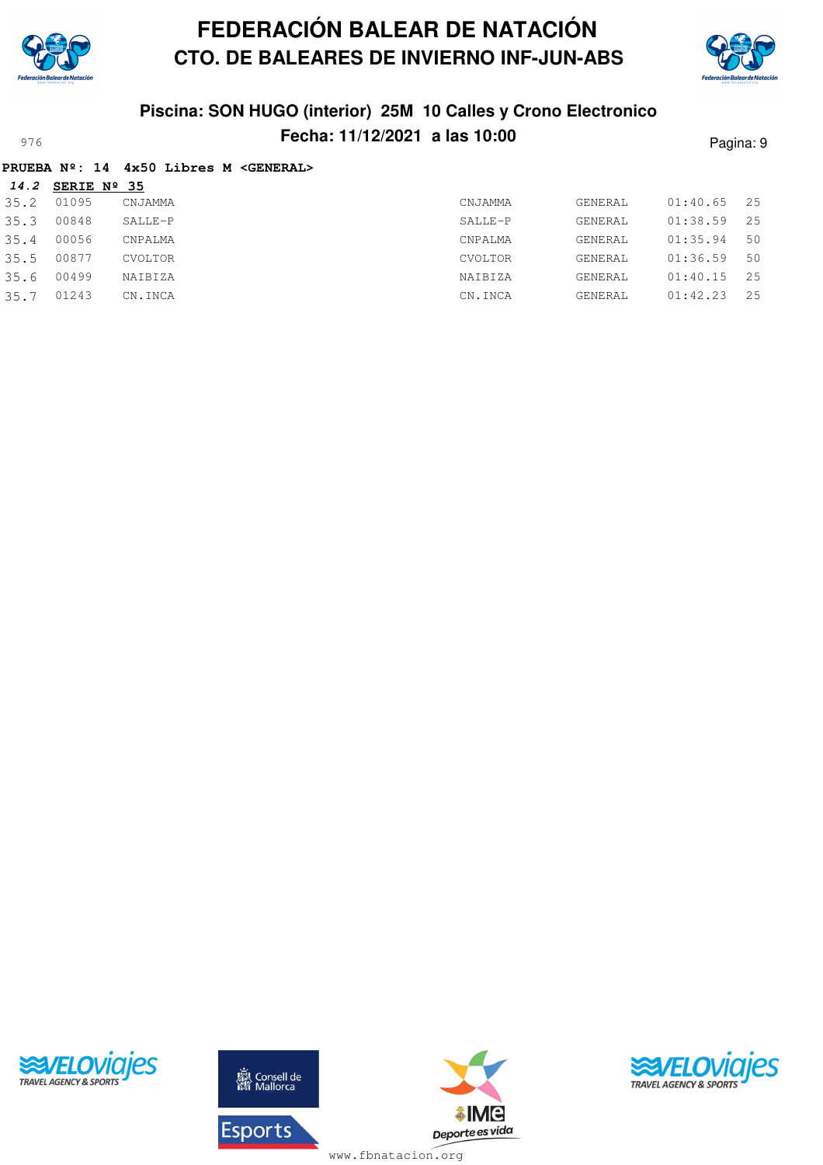



## **Piscina: SON HUGO (interior) 25M 10 Calles y Crono Electronico Fecha: 11/12/2021 a las 10:00** Pagina: 9

|  |  |  |  |  |  | PRUEBA Nº: 14 4x50 Libres M <general></general> |
|--|--|--|--|--|--|-------------------------------------------------|
|--|--|--|--|--|--|-------------------------------------------------|

| 14.2 | SERIE Nº 35 |                |         |         |          |       |
|------|-------------|----------------|---------|---------|----------|-------|
| 35.2 | 01095       | CNJAMMA        | CNJAMMA | GENERAL | 01:40.65 | - 25  |
| 35.3 | 00848       | SALLE-P        | SALLE-P | GENERAL | 01:38.59 | - 2.5 |
| 35.4 | 00056       | CNPALMA        | CNPALMA | GENERAL | 01:35.94 | 50    |
| 35.5 | 00877       | <b>CVOLTOR</b> | CVOLTOR | GENERAL | 01:36.59 | 50    |
| 35.6 | 00499       | NAIBIZA        | NAIBIZA | GENERAL | 01:40.15 | 25    |
| 35.7 | 01243       | CN.INCA        | CN.INCA | GENERAL | 01:42.23 | - 2.5 |
|      |             |                |         |         |          |       |





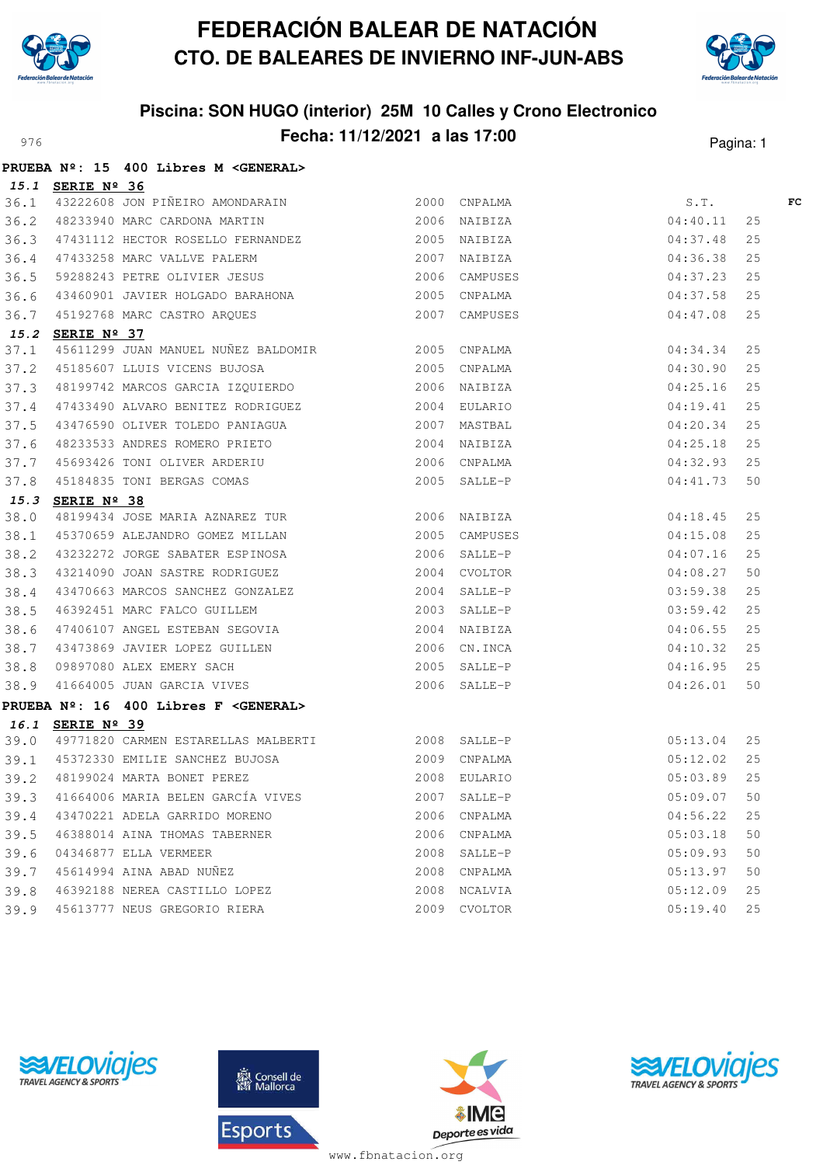



## **Piscina: SON HUGO (interior) 25M 10 Calles y Crono Electronico** Pagina: 11/12/2021 **a las 17:00** Pagina: 1

|      |                  | PRUEBA Nº: 15 400 Libres M < GENERAL>                                                                                                                                                                                                      |              |              |                                          |    |    |
|------|------------------|--------------------------------------------------------------------------------------------------------------------------------------------------------------------------------------------------------------------------------------------|--------------|--------------|------------------------------------------|----|----|
|      | 15.1 SERIE Nº 36 |                                                                                                                                                                                                                                            |              |              |                                          |    |    |
|      |                  | 36.1 43222608 JON PIÑEIRO AMONDARAIN 2000 CNPALMA<br>36.2 48233940 MARC CARDONA MARTIN 2006 NAIBIZA                                                                                                                                        |              |              | S.T.                                     |    | FC |
|      |                  |                                                                                                                                                                                                                                            |              |              | 04:40.11                                 | 25 |    |
| 36.3 |                  | 47431112 HECTOR ROSELLO FERNANDEZ 2005 NAIBIZA                                                                                                                                                                                             |              |              | 04:37.48                                 | 25 |    |
|      |                  | 36.4 47433258 MARC VALLVE PALERM                                                                                                                                                                                                           | 2007 NAIBIZA |              | 04:36.38                                 | 25 |    |
| 36.5 |                  | ---<br>59288243 PETRE OLIVIER JESUS 2006 CAMPUSES                                                                                                                                                                                          |              |              | 04:37.23                                 | 25 |    |
| 36.6 |                  |                                                                                                                                                                                                                                            |              |              | 04:37.58                                 | 25 |    |
| 36.7 |                  | 45192768 MARC CASTRO ARQUES 2007 CAMPUSES                                                                                                                                                                                                  |              |              | 04:47.08                                 | 25 |    |
|      | 15.2 SERIE Nº 37 |                                                                                                                                                                                                                                            |              |              |                                          |    |    |
| 37.1 |                  | 45611299 JUAN MANUEL NUÑEZ BALDOMIR 2005 CNPALMA                                                                                                                                                                                           |              |              | 04:34.34                                 | 25 |    |
| 37.2 |                  | 45185607 LLUIS VICENS BUJOSA 2005 CNPALMA                                                                                                                                                                                                  |              |              | 04:30.90                                 | 25 |    |
|      |                  |                                                                                                                                                                                                                                            |              |              | 04:25.16                                 | 25 |    |
|      |                  |                                                                                                                                                                                                                                            |              |              | 04:19.41                                 | 25 |    |
|      |                  |                                                                                                                                                                                                                                            |              |              | 04:20.34                                 | 25 |    |
|      |                  |                                                                                                                                                                                                                                            |              |              | 04:25.18                                 | 25 |    |
|      |                  |                                                                                                                                                                                                                                            |              |              | 04:32.93                                 | 25 |    |
|      |                  | 37.3 48199742 MARCOS GARCIA IZQUIERDO<br>37.4 47433490 ALVARO BENITEZ RODRIGUEZ<br>37.5 43476590 OLIVER TOLEDO PANIAGUA<br>37.6 48233533 ANDRES ROMERO PRIETO<br>37.7 45693426 TONI OLIVER ARDERIU<br>37.8 45184835 TONI BERGAS COMAS<br>1 |              |              | 04:41.73                                 | 50 |    |
|      | 15.3 SERIE Nº 38 |                                                                                                                                                                                                                                            |              |              |                                          |    |    |
| 38.0 |                  | 48199434 JOSE MARIA AZNAREZ TUR 2006 NAIBIZA                                                                                                                                                                                               |              |              | 04:18.45                                 | 25 |    |
| 38.1 |                  | 45370659 ALEJANDRO GOMEZ MILLAN 2005 CAMPUSES                                                                                                                                                                                              |              |              | 04:15.08                                 | 25 |    |
| 38.2 |                  | 43232272 JORGE SABATER ESPINOSA 2006 SALLE-P                                                                                                                                                                                               |              |              | 2006 SALLE-P<br>2004 CVOLTOR<br>04:07.16 | 25 |    |
| 38.3 |                  | 43214090 JOAN SASTRE RODRIGUEZ                                                                                                                                                                                                             |              |              | 04:08.27                                 | 50 |    |
| 38.4 |                  |                                                                                                                                                                                                                                            |              |              | 03:59.38                                 | 25 |    |
| 38.5 |                  |                                                                                                                                                                                                                                            |              |              | 03:59.42                                 | 25 |    |
| 38.6 |                  | 47406107 ANGEL ESTEBAN SEGOVIA 2004 NAIBIZA                                                                                                                                                                                                |              |              | 04:06.55                                 | 25 |    |
| 38.7 |                  | 43473869 JAVIER LOPEZ GUILLEN 2006 CN.INCA                                                                                                                                                                                                 |              |              | 04:10.32                                 | 25 |    |
|      |                  |                                                                                                                                                                                                                                            |              |              | 04:16.95                                 | 25 |    |
|      |                  | 38.8 09897080 ALEX EMERY SACH<br>38.9 41664005 JUAN GARCIA VIVES 2006 SALLE-P                                                                                                                                                              |              |              | 04:26.01                                 | 50 |    |
|      |                  | PRUEBA Nº: 16 400 Libres F <general></general>                                                                                                                                                                                             |              |              |                                          |    |    |
|      | 16.1 SERIE Nº 39 |                                                                                                                                                                                                                                            |              |              |                                          |    |    |
|      |                  | 39.0 49771820 CARMEN ESTARELLAS MALBERTI 2008 SALLE-P                                                                                                                                                                                      |              |              | 05:13.04                                 | 25 |    |
|      |                  | 39.1 45372330 EMILIE SANCHEZ BUJOSA<br>39.2 48199024 MARTA BONET PEREZ                                                                                                                                                                     |              | 2009 CNPALMA | 05:12.02                                 | 25 |    |
|      |                  |                                                                                                                                                                                                                                            |              | 2008 EULARIO | 05:03.89                                 | 25 |    |
| 39.3 |                  | 41664006 MARIA BELEN GARCÍA VIVES                                                                                                                                                                                                          |              | 2007 SALLE-P | 05:09.07                                 | 50 |    |
|      |                  | 39.4 43470221 ADELA GARRIDO MORENO                                                                                                                                                                                                         |              | 2006 CNPALMA | 04:56.22                                 | 25 |    |
| 39.5 |                  | 46388014 AINA THOMAS TABERNER                                                                                                                                                                                                              |              | 2006 CNPALMA | 05:03.18                                 | 50 |    |
| 39.6 |                  | 04346877 ELLA VERMEER                                                                                                                                                                                                                      |              | 2008 SALLE-P | 05:09.93                                 | 50 |    |
| 39.7 |                  | 45614994 AINA ABAD NUÑEZ                                                                                                                                                                                                                   |              | 2008 CNPALMA | 05:13.97                                 | 50 |    |
| 39.8 |                  | 46392188 NEREA CASTILLO LOPEZ                                                                                                                                                                                                              |              | 2008 NCALVIA | 05:12.09                                 | 25 |    |
| 39.9 |                  | 45613777 NEUS GREGORIO RIERA                                                                                                                                                                                                               |              | 2009 CVOLTOR | 05:19.40                                 | 25 |    |





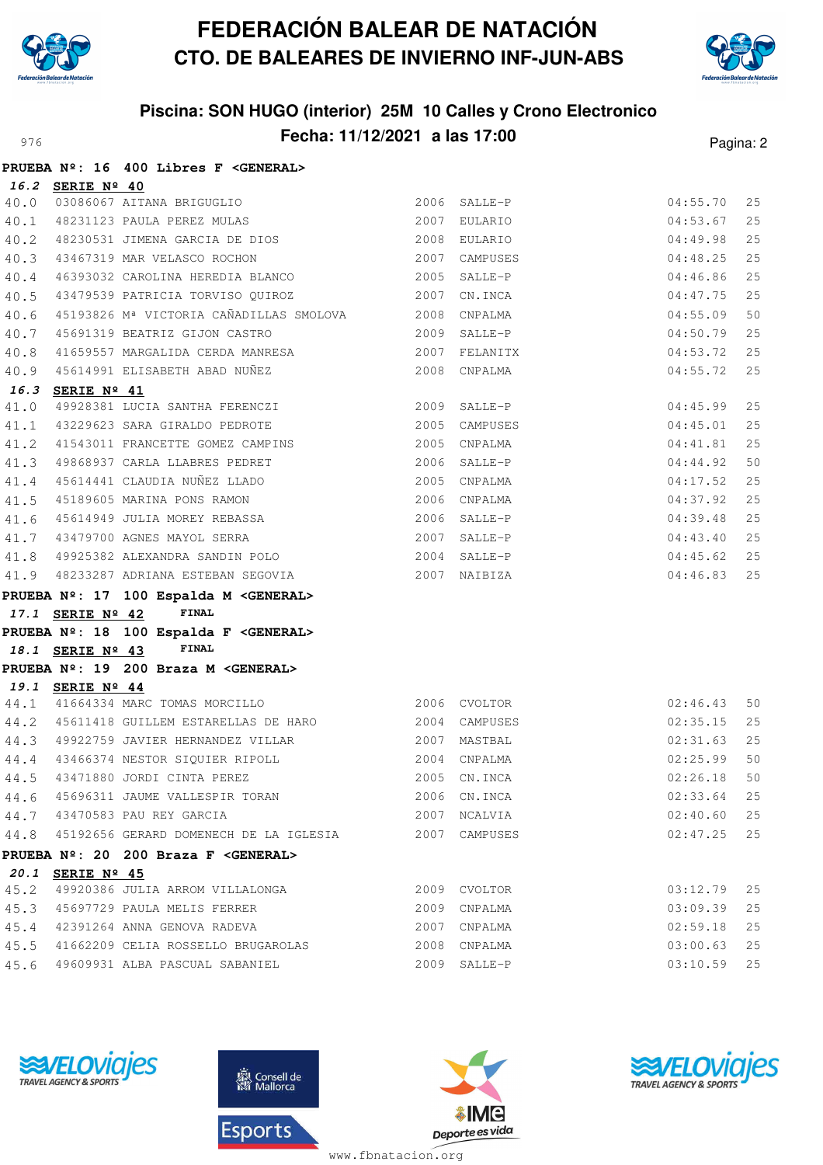



# **Piscina: SON HUGO (interior) 25M 10 Calles y Crono Electronico Fecha: 11/12/2021 a las 17:00** Pagina: 2

|      |                  | PRUEBA Nº: 16 400 Libres F < GENERAL>                                  |              |               |          |    |
|------|------------------|------------------------------------------------------------------------|--------------|---------------|----------|----|
|      | 16.2 SERIE Nº 40 |                                                                        |              |               |          |    |
|      |                  | 40.0 03086067 AITANA BRIGUGLIO<br>40.1 48231123 PAULA PEREZ MULAS      |              | 2006 SALLE-P  | 04:55.70 | 25 |
|      |                  |                                                                        |              | 2007 EULARIO  | 04:53.67 | 25 |
| 40.2 |                  | 48230531 JIMENA GARCIA DE DIOS                                         |              | 2008 EULARIO  | 04:49.98 | 25 |
|      |                  | 2007 CAMPUSES<br>40.3 43467319 MAR VELASCO ROCHON                      |              |               | 04:48.25 | 25 |
| 40.4 |                  | 46393032 CAROLINA HEREDIA BLANCO 2005 SALLE-P                          |              |               | 04:46.86 | 25 |
|      |                  |                                                                        |              |               | 04:47.75 | 25 |
| 40.6 |                  | 45193826 Mª VICTORIA CAÑADILLAS SMOLOVA 2008 CNPALMA                   |              |               | 04:55.09 | 50 |
| 40.7 |                  |                                                                        |              |               | 04:50.79 | 25 |
| 40.8 |                  | 41659557 MARGALIDA CERDA MANRESA 2007 FELANITX                         |              |               | 04:53.72 | 25 |
|      |                  | 40.9 45614991 ELISABETH ABAD NUÑEZ                                     |              | 2008 CNPALMA  | 04:55.72 | 25 |
| 16.3 | SERIE Nº 41      |                                                                        |              |               |          |    |
| 41.0 |                  | 49928381 LUCIA SANTHA FERENCZI 2009 SALLE-P                            |              |               | 04:45.99 | 25 |
|      |                  | 41.1 43229623 SARA GIRALDO PEDROTE 6 2005 CAMPUSES                     |              |               | 04:45.01 | 25 |
|      |                  | 41.2 41543011 FRANCETTE GOMEZ CAMPINS                                  |              | 2005 CNPALMA  | 04:41.81 | 25 |
|      |                  | 41.3 49868937 CARLA LLABRES PEDRET                                     | 2006 SALLE-P |               | 04:44.92 | 50 |
| 41.4 |                  | 45614441 CLAUDIA NUÑEZ LLADO                                           |              | 2005 CNPALMA  | 04:17.52 | 25 |
| 41.5 |                  | 45189605 MARINA PONS RAMON                                             |              | 2006 CNPALMA  | 04:37.92 | 25 |
| 41.6 |                  | 45614949 JULIA MOREY REBASSA<br>43479700 AGNES MAYOL SERRA             |              | 2006 SALLE-P  | 04:39.48 | 25 |
| 41.7 |                  |                                                                        |              | 2007 SALLE-P  | 04:43.40 | 25 |
|      |                  | 41.8 49925382 ALEXANDRA SANDIN POLO 2004 SALLE-P                       |              |               | 04:45.62 | 25 |
|      |                  | 41.9 48233287 ADRIANA ESTEBAN SEGOVIA 2007 NAIBIZA                     |              |               | 04:46.83 | 25 |
|      |                  | PRUEBA Nº: 17 100 Espalda M <general></general>                        |              |               |          |    |
|      | 17.1 SERIE Nº 42 | FINAL                                                                  |              |               |          |    |
|      |                  | PRUEBA Nº: 18 100 Espalda F <general></general>                        |              |               |          |    |
|      | 18.1 SERIE Nº 43 | FINAL                                                                  |              |               |          |    |
|      |                  | PRUEBA Nº: 19 200 Braza M < GENERAL>                                   |              |               |          |    |
|      | 19.1 SERIE Nº 44 |                                                                        |              |               |          |    |
|      |                  | 44.1 41664334 MARC TOMAS MORCILLO                                      | 2006 CVOLTOR |               | 02:46.43 | 50 |
|      |                  | 44.2 45611418 GUILLEM ESTARELLAS DE HARO 2004 CAMPUSES                 |              |               | 02:35.15 | 25 |
|      |                  | 44.3 49922759 JAVIER HERNANDEZ VILLAR                                  | 2007 MASTBAL |               | 02:31.63 | 25 |
|      |                  | 44.4 43466374 NESTOR SIQUIER RIPOLL<br>44.5 43471880 JORDI CINTA PEREZ |              | 2004 CNPALMA  | 02:25.99 | 50 |
|      |                  |                                                                        |              | 2005 CN. INCA | 02:26.18 | 50 |
| 44.6 |                  | 45696311 JAUME VALLESPIR TORAN                                         |              | 2006 CN.INCA  | 02:33.64 | 25 |
|      |                  | 44.7 43470583 PAU REY GARCIA                                           |              | 2007 NCALVIA  | 02:40.60 | 25 |
|      |                  | 44.8 45192656 GERARD DOMENECH DE LA IGLESIA                            |              | 2007 CAMPUSES | 02:47.25 | 25 |
|      |                  | PRUEBA Nº: 20 200 Braza F < GENERAL>                                   |              |               |          |    |
|      | 20.1 SERIE Nº 45 |                                                                        |              |               |          |    |
| 45.2 |                  | 49920386 JULIA ARROM VILLALONGA                                        |              | 2009 CVOLTOR  | 03:12.79 | 25 |
| 45.3 |                  | 45697729 PAULA MELIS FERRER                                            |              | 2009 CNPALMA  | 03:09.39 | 25 |
| 45.4 |                  | 42391264 ANNA GENOVA RADEVA                                            |              | 2007 CNPALMA  | 02:59.18 | 25 |
| 45.5 |                  | 41662209 CELIA ROSSELLO BRUGAROLAS                                     |              | 2008 CNPALMA  | 03:00.63 | 25 |
| 45.6 |                  | 49609931 ALBA PASCUAL SABANIEL                                         |              | 2009 SALLE-P  | 03:10.59 | 25 |
|      |                  |                                                                        |              |               |          |    |







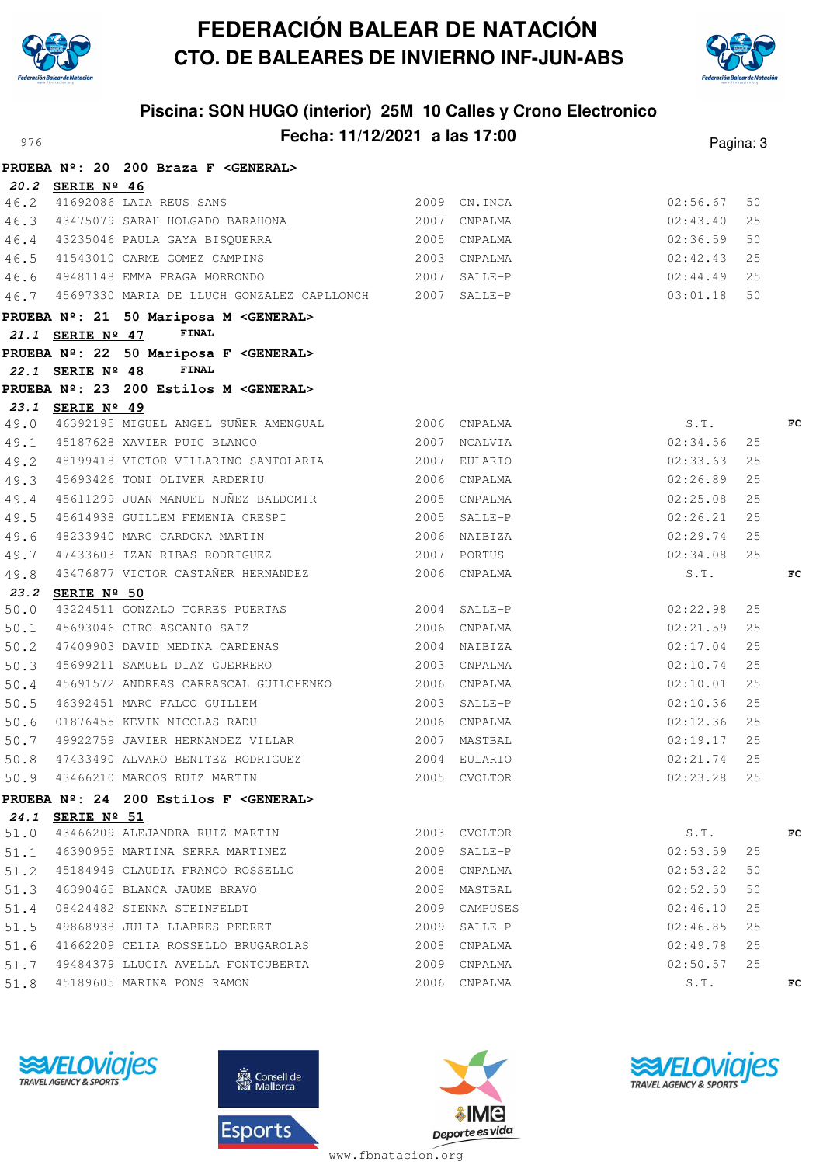

**20.2 SERIE Nº 46**

**PRUEBA Nº: 20 200 Braza F <GENERAL>**

## **FEDERACIÓN BALEAR DE NATACIÓN CTO. DE BALEARES DE INVIERNO INF-JUN-ABS**



## **Piscina: SON HUGO (interior) 25M 10 Calles y Crono Electronico Fecha: 11/12/2021 a las 17:00** Pagina: 3

46.2 41692086 LAIA REUS SANS 2009 CN.INCA 02:56.67 50

|      |                  |                                                                                                                                                        |               | 02:43.40      | 25 |    |
|------|------------------|--------------------------------------------------------------------------------------------------------------------------------------------------------|---------------|---------------|----|----|
|      |                  | 46.3 43475079 SARAH HOLGADO BARAHONA 2007 CNPALMA<br>46.4 43235046 PAULA GAYA BISQUERRA 2005 CNPALMA<br>46.5 41543010 CARME GOMEZ CAMPINS 2003 CNPALMA |               | 02:36.59      | 50 |    |
|      |                  |                                                                                                                                                        |               | 02:42.43      | 25 |    |
|      |                  | 46.6 49481148 EMMA FRAGA MORRONDO (2007 SALLE-P                                                                                                        |               | $02:44.49$ 25 |    |    |
|      |                  | 46.7 45697330 MARIA DE LLUCH GONZALEZ CAPLLONCH 2007 SALLE-P                                                                                           |               | 03:01.18      | 50 |    |
|      |                  | PRUEBA Nº: 21 50 Mariposa M <general></general>                                                                                                        |               |               |    |    |
|      | 21.1 SERIE Nº 47 | FINAL                                                                                                                                                  |               |               |    |    |
|      |                  | PRUEBA Nº: 22 50 Mariposa F <general></general>                                                                                                        |               |               |    |    |
|      |                  | 22.1 SERIE $N^{\circ}$ 48 FINAL                                                                                                                        |               |               |    |    |
|      |                  | PRUEBA Nº: 23 200 Estilos M <general></general>                                                                                                        |               |               |    |    |
|      | 23.1 SERIE Nº 49 |                                                                                                                                                        |               |               |    |    |
|      |                  | 49.0 46392195 MIGUEL ANGEL SUÑER AMENGUAL 2006 CNPALMA                                                                                                 |               | S.T.          |    | FC |
|      |                  | 49.1 45187628 XAVIER PUIG BLANCO 2007 NCALVIA                                                                                                          |               | 02:34.56      | 25 |    |
|      |                  | 49.2 48199418 VICTOR VILLARINO SANTOLARIA 62007 EULARIO                                                                                                |               | $02:33.63$ 25 |    |    |
|      |                  | 49.3 45693426 TONI OLIVER ARDERIU                                                                                                                      | 2006 CNPALMA  | 02:26.89      | 25 |    |
|      |                  | 49.4 45611299 JUAN MANUEL NUÑEZ BALDOMIR 2005 CNPALMA                                                                                                  |               | 02:25.08      | 25 |    |
|      |                  | 49.5 45614938 GUILLEM FEMENIA CRESPI 2005 SALLE-P                                                                                                      |               | 02:26.21      | 25 |    |
|      |                  | 49.6 48233940 MARC CARDONA MARTIN 2006 NAIBIZA<br>49.7 47433603 IZAN RIBAS RODRIGUEZ 2007 PORTUS                                                       |               | $02:29.74$ 25 |    |    |
|      |                  |                                                                                                                                                        |               | 02:34.08 25   |    |    |
|      |                  | 49.8 43476877 VICTOR CASTAÑER HERNANDEZ 2006 CNPALMA                                                                                                   |               | S.T.          |    | FC |
|      | 23.2 SERIE Nº 50 |                                                                                                                                                        |               |               |    |    |
| 50.0 |                  | 43224511 GONZALO TORRES PUERTAS 2004 SALLE-P                                                                                                           |               | 02:22.98      | 25 |    |
|      |                  | 50.1 45693046 CIRO ASCANIO SAIZ<br>50.2 47409903 DAVID MEDINA CARDENAS (2004 NAIBIZA                                                                   |               | $02:21.59$ 25 |    |    |
|      |                  |                                                                                                                                                        |               | 02:17.04      | 25 |    |
|      |                  | 50.3 45699211 SAMUEL DIAZ GUERRERO 2003 CNPALMA                                                                                                        |               | 02:10.74      | 25 |    |
|      |                  | 50.4 45691572 ANDREAS CARRASCAL GUILCHENKO 2006 CNPALMA                                                                                                |               | 02:10.01      | 25 |    |
| 50.5 |                  |                                                                                                                                                        |               | $02:10.36$ 25 |    |    |
| 50.6 |                  |                                                                                                                                                        |               | $02:12.36$ 25 |    |    |
|      |                  | 50.7 49922759 JAVIER HERNANDEZ VILLAR 2007 MASTBAL                                                                                                     |               | $02:19.17$ 25 |    |    |
|      |                  |                                                                                                                                                        |               | $02:21.74$ 25 |    |    |
|      |                  | 50.8 47433490 ALVARO BENITEZ RODRIGUEZ 60.9 43466210 MARCOS RUIZ MARTIN 2005 CVOLTOR                                                                   | 2005 CVOLTOR  | $02:23.28$ 25 |    |    |
|      |                  | <b>PRUEBA Nº: 24 200 Estilos F <general></general></b>                                                                                                 |               |               |    |    |
|      | 24.1 SERIE Nº 51 |                                                                                                                                                        |               |               |    |    |
|      |                  | 51.0 43466209 ALEJANDRA RUIZ MARTIN 2003 CVOLTOR S.T.                                                                                                  |               |               |    | FC |
|      |                  | 51.1 46390955 MARTINA SERRA MARTINEZ                                                                                                                   | 2009 SALLE-P  | 02:53.59      | 25 |    |
|      |                  | 51.2 45184949 CLAUDIA FRANCO ROSSELLO 2008 CNPALMA                                                                                                     |               | 02:53.22      | 50 |    |
|      |                  |                                                                                                                                                        |               | 02:52.50      | 50 |    |
|      |                  | 51.4 08424482 SIENNA STEINFELDT                                                                                                                        | 2009 CAMPUSES | 02:46.10      | 25 |    |
|      |                  | 51.5 49868938 JULIA LLABRES PEDRET                                                                                                                     | 2009 SALLE-P  | $02:46.85$ 25 |    |    |
|      |                  | 51.6 41662209 CELIA ROSSELLO BRUGAROLAS 2008 CNPALMA                                                                                                   |               | $02:49.78$ 25 |    |    |
|      |                  | 51.7 49484379 LLUCIA AVELLA FONTCUBERTA 6000 2009 CNPALMA                                                                                              |               | $02:50.57$ 25 |    |    |
|      |                  | 51.8 45189605 MARINA PONS RAMON                                                                                                                        | 2006 CNPALMA  | S.T.          |    | FC |







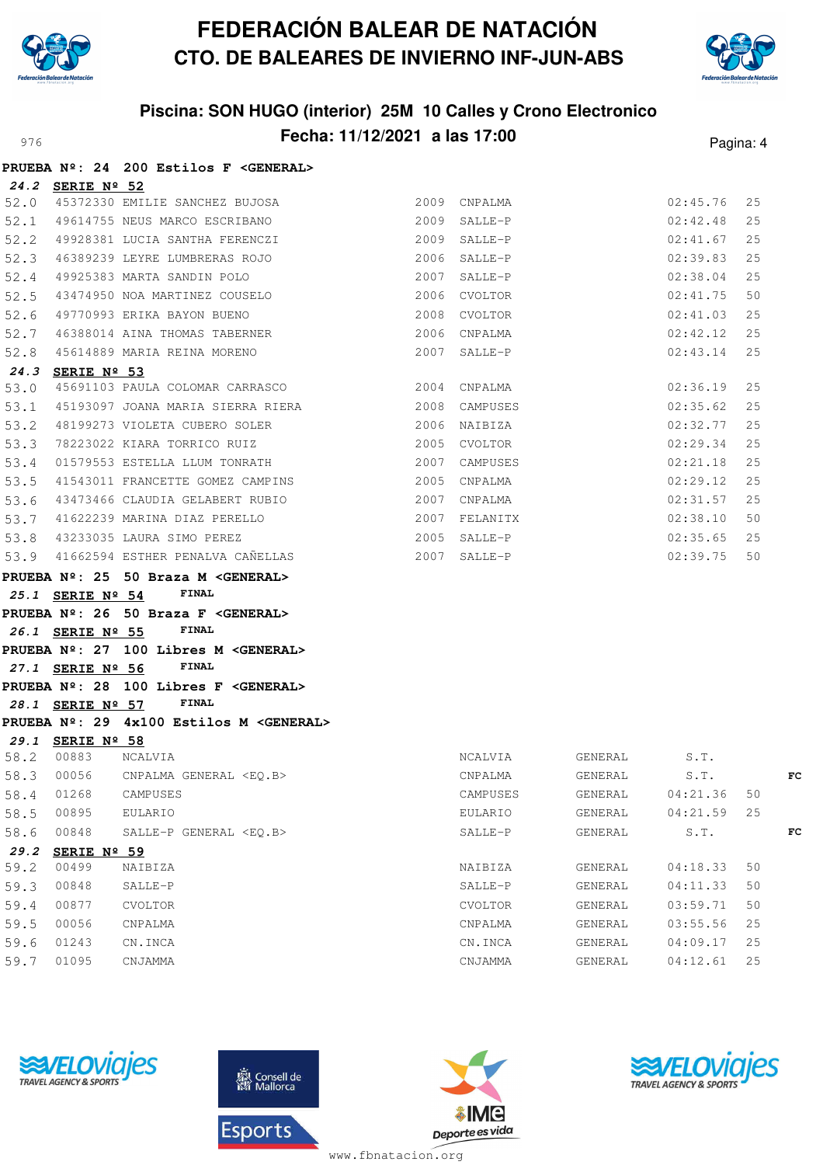

**PRUEBA Nº: 24 200 Estilos F <GENERAL>**

# **FEDERACIÓN BALEAR DE NATACIÓN CTO. DE BALEARES DE INVIERNO INF-JUN-ABS**



## **Piscina: SON HUGO (interior) 25M 10 Calles y Crono Electronico** Pagina: **Fecha: 11/12/2021 a las 17:00** Pagina: 4

|      |                                                  | FRUEDA Nº. 24 200 ESCIIOS I \GENERALY                                                                |                 |                                                                                                                                                                                                                               |                                                                                                                       |    |    |
|------|--------------------------------------------------|------------------------------------------------------------------------------------------------------|-----------------|-------------------------------------------------------------------------------------------------------------------------------------------------------------------------------------------------------------------------------|-----------------------------------------------------------------------------------------------------------------------|----|----|
|      | 24.2 SERIE Nº 52                                 |                                                                                                      |                 |                                                                                                                                                                                                                               |                                                                                                                       |    |    |
|      |                                                  | 52.0 45372330 EMILIE SANCHEZ BUJOSA 2009 CNPALMA<br>52.1 49614755 NEUS MARCO ESCRIBANO 2009 SALLE-P  |                 |                                                                                                                                                                                                                               | 02:45.76                                                                                                              | 25 |    |
|      |                                                  |                                                                                                      |                 |                                                                                                                                                                                                                               | 02:42.48                                                                                                              | 25 |    |
| 52.2 |                                                  |                                                                                                      |                 |                                                                                                                                                                                                                               | 02:41.67                                                                                                              | 25 |    |
| 52.3 |                                                  |                                                                                                      |                 |                                                                                                                                                                                                                               | 02:39.83                                                                                                              | 25 |    |
| 52.4 |                                                  | 49925383 MARTA SANDIN POLO                                                                           | 2007 SALLE-P    |                                                                                                                                                                                                                               | 02:38.04                                                                                                              | 25 |    |
| 52.5 |                                                  | 43474950 NOA MARTINEZ COUSELO 6 2006 CVOLTOR                                                         |                 |                                                                                                                                                                                                                               | 02:41.75                                                                                                              | 50 |    |
| 52.6 |                                                  | 2008 CVOLTOR<br>49770993 ERIKA BAYON BUENO                                                           |                 |                                                                                                                                                                                                                               | 02:41.03                                                                                                              | 25 |    |
| 52.7 |                                                  | 46388014 AINA THOMAS TABERNER 2006 CNPALMA                                                           |                 |                                                                                                                                                                                                                               | 02:42.12                                                                                                              | 25 |    |
| 52.8 |                                                  | 45614889 MARIA REINA MORENO 2007 SALLE-P                                                             |                 |                                                                                                                                                                                                                               | 02:43.14                                                                                                              | 25 |    |
|      | 24.3 SERIE Nº 53                                 |                                                                                                      |                 |                                                                                                                                                                                                                               |                                                                                                                       |    |    |
| 53.0 |                                                  | 45691103 PAULA COLOMAR CARRASCO 2004 CNPALMA                                                         |                 |                                                                                                                                                                                                                               | 02:36.19                                                                                                              | 25 |    |
| 53.1 |                                                  | 45193097 JOANA MARIA SIERRA RIERA 6000 2008 CAMPUSES                                                 |                 |                                                                                                                                                                                                                               | 02:35.62                                                                                                              | 25 |    |
| 53.2 |                                                  |                                                                                                      | 2006 NAIBIZA    |                                                                                                                                                                                                                               | 02:32.77                                                                                                              | 25 |    |
| 53.3 |                                                  | 48199273 VIOLETA CUBERO SOLER<br>78223022 KIARA TORRICO RUIZ                                         | 2005 CVOLTOR    |                                                                                                                                                                                                                               | 02:29.34                                                                                                              | 25 |    |
| 53.4 |                                                  | 01579553 ESTELLA LLUM TONRATH 2007 CAMPUSES                                                          |                 |                                                                                                                                                                                                                               | 02:21.18                                                                                                              | 25 |    |
| 53.5 |                                                  | 41543011 FRANCETTE GOMEZ CAMPINS 2005 CNPALMA                                                        |                 |                                                                                                                                                                                                                               | 02:29.12                                                                                                              | 25 |    |
|      |                                                  | 53.6 43473466 CLAUDIA GELABERT RUBIO 2007 CNPALMA<br>53.7 41622239 MARINA DIAZ PERELLO 2007 FELANITX |                 |                                                                                                                                                                                                                               | 02:31.57                                                                                                              | 25 |    |
|      |                                                  |                                                                                                      |                 |                                                                                                                                                                                                                               | 02:38.10                                                                                                              | 50 |    |
|      |                                                  | 53.8 43233035 LAURA SIMO PEREZ                                                                       |                 | 2005 SALLE-P                                                                                                                                                                                                                  | 02:35.65                                                                                                              | 25 |    |
|      |                                                  | 53.9 41662594 ESTHER PENALVA CAÑELLAS 2007 SALLE-P                                                   |                 |                                                                                                                                                                                                                               | 02:39.75                                                                                                              | 50 |    |
|      |                                                  | PRUEBA Nº: 25 50 Braza M <general></general>                                                         |                 |                                                                                                                                                                                                                               |                                                                                                                       |    |    |
|      | 25.1 SERIE Nº 54                                 | <b>FINAL</b>                                                                                         |                 |                                                                                                                                                                                                                               |                                                                                                                       |    |    |
|      |                                                  | PRUEBA Nº: 26 50 Braza F < GENERAL>                                                                  |                 |                                                                                                                                                                                                                               |                                                                                                                       |    |    |
|      | 26.1 SERIE Nº 55                                 | FINAL                                                                                                |                 |                                                                                                                                                                                                                               |                                                                                                                       |    |    |
|      |                                                  | PRUEBA Nº: 27 100 Libres M <general></general>                                                       |                 |                                                                                                                                                                                                                               |                                                                                                                       |    |    |
|      | 27.1 SERIE Nº 56                                 | <b>FINAL</b>                                                                                         |                 |                                                                                                                                                                                                                               |                                                                                                                       |    |    |
|      |                                                  | PRUEBA Nº: 28 100 Libres F <general></general>                                                       |                 |                                                                                                                                                                                                                               |                                                                                                                       |    |    |
|      | 28.1 SERIE Nº 57                                 | <b>FINAL</b>                                                                                         |                 |                                                                                                                                                                                                                               |                                                                                                                       |    |    |
|      |                                                  | PRUEBA Nº: 29 4x100 Estilos M <general></general>                                                    |                 |                                                                                                                                                                                                                               |                                                                                                                       |    |    |
|      | 29.1 SERIE Nº 58                                 |                                                                                                      |                 |                                                                                                                                                                                                                               |                                                                                                                       |    |    |
|      | 58.2 00883 NCALVIA                               |                                                                                                      |                 | NCALVIA GENERAL                                                                                                                                                                                                               | S.T.                                                                                                                  |    |    |
|      | 58.3 00056<br><u> a dia amin'ny fivondronan-</u> | CNPALMA GENERAL <eq.b></eq.b>                                                                        | CNPALMA GENERAL |                                                                                                                                                                                                                               | S.T.<br>and and and the season of the season of the season of the season of the season of the season of the season of |    | FC |
|      |                                                  |                                                                                                      |                 | the company of the company of the company of the company of the company of the company of the company of the company of the company of the company of the company of the company of the company of the company of the company |                                                                                                                       |    |    |

| UUU56 | CNPALMA GENERAL <eq.b></eq.b> | CNPALMA     | GENERAL | $S$ . T. | FC |
|-------|-------------------------------|-------------|---------|----------|----|
| 01268 | CAMPUSES                      | CAMPUSES    | GENERAL | 04:21.36 | 50 |
| 00895 | EULARIO                       | EULARIO     | GENERAL | 04:21.59 | 25 |
| 00848 | SALLE-P GENERAL <eo.b></eo.b> | SALLE-P     | GENERAL | S.T.     | FC |
|       |                               |             |         |          |    |
| 00499 | NAIBIZA                       | NAIBIZA     | GENERAL | 04:18.33 | 50 |
| 00848 | SALLE-P                       | SALLE-P     | GENERAL | 04:11.33 | 50 |
| 00877 | <b>CVOLTOR</b>                | CVOLTOR     | GENERAL | 03:59.71 | 50 |
| 00056 | CNPALMA                       | CNPALMA     | GENERAL | 03:55.56 | 25 |
| 01243 | CN.INCA                       | CN.INCA     | GENERAL | 04:09.17 | 25 |
| 01095 | CNJAMMA                       | CNJAMMA     | GENERAL | 04:12.61 | 25 |
|       |                               | SERIE Nº 59 |         |          |    |







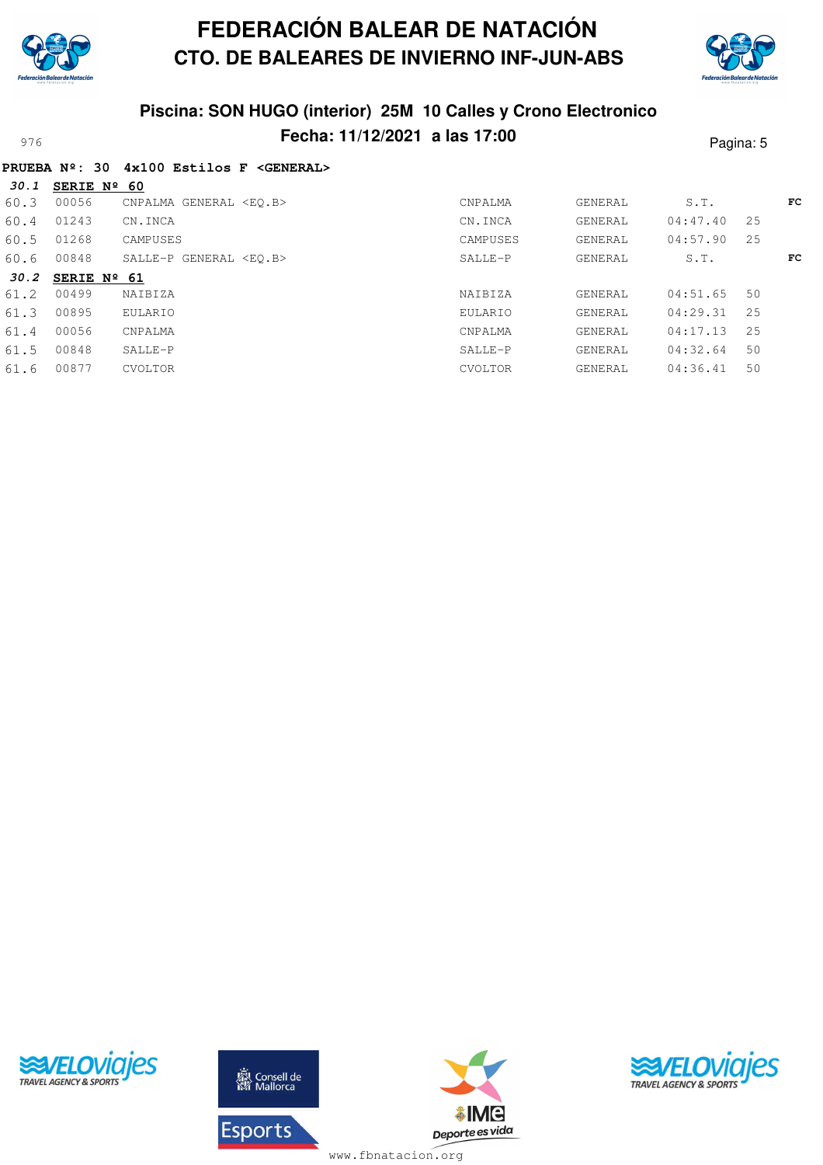

**PRUEBA Nº: 30 4x100 Estilos F <GENERAL>**

# **FEDERACIÓN BALEAR DE NATACIÓN CTO. DE BALEARES DE INVIERNO INF-JUN-ABS**



## **Piscina: SON HUGO (interior) 25M 10 Calles y Crono Electronico** Pagina: 5

| 30.1 | SERIE Nº 60          |                               |                |         |          |    |    |
|------|----------------------|-------------------------------|----------------|---------|----------|----|----|
| 60.3 | 00056                | CNPALMA GENERAL <eo.b></eo.b> | <b>CNPALMA</b> | GENERAL | S.T.     |    | FC |
| 60.4 | 01243                | CN.INCA                       | CN.INCA        | GENERAL | 04:47.40 | 25 |    |
| 60.5 | 01268                | CAMPUSES                      | CAMPUSES       | GENERAL | 04:57.90 | 25 |    |
| 60.6 | 00848                | SALLE-P GENERAL <eo.b></eo.b> | SALLE-P        | GENERAL | S.T.     |    | FC |
| 30.2 | SERIE $N^{\circ}$ 61 |                               |                |         |          |    |    |
| 61.2 | 00499                | NAIBIZA                       | NAIBIZA        | GENERAL | 04:51.65 | 50 |    |
| 61.3 | 00895                | EULARIO                       | EULARIO        | GENERAL | 04:29.31 | 25 |    |
| 61.4 | 00056                | CNPALMA                       | CNPALMA        | GENERAL | 04:17.13 | 25 |    |
| 61.5 | 00848                | SALLE-P                       | SALLE-P        | GENERAL | 04:32.64 | 50 |    |
| 61.6 | 00877                | CVOLTOR                       | CVOLTOR        | GENERAL | 04:36.41 | 50 |    |
|      |                      |                               |                |         |          |    |    |





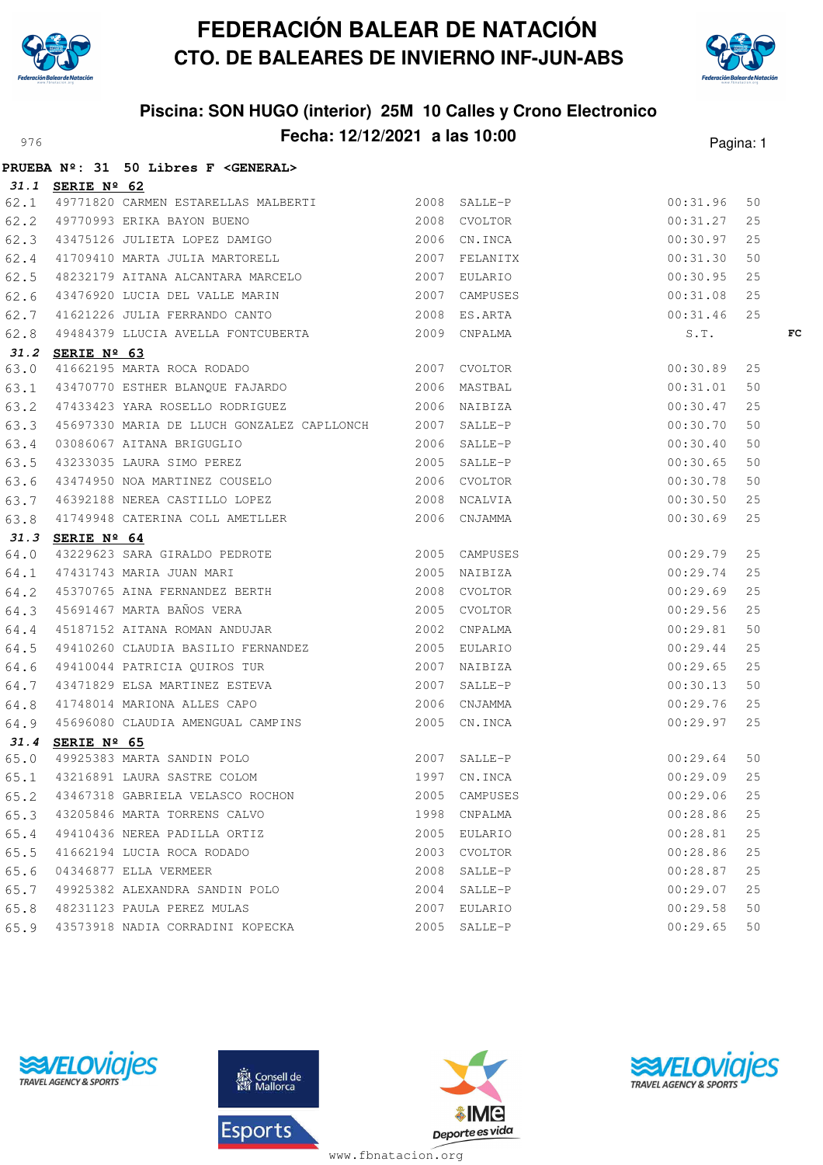



## **Piscina: SON HUGO (interior) 25M 10 Calles y Crono Electronico** Pecha: 12/12/2021 a las 10:00<br>
Pagina: 1

|      |                  | PRUEBA Nº: 31 50 Libres F <general></general>                                                                                                                                                                                                    |               |          |    |
|------|------------------|--------------------------------------------------------------------------------------------------------------------------------------------------------------------------------------------------------------------------------------------------|---------------|----------|----|
|      | 31.1 SERIE Nº 62 |                                                                                                                                                                                                                                                  |               |          |    |
|      |                  |                                                                                                                                                                                                                                                  |               | 00:31.96 | 50 |
|      |                  |                                                                                                                                                                                                                                                  |               | 00:31.27 | 25 |
|      |                  |                                                                                                                                                                                                                                                  |               | 00:30.97 | 25 |
|      |                  | 31.1 SERIE Nº 62<br>62.1 49771820 CARMEN ESTARELLAS MALBERTI 2008 SALLE-P<br>62.2 49770993 ERIKA BAYON BUENO 2008 CVOLTOR<br>62.3 43475126 JULIETA LOPEZ DAMIGO 2006 CN.INCA<br>62.4 41709410 MARTA JULIA MARTORELL 2007 FELANITX                |               | 00:31.30 | 50 |
| 62.5 |                  | 48232179 AITANA ALCANTARA MARCELO 2007 EULARIO                                                                                                                                                                                                   |               | 00:30.95 | 25 |
|      |                  | 62.6 43476920 LUCIA DEL VALLE MARIN 2007 CAMPUSES                                                                                                                                                                                                |               | 00:31.08 | 25 |
|      |                  |                                                                                                                                                                                                                                                  |               | 00:31.46 | 25 |
|      |                  | 62.0 33376526 Booth DEL WELL MENT.<br>62.7 41621226 JULIA FERRANDO CANTO 2008 ES.ARTA<br>62.8 49484379 LLUCIA AVELLA FONTCUBERTA 2009 CNPALMA                                                                                                    |               | S.T.     | FC |
|      | 31.2 SERIE Nº 63 |                                                                                                                                                                                                                                                  |               |          |    |
|      |                  |                                                                                                                                                                                                                                                  |               |          | 25 |
|      |                  |                                                                                                                                                                                                                                                  |               |          | 50 |
|      |                  |                                                                                                                                                                                                                                                  |               | 00:30.47 | 25 |
|      |                  |                                                                                                                                                                                                                                                  |               | 00:30.70 | 50 |
|      |                  |                                                                                                                                                                                                                                                  |               |          | 50 |
|      |                  |                                                                                                                                                                                                                                                  |               |          | 50 |
|      |                  |                                                                                                                                                                                                                                                  |               |          | 50 |
|      |                  |                                                                                                                                                                                                                                                  |               |          | 25 |
|      |                  |                                                                                                                                                                                                                                                  |               |          | 25 |
|      |                  | 63.3 49697330 MARIA DE LLOCA GONZALEZ CAPLLONCA<br>63.4 03086067 AITANA BRIGUGLIO<br>63.5 43233035 LAURA SIMO PEREZ<br>63.6 43474950 NOA MARIINEZ COUSELO<br>2006 SALLE-P<br>2006 SALLE-P<br>2006 SALLE-P<br>2006 SALLE-P<br>2006 SALLE-P<br>200 |               |          |    |
|      |                  |                                                                                                                                                                                                                                                  |               |          | 25 |
|      |                  |                                                                                                                                                                                                                                                  |               |          | 25 |
|      |                  |                                                                                                                                                                                                                                                  |               |          | 25 |
|      |                  |                                                                                                                                                                                                                                                  |               | 00:29.56 | 25 |
|      |                  |                                                                                                                                                                                                                                                  |               | 00:29.81 | 50 |
|      |                  |                                                                                                                                                                                                                                                  |               | 00:29.44 | 25 |
|      |                  |                                                                                                                                                                                                                                                  |               | 00:29.65 | 25 |
|      |                  | 64.5 49410260 CLAUDIA BASILIO FERNANDEZ 2005 EULARIO<br>64.6 49410044 PATRICIA QUIROS TUR 2007 NAIBIZA<br>64.7 43471829 ELSA MARTINEZ ESTEVA 2007 SALLE-P                                                                                        |               | 00:30.13 | 50 |
|      |                  | 64.8 41748014 MARIONA ALLES CAPO 2006 CNJAMMA<br>64.9 45696080 CLAUDIA AMENGUAL CAMPINS 2005 CN.INCA                                                                                                                                             |               | 00:29.76 | 25 |
|      |                  |                                                                                                                                                                                                                                                  |               | 00:29.97 | 25 |
|      | 31.4 SERIE Nº 65 |                                                                                                                                                                                                                                                  |               |          |    |
|      |                  | 49925383 MARTA SANDIN POLO 3007 SALLE-P 00:29.64 50<br>65.1 43216891 LAURA SASTRE COLOM 1997 CN.INCA 00:29.09 25                                                                                                                                 |               |          |    |
|      |                  |                                                                                                                                                                                                                                                  |               |          |    |
|      |                  | 65.2 43467318 GABRIELA VELASCO ROCHON                                                                                                                                                                                                            | 2005 CAMPUSES | 00:29.06 | 25 |
|      |                  | 65.3 43205846 MARTA TORRENS CALVO                                                                                                                                                                                                                | 1998 CNPALMA  | 00:28.86 | 25 |
|      |                  | 65.4 49410436 NEREA PADILLA ORTIZ                                                                                                                                                                                                                | 2005 EULARIO  | 00:28.81 | 25 |
|      |                  | 65.5 41662194 LUCIA ROCA RODADO                                                                                                                                                                                                                  | 2003 CVOLTOR  | 00:28.86 | 25 |
|      |                  | 65.6 04346877 ELLA VERMEER                                                                                                                                                                                                                       | 2008 SALLE-P  | 00:28.87 | 25 |
|      |                  | 65.7 49925382 ALEXANDRA SANDIN POLO                                                                                                                                                                                                              | 2004 SALLE-P  | 00:29.07 | 25 |
|      |                  | 65.8 48231123 PAULA PEREZ MULAS                                                                                                                                                                                                                  | 2007 EULARIO  | 00:29.58 | 50 |
|      |                  | 65.9 43573918 NADIA CORRADINI KOPECKA                                                                                                                                                                                                            | 2005 SALLE-P  | 00:29.65 | 50 |







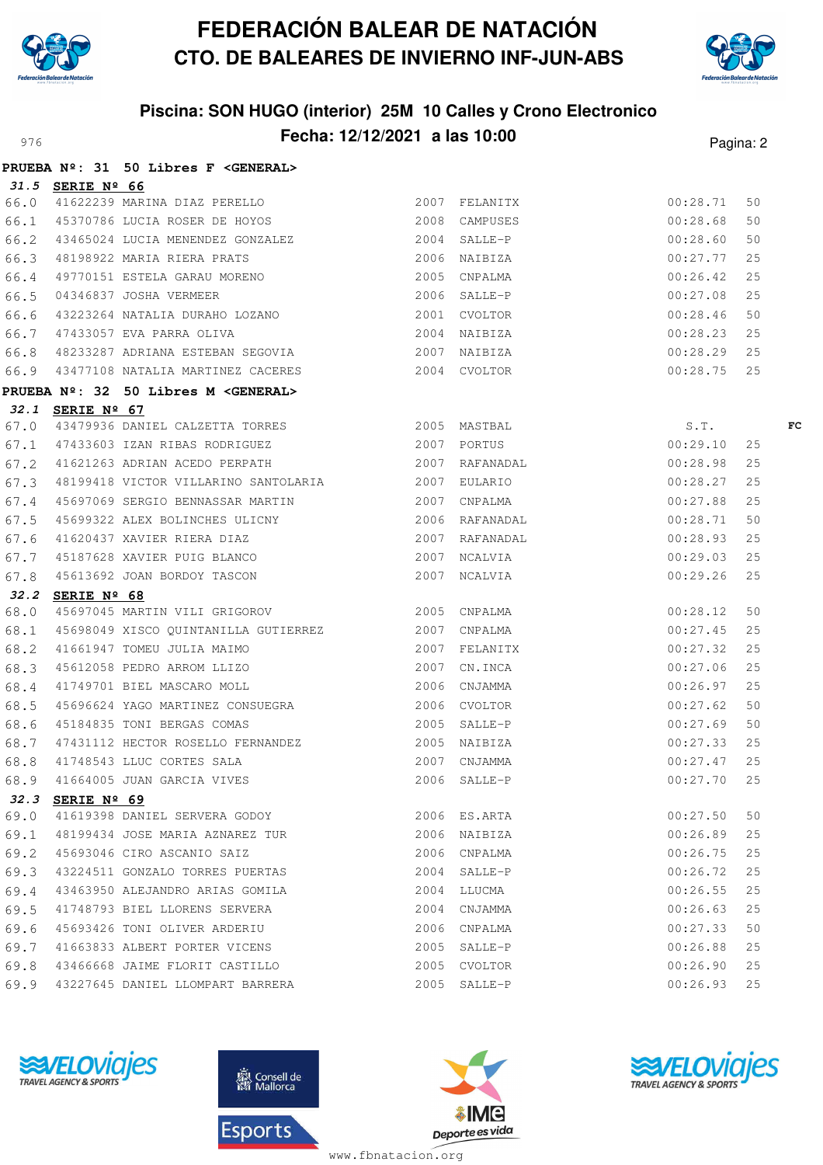



## **Piscina: SON HUGO (interior) 25M 10 Calles y Crono Electronico** Proved **Fecha: 12/12/2021 a las 10:00** Pagina: 2

|      |                  | PRUEBA Nº: 31 50 Libres F < GENERAL>                                                                                                                                                                    |              |               |    |    |
|------|------------------|---------------------------------------------------------------------------------------------------------------------------------------------------------------------------------------------------------|--------------|---------------|----|----|
|      | 31.5 SERIE Nº 66 |                                                                                                                                                                                                         |              |               |    |    |
| 66.0 |                  | <b>SERIE Nº 66</b><br>41622239 MARINA DIAZ PERELLO (2007 FELANITX)                                                                                                                                      |              | 00:28.71      | 50 |    |
|      |                  | 66.1 45370786 LUCIA ROSER DE HOYOS 2008 CAMPUSES                                                                                                                                                        |              | 00:28.68      | 50 |    |
|      |                  |                                                                                                                                                                                                         |              | 00:28.60      | 50 |    |
|      |                  | 66.2 43465024 LUCIA MENENDEZ GONZALEZ (2004 SALLE-P)<br>66.3 48198922 MARIA RIERA PRATS (2006 NAIBIZA (2006 1219)<br>66.4 49770151 ESTELA GARAU MORENO (2005 CNPALMA                                    |              | 00:27.77      | 25 |    |
|      |                  |                                                                                                                                                                                                         |              | 00:26.42      | 25 |    |
|      |                  |                                                                                                                                                                                                         |              | 00:27.08      | 25 |    |
|      |                  | 66.5 04346837 JOSHA VERMEER 2006 SALLE-P<br>66.6 43223264 NATALIA DURAHO LOZANO 2001 CVOLTOR<br>66.7 47433057 EVA PARRA OLIVA 2004 NAIBIZA                                                              |              | 00:28.46      | 50 |    |
|      |                  |                                                                                                                                                                                                         |              | 00:28.23      | 25 |    |
| 66.8 |                  | 48233287 ADRIANA ESTEBAN SEGOVIA $2007$ NAIBIZA $00:28.29$                                                                                                                                              |              |               | 25 |    |
|      |                  | 66.9 43477108 NATALIA MARTINEZ CACERES 2004 CVOLTOR 00:28.75                                                                                                                                            |              |               | 25 |    |
|      |                  | PRUEBA Nº: 32 50 Libres M <general></general>                                                                                                                                                           |              |               |    |    |
|      | 32.1 SERIE Nº 67 |                                                                                                                                                                                                         |              |               |    |    |
|      |                  | 67.0 43479936 DANIEL CALZETTA TORRES 2005 MASTBAL S.T.<br>67.1 47433603 IZAN RIBAS RODRIGUEZ 2007 PORTUS 2007 PORTUS 00:29.10 25                                                                        |              |               |    | FC |
|      |                  |                                                                                                                                                                                                         |              |               |    |    |
|      |                  | 67.2 41621263 ADRIAN ACEDO PERPATH 2007 RAFANADAL                                                                                                                                                       |              | 00:28.98      | 25 |    |
| 67.3 |                  |                                                                                                                                                                                                         |              | 00:28.27      | 25 |    |
| 67.4 |                  |                                                                                                                                                                                                         |              | 00:27.88      | 25 |    |
| 67.5 |                  | 45699322 ALEX BOLINCHES ULICNY 2006 RAFANADAL                                                                                                                                                           |              | 00:28.71      | 50 |    |
|      |                  |                                                                                                                                                                                                         |              | 00:28.93      | 25 |    |
|      |                  |                                                                                                                                                                                                         |              | 00:29.03      | 25 |    |
|      |                  |                                                                                                                                                                                                         |              | 00:29.26      | 25 |    |
|      | 32.2 SERIE Nº 68 |                                                                                                                                                                                                         |              |               |    |    |
| 68.0 |                  | 45697045 MARTIN VILI GRIGOROV 2005 CNPALMA                                                                                                                                                              |              | 00:28.12      | 50 |    |
|      |                  | 68.1 45698049 XISCO QUINTANILLA GUTIERREZ 2007 CNPALMA<br>68.2 41661947 TOMEU JULIA MAIMO 2007 FELANITX<br>68.3 45612058 PEDRO ARROM LLIZO 2007 CN.INCA<br>68.4 41749701 BIEL MASCARO MOLL 2006 CNJAMMA |              | 00:27.45      | 25 |    |
|      |                  |                                                                                                                                                                                                         |              | 00:27.32      | 25 |    |
|      |                  |                                                                                                                                                                                                         |              | 00:27.06      | 25 |    |
|      |                  |                                                                                                                                                                                                         |              | $00:26.97$ 25 |    |    |
| 68.5 |                  | 2006 CVOLTOR<br>45184835 TONI BERGAS COMAS 2006 2005 SALLE-P                                                                                                                                            |              | 00:27.62      | 50 |    |
| 68.6 |                  |                                                                                                                                                                                                         |              | 00:27.69      | 50 |    |
|      |                  | 68.7 47431112 HECTOR ROSELLO FERNANDEZ 2005 NAIBIZA                                                                                                                                                     |              | 00:27.33      | 25 |    |
|      |                  | 68.8 41748543 LLUC CORTES SALA                                                                                                                                                                          | 2007 CNJAMMA | 00:27.47      | 25 |    |
|      |                  | 68.9 41664005 JUAN GARCIA VIVES 2006 SALLE-P 2006 SALLE-P 25                                                                                                                                            |              |               |    |    |
| 32.3 | SERIE Nº 69      |                                                                                                                                                                                                         |              |               |    |    |
| 69.0 |                  | 41619398 DANIEL SERVERA GODOY                                                                                                                                                                           | 2006 ES.ARTA | 00:27.50      | 50 |    |
| 69.1 |                  |                                                                                                                                                                                                         |              | 00:26.89      | 25 |    |
| 69.2 |                  | 45693046 CIRO ASCANIO SAIZ                                                                                                                                                                              | 2006 CNPALMA | 00:26.75      | 25 |    |
| 69.3 |                  | 43224511 GONZALO TORRES PUERTAS                                                                                                                                                                         | 2004 SALLE-P | 00:26.72      | 25 |    |
| 69.4 |                  | 43463950 ALEJANDRO ARIAS GOMILA                                                                                                                                                                         | 2004 LLUCMA  | 00:26.55      | 25 |    |
| 69.5 |                  | 41748793 BIEL LLORENS SERVERA                                                                                                                                                                           | 2004 CNJAMMA | 00:26.63      | 25 |    |
| 69.6 |                  | 45693426 TONI OLIVER ARDERIU                                                                                                                                                                            | 2006 CNPALMA | 00:27.33      | 50 |    |
| 69.7 |                  | 41663833 ALBERT PORTER VICENS                                                                                                                                                                           | 2005 SALLE-P | 00:26.88      | 25 |    |
| 69.8 |                  | 43466668 JAIME FLORIT CASTILLO                                                                                                                                                                          | 2005 CVOLTOR | 00:26.90      | 25 |    |
| 69.9 |                  | 43227645 DANIEL LLOMPART BARRERA                                                                                                                                                                        | 2005 SALLE-P | 00:26.93      | 25 |    |







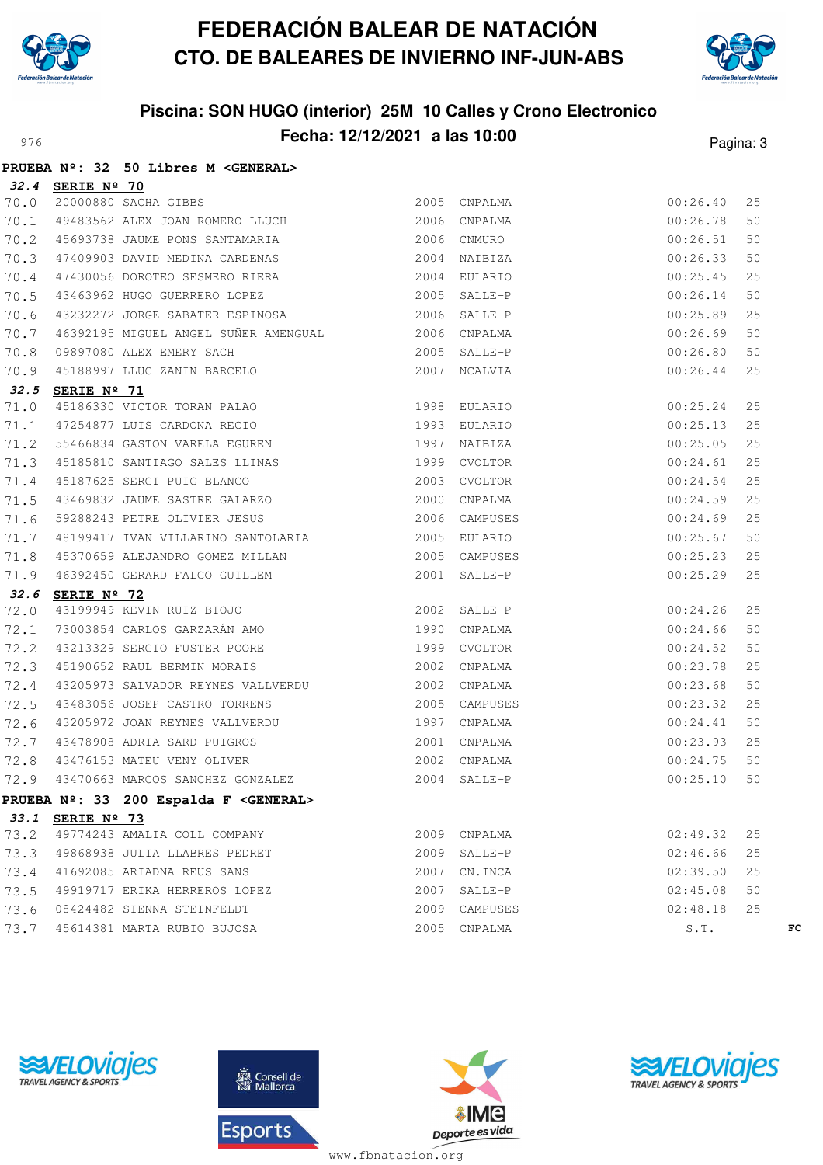

**PRUEBA Nº: 32 50 Libres M <GENERAL>**

# **FEDERACIÓN BALEAR DE NATACIÓN CTO. DE BALEARES DE INVIERNO INF-JUN-ABS**



## **Piscina: SON HUGO (interior) 25M 10 Calles y Crono Electronico** Pagina: **Fecha: 12/12/2021 a las 10:00** Pagina: 3

|      |                  | FRUEDA Nº. 32 JU LIDIES M \GENERALY                                                                                                                                                                                                                  |      |               |          |    |    |
|------|------------------|------------------------------------------------------------------------------------------------------------------------------------------------------------------------------------------------------------------------------------------------------|------|---------------|----------|----|----|
|      | 32.4 SERIE Nº 70 |                                                                                                                                                                                                                                                      |      |               |          |    |    |
| 70.0 |                  |                                                                                                                                                                                                                                                      |      |               | 00:26.40 | 25 |    |
| 70.1 |                  |                                                                                                                                                                                                                                                      |      |               | 00:26.78 | 50 |    |
| 70.2 |                  | 45693738 JAUME PONS SANTAMARIA 2006                                                                                                                                                                                                                  |      | CNMURO        | 00:26.51 | 50 |    |
| 70.3 |                  | 47409903 DAVID MEDINA CARDENAS 2004                                                                                                                                                                                                                  |      | NAIBIZA       | 00:26.33 | 50 |    |
| 70.4 |                  |                                                                                                                                                                                                                                                      |      |               | 00:25.45 | 25 |    |
| 70.5 |                  | 47430056 DOROTEO SESMERO RIERA 2004 EULARIO<br>43463962 HUGO GUERRERO LOPEZ 2005 SALLE-P                                                                                                                                                             |      |               | 00:26.14 | 50 |    |
| 70.6 |                  | 43232272 JORGE SABATER ESPINOSA 2006                                                                                                                                                                                                                 |      | SALLE-P       | 00:25.89 | 25 |    |
| 70.7 |                  |                                                                                                                                                                                                                                                      |      |               | 00:26.69 | 50 |    |
| 70.8 |                  |                                                                                                                                                                                                                                                      |      |               | 00:26.80 | 50 |    |
| 70.9 |                  |                                                                                                                                                                                                                                                      |      |               | 00:26.44 | 25 |    |
|      | 32.5 SERIE Nº 71 | 2006 SALLE-P<br>46392195 MIGUEL ANGEL SUÑER AMENGUAL<br>09897080 ALEX EMERY SACH<br>45188997 LLUC ZANIN BARCELO<br>2007 NCALVIA<br>2007 NCALVIA<br>2007 NCALVIA<br>2007 NCALVIA<br>2007 NCALVIA<br>2007 NCALVIA<br>2007 NCALVIA<br>45186330 VICTOR T |      |               |          |    |    |
| 71.0 |                  |                                                                                                                                                                                                                                                      |      |               | 00:25.24 | 25 |    |
| 71.1 |                  |                                                                                                                                                                                                                                                      |      |               | 00:25.13 | 25 |    |
| 71.2 |                  |                                                                                                                                                                                                                                                      |      |               | 00:25.05 | 25 |    |
| 71.3 |                  | 45185810 SANTIAGO SALES LLINAS (1999)<br>45187625 SERGI PUIG BLANCO (2003)<br>43469832 JAUME SASTRE GALARZO (2000)                                                                                                                                   |      | CVOLTOR       | 00:24.61 | 25 |    |
| 71.4 |                  |                                                                                                                                                                                                                                                      |      | CVOLTOR       | 00:24.54 | 25 |    |
| 71.5 |                  |                                                                                                                                                                                                                                                      |      | 2000 CNPALMA  | 00:24.59 | 25 |    |
| 71.6 |                  | 59288243 PETRE OLIVIER JESUS 2006                                                                                                                                                                                                                    |      | CAMPUSES      | 00:24.69 | 25 |    |
| 71.7 |                  | 48199417 IVAN VILLARINO SANTOLARIA 2005                                                                                                                                                                                                              |      | EULARIO       | 00:25.67 | 50 |    |
| 71.8 |                  |                                                                                                                                                                                                                                                      |      |               | 00:25.23 | 25 |    |
| 71.9 |                  | 45370659 ALEJANDRO GOMEZ MILLAN 2005 CAMPUSES<br>46392450 GERARD FALCO GUILLEM 2001 SALLE-P<br><b>SERIE Nº 72</b><br>43199949 KEVIN RUIZ BIOJO 2002 SALLE-P<br>73003854 CARLOS GARZARÁN AMO 1990 CNPALMA<br>43213329 SERGIO FUSTER POORE 1999        |      |               | 00:25.29 | 25 |    |
| 32.6 |                  |                                                                                                                                                                                                                                                      |      |               |          |    |    |
| 72.0 |                  |                                                                                                                                                                                                                                                      |      |               | 00:24.26 | 25 |    |
| 72.1 |                  |                                                                                                                                                                                                                                                      |      |               | 00:24.66 | 50 |    |
| 72.2 |                  |                                                                                                                                                                                                                                                      |      |               | 00:24.52 | 50 |    |
| 72.3 |                  |                                                                                                                                                                                                                                                      |      |               | 00:23.78 | 25 |    |
| 72.4 |                  | 43205973 SALVADOR REYNES VALLVERDU 2002                                                                                                                                                                                                              |      | CNPALMA       | 00:23.68 | 50 |    |
| 72.5 |                  | 43483056 JOSEP CASTRO TORRENS                                                                                                                                                                                                                        | 2005 | CAMPUSES      | 00:23.32 | 25 |    |
| 72.6 |                  |                                                                                                                                                                                                                                                      |      | CNPALMA       | 00:24.41 | 50 |    |
| 72.7 |                  | 43205972 JOAN REYNES VALLVERDU 1997<br>43478908 ADRIA SARD PUIGROS 2001<br>43476153 MATEU VENY OLIVER 2002<br>43470663 MARCOS SANGUEL 2007                                                                                                           |      | CNPALMA       | 00:23.93 | 25 |    |
| 72.8 |                  |                                                                                                                                                                                                                                                      |      | CNPALMA       | 00:24.75 | 50 |    |
| 72.9 |                  | 43470663 MARCOS SANCHEZ GONZALEZ                                                                                                                                                                                                                     | 2004 | SALLE-P       | 00:25.10 | 50 |    |
|      |                  | PRUEBA Nº: 33 200 Espalda F <general></general>                                                                                                                                                                                                      |      |               |          |    |    |
|      | 33.1 SERIE Nº 73 |                                                                                                                                                                                                                                                      |      |               |          |    |    |
| 73.2 |                  | 49774243 AMALIA COLL COMPANY                                                                                                                                                                                                                         |      | 2009 CNPALMA  | 02:49.32 | 25 |    |
| 73.3 |                  | 49868938 JULIA LLABRES PEDRET                                                                                                                                                                                                                        | 2009 | SALLE-P       | 02:46.66 | 25 |    |
| 73.4 |                  | 41692085 ARIADNA REUS SANS                                                                                                                                                                                                                           |      | 2007 CN.INCA  | 02:39.50 | 25 |    |
| 73.5 |                  | 49919717 ERIKA HERREROS LOPEZ                                                                                                                                                                                                                        |      | 2007 SALLE-P  | 02:45.08 | 50 |    |
| 73.6 |                  | 08424482 SIENNA STEINFELDT                                                                                                                                                                                                                           |      | 2009 CAMPUSES | 02:48.18 | 25 |    |
| 73.7 |                  | 45614381 MARTA RUBIO BUJOSA                                                                                                                                                                                                                          | 2005 | CNPALMA       | S.T.     |    | FC |







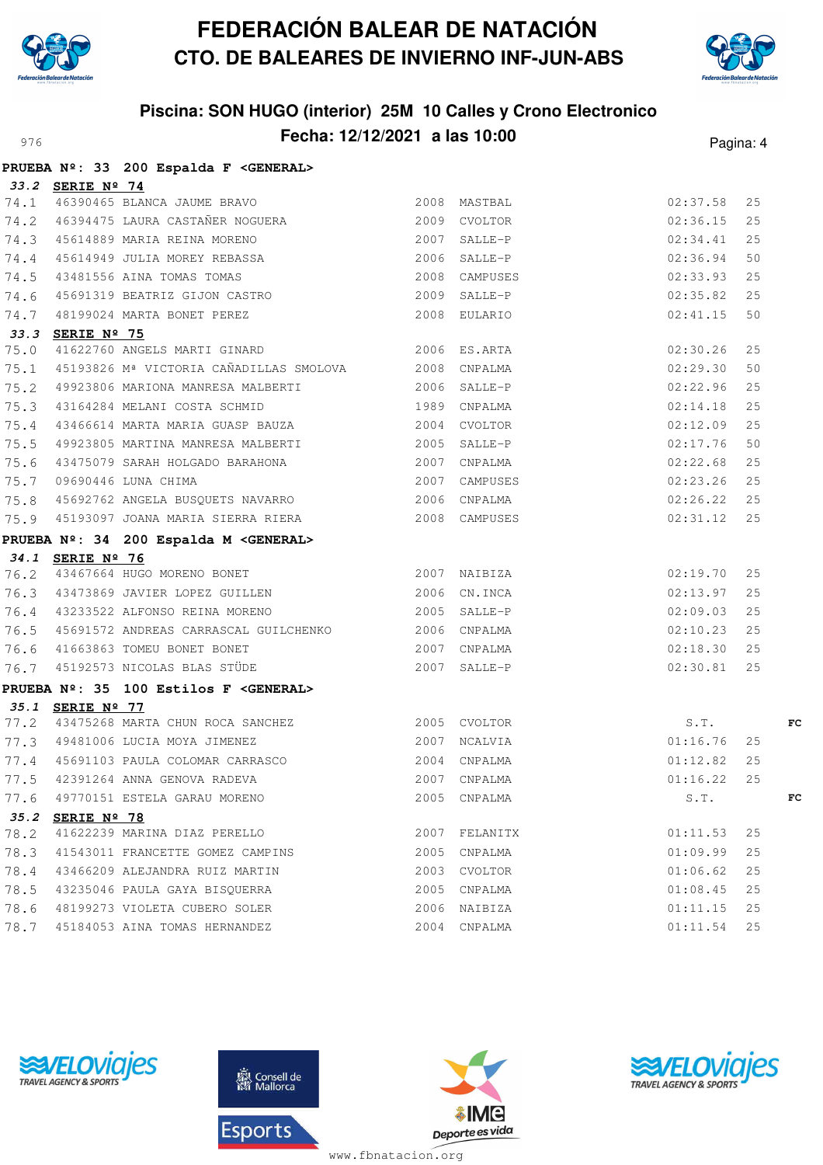



## **Piscina: SON HUGO (interior) 25M 10 Calles y Crono Electronico** Pagina: **Fecha: 12/12/2021 a las 10:00** Pagina: 4

|      |                  | PRUEBA Nº: 33 200 Espalda F < GENERAL>                                                                                                                                                                                    |      |              |               |    |    |
|------|------------------|---------------------------------------------------------------------------------------------------------------------------------------------------------------------------------------------------------------------------|------|--------------|---------------|----|----|
|      | 33.2 SERIE Nº 74 |                                                                                                                                                                                                                           |      |              |               |    |    |
|      |                  |                                                                                                                                                                                                                           |      |              | 02:37.58      | 25 |    |
|      |                  |                                                                                                                                                                                                                           |      |              | 02:36.15      | 25 |    |
|      |                  | 33.2 SERIE Nº 74<br>74.1 46390465 BLANCA JAUME BRAVO 2008 MASTBAL<br>74.2 46394475 LAURA CASTAÑER NOGUERA 2009 CVOLTOR<br>74.3 45614889 MARIA REINA MORENO 2007 SALLE-P<br>74.4 45614949 JULIA MOREY REBASSA 2006 SALLE-P |      |              | 02:34.41      | 25 |    |
|      |                  |                                                                                                                                                                                                                           |      |              | 02:36.94      | 50 |    |
|      |                  |                                                                                                                                                                                                                           |      |              | 02:33.93      | 25 |    |
|      |                  |                                                                                                                                                                                                                           |      |              | 02:35.82      | 25 |    |
|      |                  | 19.5 43481556 AINA TOMAS TOMAS (2008 CAMPUSES 2008 CAMPUSES 14.6 45691319 BEATRIZ GIJON CASTRO (2009 SALLE-P                                                                                                              |      |              | 02:41.15      | 50 |    |
|      | 33.3 SERIE Nº 75 |                                                                                                                                                                                                                           |      |              |               |    |    |
| 75.0 |                  | 41622760 ANGELS MARTI GINARD 2006 ES.ARTA                                                                                                                                                                                 |      |              | 02:30.26      | 25 |    |
| 75.1 |                  | 45193826 Mª VICTORIA CAÑADILLAS SMOLOVA 2008 CNPALMA                                                                                                                                                                      |      |              | 02:29.30      | 50 |    |
|      |                  | 75.2 49923806 MARIONA MANRESA MALBERTI 2006 SALLE-P                                                                                                                                                                       |      |              | 02:22.96      | 25 |    |
|      |                  | 75.3 43164284 MELANI COSTA SCHMID                                                                                                                                                                                         |      | 1989 CNPALMA | 02:14.18      | 25 |    |
| 75.4 |                  | 43466614 MARTA MARIA GUASP BAUZA 2004                                                                                                                                                                                     |      | CVOLTOR      | 02:12.09      | 25 |    |
| 75.5 |                  | 49923805 MARTINA MANRESA MALBERTI 2005 SALLE-P                                                                                                                                                                            |      |              | 02:17.76      | 50 |    |
|      |                  |                                                                                                                                                                                                                           |      |              | 02:22.68      | 25 |    |
|      |                  | 1918<br>1920 1007 CNPALMA<br>1920 100690446 LUNA CHIMA<br>1920 1007 CAMPUSES<br>1920 1006 2007 2006 CNPALMA                                                                                                               |      |              | $02:23.26$ 25 |    |    |
|      |                  |                                                                                                                                                                                                                           |      |              | 02:26.22 25   |    |    |
|      |                  | 75.9 45193097 JOANA MARIA SIERRA RIERA 2008 CAMPUSES                                                                                                                                                                      |      |              | 02:31.12      | 25 |    |
|      |                  | PRUEBA Nº: 34 200 Espalda M <general></general>                                                                                                                                                                           |      |              |               |    |    |
|      |                  | 34.1 SERIE Nº 76<br>76.2 43467664 HUGO MORENO BONET 2007 NAIBIZA                                                                                                                                                          |      |              |               |    |    |
|      |                  |                                                                                                                                                                                                                           |      |              | 02:19.70      | 25 |    |
|      |                  | 76.3 43473869 JAVIER LOPEZ GUILLEN 2006 CN.INCA                                                                                                                                                                           |      |              | 02:13.97      | 25 |    |
|      |                  | 76.4 43233522 ALFONSO REINA MORENO                                                                                                                                                                                        |      | 2005 SALLE-P | 02:09.03      | 25 |    |
|      |                  | 76.5 45691572 ANDREAS CARRASCAL GUILCHENKO 2006 CNPALMA                                                                                                                                                                   |      |              | $02:10.23$ 25 |    |    |
|      |                  | 76.6 41663863 TOMEU BONET BONET 2007 CNPALMA<br>76.7 45192573 NICOLAS BLAS STÜDE 2007 SALLE-P                                                                                                                             |      |              | 02:18.30      | 25 |    |
|      |                  |                                                                                                                                                                                                                           |      |              | 02:30.81      | 25 |    |
|      |                  | PRUEBA Nº: 35 100 Estilos F <general></general>                                                                                                                                                                           |      |              |               |    |    |
|      | 35.1 SERIE Nº 77 |                                                                                                                                                                                                                           |      |              |               |    |    |
|      |                  | 77.2 43475268 MARTA CHUN ROCA SANCHEZ 2005 CVOLTOR                                                                                                                                                                        |      |              | S.T.          |    | FC |
|      |                  | 77.3 49481006 LUCIA MOYA JIMENEZ 2007 NCALVIA                                                                                                                                                                             |      | 01:16.76     |               | 25 |    |
|      |                  | 77.4 45691103 PAULA COLOMAR CARRASCO                                                                                                                                                                                      |      | 2004 CNPALMA | 01:12.82      | 25 |    |
|      |                  | 77.5 42391264 ANNA GENOVA RADEVA                                                                                                                                                                                          |      | 2007 CNPALMA | 01:16.22 25   |    |    |
| 77.6 |                  | 49770151 ESTELA GARAU MORENO                                                                                                                                                                                              | 2005 | CNPALMA      | S.T.          |    | FC |
|      | 35.2 SERIE Nº 78 |                                                                                                                                                                                                                           |      |              |               |    |    |
| 78.2 |                  | 41622239 MARINA DIAZ PERELLO                                                                                                                                                                                              | 2007 | FELANITX     | 01:11.53      | 25 |    |
| 78.3 |                  | 41543011 FRANCETTE GOMEZ CAMPINS                                                                                                                                                                                          | 2005 | CNPALMA      | 01:09.99      | 25 |    |
| 78.4 |                  | 43466209 ALEJANDRA RUIZ MARTIN                                                                                                                                                                                            | 2003 | CVOLTOR      | 01:06.62      | 25 |    |
| 78.5 |                  | 43235046 PAULA GAYA BISQUERRA                                                                                                                                                                                             | 2005 | CNPALMA      | 01:08.45      | 25 |    |
| 78.6 |                  | 48199273 VIOLETA CUBERO SOLER                                                                                                                                                                                             |      | 2006 NAIBIZA | 01:11.15      | 25 |    |
| 78.7 |                  | 45184053 AINA TOMAS HERNANDEZ                                                                                                                                                                                             |      | 2004 CNPALMA | 01:11.54      | 25 |    |







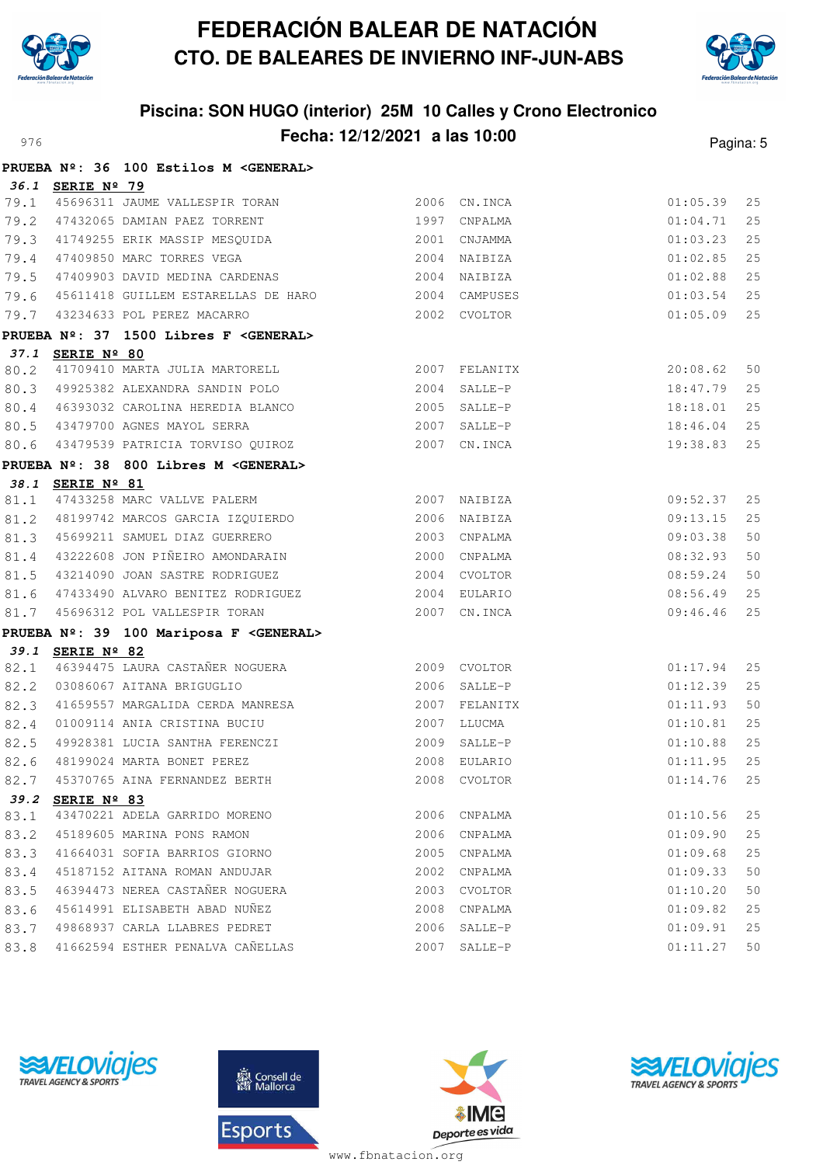



# **Piscina: SON HUGO (interior) 25M 10 Calles y Crono Electronico** Pagina: 5

|              |                      | PRUEBA Nº: 36 100 Estilos M <general></general>              |              |              |                      |          |
|--------------|----------------------|--------------------------------------------------------------|--------------|--------------|----------------------|----------|
|              | 36.1 SERIE Nº 79     |                                                              |              |              |                      |          |
| 79.1         |                      | 45696311 JAUME VALLESPIR TORAN 2006 CN.INCA                  |              |              | 01:05.39             | 25       |
| 79.2         |                      | 47432065 DAMIAN PAEZ TORRENT 1997 CNPALMA                    |              |              | 01:04.71             | 25       |
|              |                      | 79.3 41749255 ERIK MASSIP MESQUIDA                           | 2001 CNJAMMA |              | 01:03.23             | 25       |
| 79.4         |                      | 47409850 MARC TORRES VEGA                                    | 2004 NAIBIZA |              | 01:02.85             | 25       |
| 79.5         |                      | 47409903 DAVID MEDINA CARDENAS 2004 NAIBIZA                  |              |              | 01:02.88             | 25       |
| 79.6         |                      |                                                              |              |              | 01:03.54             | 25       |
| 79.7         |                      | 43234633 POL PEREZ MACARRO                                   | 2002 CVOLTOR |              | 01:05.09             | 25       |
|              |                      | PRUEBA Nº: 37 1500 Libres F <general></general>              |              |              |                      |          |
|              | 37.1 SERIE Nº 80     |                                                              |              |              |                      |          |
| 80.2         |                      | 41709410 MARTA JULIA MARTORELL 2007 FELANITX                 |              |              | 20:08.62             | 50       |
|              |                      | 80.3 49925382 ALEXANDRA SANDIN POLO                          |              | 2004 SALLE-P | 18:47.79             | 25       |
| 80.4         |                      | 46393032 CAROLINA HEREDIA BLANCO 2005 SALLE-P                |              |              | 18:18.01             | 25       |
|              |                      | 80.5 43479700 AGNES MAYOL SERRA                              | 2007 SALLE-P |              | 18:46.04             | 25       |
| 80.6         |                      |                                                              |              |              | 19:38.83             | 25       |
|              |                      | PRUEBA Nº: 38 800 Libres M <general></general>               |              |              |                      |          |
| 38.1         | SERIE Nº 81          |                                                              |              |              |                      |          |
| 81.1         |                      | 47433258 MARC VALLVE PALERM 2007 NAIBIZA                     |              |              | 09:52.37             | 25       |
|              |                      | 81.2 48199742 MARCOS GARCIA IZQUIERDO 2006 NAIBIZA           |              |              | 09:13.15             | 25       |
|              |                      | 81.3 45699211 SAMUEL DIAZ GUERRERO                           |              | 2003 CNPALMA | 09:03.38             | 50       |
| 81.4         |                      | 43222608 JON PIÑEIRO AMONDARAIN 2000 CNPALMA                 |              |              | 08:32.93             | 50       |
| 81.5         |                      | 43214090 JOAN SASTRE RODRIGUEZ 2004 CVOLTOR                  |              |              | 08:59.24             | 50       |
| 81.6         |                      |                                                              |              |              | 08:56.49             | 25       |
| 81.7         |                      |                                                              |              |              | 09:46.46             | 25       |
|              |                      | PRUEBA Nº: 39 100 Mariposa F <general></general>             |              |              |                      |          |
|              | 39.1 SERIE Nº 82     | 46394475 LAURA CASTAÑER NOGUERA 2009 CVOLTOR                 |              |              |                      |          |
| 82.1         |                      | 03086067 AITANA BRIGUGLIO                                    | 2006 SALLE-P |              | 01:17.94             | 25       |
| 82.2         |                      |                                                              |              |              | 01:12.39             | 25       |
| 82.3         |                      | 01009114 ANIA CRISTINA BUCIU                                 |              | 2007 LLUCMA  | 01:11.93             | 50<br>25 |
| 82.4<br>82.5 |                      |                                                              |              | 2009 SALLE-P | 01:10.81<br>01:10.88 | 25       |
|              |                      | 49928381 LUCIA SANTHA FERENCZI<br>48199024 MARTA BONET PEREZ |              | 2008 EULARIO | 01:11.95             | 25       |
| 82.6         |                      | 82.7 45370765 AINA FERNANDEZ BERTH 2008 CVOLTOR              |              |              | $01:14.76$ 25        |          |
| 39.2         | SERIE $N^{\circ}$ 83 |                                                              |              |              |                      |          |
| 83.1         |                      | 43470221 ADELA GARRIDO MORENO                                | 2006         | CNPALMA      | 01:10.56             | 25       |
| 83.2         |                      | 45189605 MARINA PONS RAMON                                   | 2006         | CNPALMA      | 01:09.90             | 25       |
| 83.3         |                      | 41664031 SOFIA BARRIOS GIORNO                                | 2005         | CNPALMA      | 01:09.68             | 25       |
| 83.4         |                      | 45187152 AITANA ROMAN ANDUJAR                                | 2002         | CNPALMA      | 01:09.33             | 50       |
| 83.5         |                      | 46394473 NEREA CASTAÑER NOGUERA                              | 2003         | CVOLTOR      | 01:10.20             | 50       |
| 83.6         |                      | 45614991 ELISABETH ABAD NUÑEZ                                | 2008         | CNPALMA      | 01:09.82             | 25       |
| 83.7         |                      | 49868937 CARLA LLABRES PEDRET                                | 2006         | SALLE-P      | 01:09.91             | 25       |
| 83.8         |                      | 41662594 ESTHER PENALVA CAÑELLAS                             | 2007         | SALLE-P      | 01:11.27             | 50       |







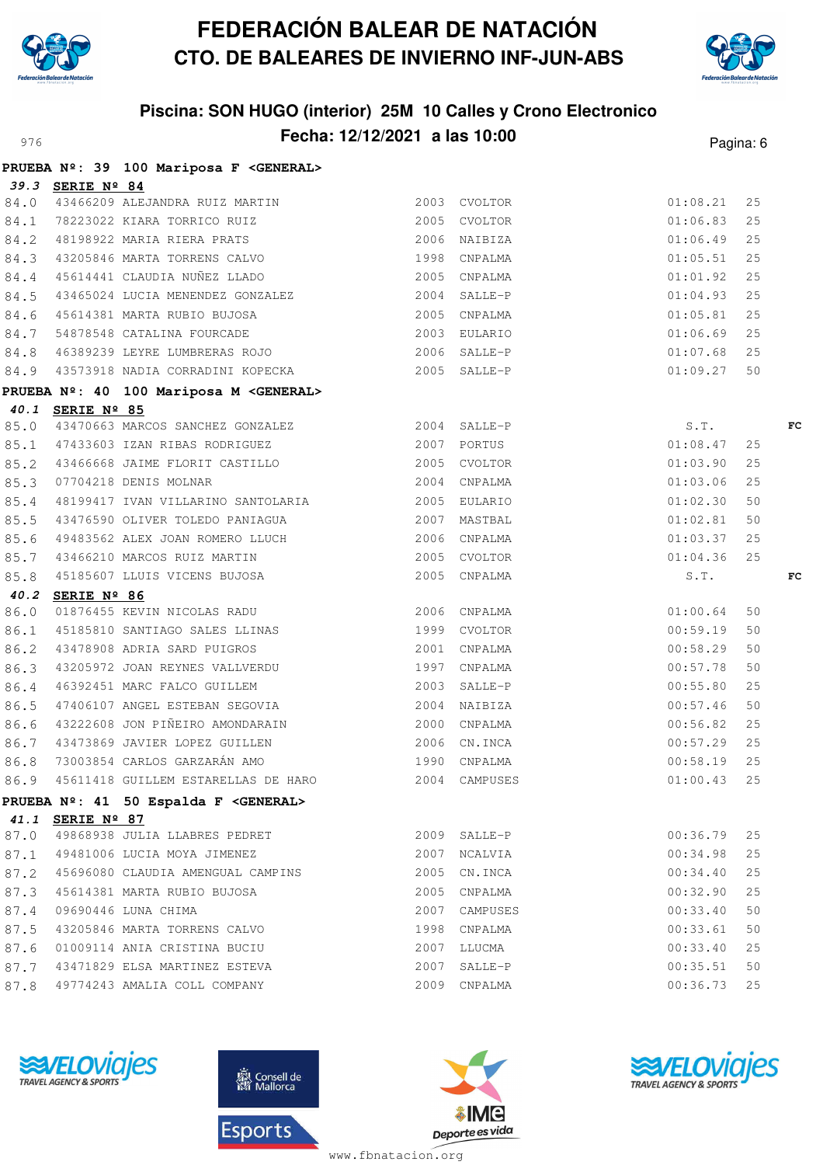



## **Piscina: SON HUGO (interior) 25M 10 Calles y Crono Electronico** Pagina: 6 **Fecha: 12/12/2021 a las 10:00** Pagina: 6

|      |                  | PRUEBA Nº: 39 100 Mariposa F <general></general>                                                                                                                                          |      |               |          |    |    |
|------|------------------|-------------------------------------------------------------------------------------------------------------------------------------------------------------------------------------------|------|---------------|----------|----|----|
|      | 39.3 SERIE Nº 84 |                                                                                                                                                                                           |      |               |          |    |    |
|      |                  | 84.0 43466209 ALEJANDRA RUIZ MARTIN 2003 CVOLTOR                                                                                                                                          |      |               | 01:08.21 | 25 |    |
|      |                  | 84.1 78223022 KIARA TORRICO RUIZ<br>84.2 48198922 MARIA RIERA PRATS 2006 NAIBIZA<br>84.3 43205846 MARIA TORRENS CALVO 1998 CNPALMA                                                        |      |               | 01:06.83 | 25 |    |
|      |                  |                                                                                                                                                                                           |      |               | 01:06.49 | 25 |    |
|      |                  |                                                                                                                                                                                           |      |               | 01:05.51 | 25 |    |
|      |                  | 84.4 45614441 CLAUDIA NUÑEZ LLADO 2005 CNPALMA                                                                                                                                            |      |               | 01:01.92 | 25 |    |
|      |                  | 84.5 43465024 LUCIA MENENDEZ GONZALEZ<br>84.6 45614381 MARTA RUBIO BUJOSA 2005 CNPALMA<br>84.7 54878548 CATALINA FOURCADE 2003 EULARIO<br>84.8 46389239 LEYRE LUMBRERAS ROJO 2006 SALLE-P |      |               | 01:04.93 | 25 |    |
|      |                  |                                                                                                                                                                                           |      |               | 01:05.81 | 25 |    |
|      |                  |                                                                                                                                                                                           |      |               | 01:06.69 | 25 |    |
|      |                  |                                                                                                                                                                                           |      |               | 01:07.68 | 25 |    |
|      |                  | 84.9 43573918 NADIA CORRADINI KOPECKA 2005 SALLE-P                                                                                                                                        |      |               | 01:09.27 | 50 |    |
|      |                  | PRUEBA Nº: 40 100 Mariposa M <general></general>                                                                                                                                          |      |               |          |    |    |
|      | 40.1 SERIE Nº 85 |                                                                                                                                                                                           |      |               |          |    |    |
|      |                  | 85.0 43470663 MARCOS SANCHEZ GONZALEZ 2004 SALLE-P                                                                                                                                        |      |               | S.T.     |    | FC |
|      |                  | 85.1 47433603 IZAN RIBAS RODRIGUEZ<br>85.2 43466668 JAIME FLORIT CASTILLO 2005 CVOLTOR<br>85.3 07704218 DENIS MOLNAR 2004 CNPALMA                                                         |      |               | 01:08.47 | 25 |    |
|      |                  |                                                                                                                                                                                           |      |               | 01:03.90 | 25 |    |
|      |                  |                                                                                                                                                                                           |      |               | 01:03.06 | 25 |    |
|      |                  |                                                                                                                                                                                           |      |               | 01:02.30 | 50 |    |
|      |                  | 85.5 43476590 OLIVER TOLEDO PANIAGUA (2007 MASTBAL)<br>85.6 49483562 ALEX JOAN ROMERO LLUCH (2006 CNPALMA                                                                                 |      |               | 01:02.81 | 50 |    |
|      |                  |                                                                                                                                                                                           |      |               | 01:03.37 | 25 |    |
|      |                  | 85.7 43466210 MARCOS RUIZ MARTIN 2005 CVOLTOR                                                                                                                                             |      |               | 01:04.36 | 25 |    |
|      |                  | 85.8 45185607 LLUIS VICENS BUJOSA 2005 CNPALMA                                                                                                                                            |      |               | S.T.     |    | FC |
|      | 40.2 SERIE Nº 86 |                                                                                                                                                                                           |      |               |          |    |    |
|      |                  |                                                                                                                                                                                           |      |               | 01:00.64 | 50 |    |
|      |                  |                                                                                                                                                                                           |      |               | 00:59.19 | 50 |    |
|      |                  |                                                                                                                                                                                           |      |               | 00:58.29 | 50 |    |
|      |                  |                                                                                                                                                                                           |      |               | 00:57.78 | 50 |    |
|      |                  | 86.4 46392451 MARC FALCO GUILLEM 2003 SALLE-P<br>86.5 47406107 ANGEL ESTEBAN SEGOVIA 2004 NAIBIZA                                                                                         |      |               | 00:55.80 | 25 |    |
|      |                  |                                                                                                                                                                                           |      |               | 00:57.46 | 50 |    |
|      |                  | 86.6 43222608 JON PIÑEIRO AMONDARAIN 2000 CNPALMA                                                                                                                                         |      |               | 00:56.82 | 25 |    |
|      |                  | 86.7 43473869 JAVIER LOPEZ GUILLEN 2006 CN.INCA                                                                                                                                           |      |               | 00:57.29 | 25 |    |
|      |                  | 86.8 73003854 CARLOS GARZARÁN AMO<br>1990 CNPALMA                                                                                                                                         |      |               | 00:58.19 | 25 |    |
|      |                  | 86.9 45611418 GUILLEM ESTARELLAS DE HARO                                                                                                                                                  |      | 2004 CAMPUSES | 01:00.43 | 25 |    |
|      |                  | PRUEBA Nº: 41 50 Espalda F <general></general>                                                                                                                                            |      |               |          |    |    |
|      | 41.1 SERIE Nº 87 |                                                                                                                                                                                           |      |               |          |    |    |
|      |                  | 87.0 49868938 JULIA LLABRES PEDRET                                                                                                                                                        |      | 2009 SALLE-P  | 00:36.79 | 25 |    |
|      |                  | 87.1 49481006 LUCIA MOYA JIMENEZ                                                                                                                                                          |      | 2007 NCALVIA  | 00:34.98 | 25 |    |
|      |                  | 87.2 45696080 CLAUDIA AMENGUAL CAMPINS                                                                                                                                                    |      | 2005 CN. INCA | 00:34.40 | 25 |    |
|      |                  | 87.3 45614381 MARTA RUBIO BUJOSA                                                                                                                                                          |      | 2005 CNPALMA  | 00:32.90 | 25 |    |
| 87.4 |                  | 09690446 LUNA CHIMA                                                                                                                                                                       |      | 2007 CAMPUSES | 00:33.40 | 50 |    |
| 87.5 |                  | 43205846 MARTA TORRENS CALVO                                                                                                                                                              |      | 1998 CNPALMA  | 00:33.61 | 50 |    |
| 87.6 |                  | 01009114 ANIA CRISTINA BUCIU                                                                                                                                                              |      | 2007 LLUCMA   | 00:33.40 | 25 |    |
| 87.7 |                  | 43471829 ELSA MARTINEZ ESTEVA                                                                                                                                                             | 2007 | SALLE-P       | 00:35.51 | 50 |    |
| 87.8 |                  | 49774243 AMALIA COLL COMPANY                                                                                                                                                              |      | 2009 CNPALMA  | 00:36.73 | 25 |    |







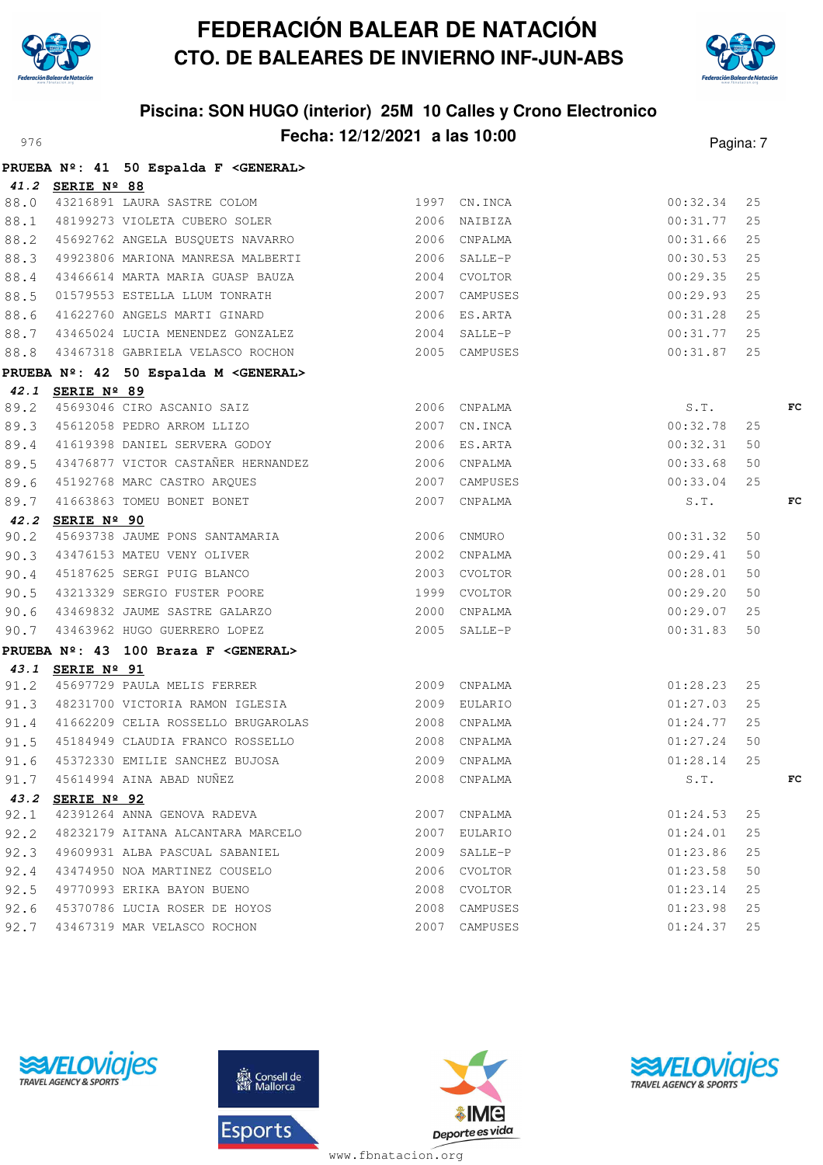



### **Piscina: SON HUGO (interior) 25M 10 Calles y Crono Electronico** Pagina: **Fecha: 12/12/2021 a las 10:00** Pagina: 7

|      |                  | PRUEBA Nº: 41 50 Espalda F < GENERAL>                                                                                                          |              |               |               |    |    |
|------|------------------|------------------------------------------------------------------------------------------------------------------------------------------------|--------------|---------------|---------------|----|----|
|      | 41.2 SERIE Nº 88 |                                                                                                                                                |              |               |               |    |    |
|      |                  | 98.0 43216891 LAURA SASTRE COLOM 1997 CN.INCA<br>88.1 48199273 VIOLETA CUBERO SOLER 2006 NAIBIZA                                               |              |               | 00:32.34      | 25 |    |
|      |                  |                                                                                                                                                |              |               | 00:31.77      | 25 |    |
|      |                  | 88.2 45692762 ANGELA BUSQUETS NAVARRO 2006 CNPALMA                                                                                             |              |               | $00:31.66$ 25 |    |    |
|      |                  | 88.3 49923806 MARIONA MANRESA MALBERTI 2006 SALLE-P                                                                                            |              |               | $00:30.53$ 25 |    |    |
|      |                  | 88.4 43466614 MARTA MARIA GUASP BAUZA 2004 CVOLTOR                                                                                             |              |               | $00:29.35$ 25 |    |    |
|      |                  | 88.5 01579553 ESTELLA LLUM TONRATH 2007 CAMPUSES                                                                                               |              |               | $00:29.93$ 25 |    |    |
|      |                  | 88.6 41622760 ANGELS MARTI GINARD 2006 ES.ARTA                                                                                                 |              |               | $00:31.28$ 25 |    |    |
|      |                  | 88.7 43465024 LUCIA MENENDEZ GONZALEZ 62004 SALLE-P                                                                                            |              |               | $00:31.77$ 25 |    |    |
|      |                  | 88.8 43467318 GABRIELA VELASCO ROCHON 2005 CAMPUSES                                                                                            |              |               | $00:31.87$ 25 |    |    |
|      |                  | PRUEBA Nº: 42 50 Espalda M <general></general>                                                                                                 |              |               |               |    |    |
|      | 42.1 SERIE Nº 89 |                                                                                                                                                |              |               |               |    |    |
|      |                  |                                                                                                                                                |              |               | S.T.          |    | FC |
|      |                  | 89.2 45693046 CIRO ASCANIO SAIZ<br>89.3 45612058 PEDRO ARROM LLIZO 2007 CN.INCA                                                                |              |               | 00:32.78      | 25 |    |
|      |                  | 89.4 41619398 DANIEL SERVERA GODOY                                                                                                             |              | 2006 ES.ARTA  | 00:32.31      | 50 |    |
|      |                  | 89.5 43476877 VICTOR CASTAÑER HERNANDEZ 2006 CNPALMA                                                                                           |              |               | 00:33.68      | 50 |    |
|      |                  |                                                                                                                                                |              |               | 00:33.04      | 25 |    |
|      |                  | 89.6 45192768 MARC CASTRO ARQUES 2007 CAMPUSES<br>89.7 41663863 TOMEU BONET BONET 2007 CNPALMA                                                 |              |               | S.T.          |    | FC |
|      | 42.2 SERIE Nº 90 |                                                                                                                                                |              |               |               |    |    |
|      |                  | 90.2 SERIE N <sup>2</sup> SU<br>90.2 45693738 JAUME PONS SANTAMARIA 2006 CNMURO                                                                |              |               | 00:31.32      | 50 |    |
|      |                  | 90.3 43476153 MATEU VENY OLIVER 2002 CNPALMA<br>90.4 45187625 SERGI PUIG BLANCO 2003 CVOLTOR<br>90.5 43213329 SERGIO FUSTER POORE 1999 CVOLTOR |              |               | 00:29.41      | 50 |    |
|      |                  |                                                                                                                                                |              |               | 00:28.01      | 50 |    |
|      |                  |                                                                                                                                                |              |               | 00:29.20 50   |    |    |
|      |                  | 90.6 43469832 JAUME SASTRE GALARZO                                                                                                             |              | 2000 CNPALMA  | 00:29.07 25   |    |    |
|      |                  | 90.7 43463962 HUGO GUERRERO LOPEZ 2005 SALLE-P                                                                                                 |              |               | 00:31.83      | 50 |    |
|      |                  | PRUEBA Nº: 43 100 Braza F <general></general>                                                                                                  |              |               |               |    |    |
|      | 43.1 SERIE Nº 91 |                                                                                                                                                |              |               |               |    |    |
|      |                  | 91.2 45697729 PAULA MELIS FERRER 2009 CNPALMA                                                                                                  |              |               | 01:28.23      | 25 |    |
|      |                  | 91.3 48231700 VICTORIA RAMON IGLESIA 62009 EULARIO                                                                                             |              |               | 01:27.03      | 25 |    |
|      |                  | 91.4  41662209 CELIA ROSSELLO BRUGAROLAS  2008 CNPALMA                                                                                         |              |               | 01:24.77 25   |    |    |
|      |                  | 91.5 45184949 CLAUDIA FRANCO ROSSELLO                                                                                                          | 2008 CNPALMA |               | 01:27.24      | 50 |    |
|      |                  |                                                                                                                                                |              |               | 01:28.14      | 25 |    |
|      |                  |                                                                                                                                                |              |               | S.T.          |    | FC |
| 43.2 | SERIE Nº 92      |                                                                                                                                                |              |               |               |    |    |
| 92.1 |                  | 42391264 ANNA GENOVA RADEVA                                                                                                                    |              | 2007 CNPALMA  | 01:24.53      | 25 |    |
|      |                  | 92.2 48232179 AITANA ALCANTARA MARCELO                                                                                                         |              | 2007 EULARIO  | 01:24.01      | 25 |    |
|      |                  | 92.3 49609931 ALBA PASCUAL SABANIEL                                                                                                            |              | 2009 SALLE-P  | 01:23.86      | 25 |    |
| 92.4 |                  | 43474950 NOA MARTINEZ COUSELO                                                                                                                  |              | 2006 CVOLTOR  | 01:23.58      | 50 |    |
| 92.5 |                  | 49770993 ERIKA BAYON BUENO                                                                                                                     |              | 2008 CVOLTOR  | 01:23.14      | 25 |    |
| 92.6 |                  | 45370786 LUCIA ROSER DE HOYOS                                                                                                                  |              | 2008 CAMPUSES | 01:23.98      | 25 |    |
| 92.7 |                  | 43467319 MAR VELASCO ROCHON                                                                                                                    |              | 2007 CAMPUSES | 01:24.37      | 25 |    |







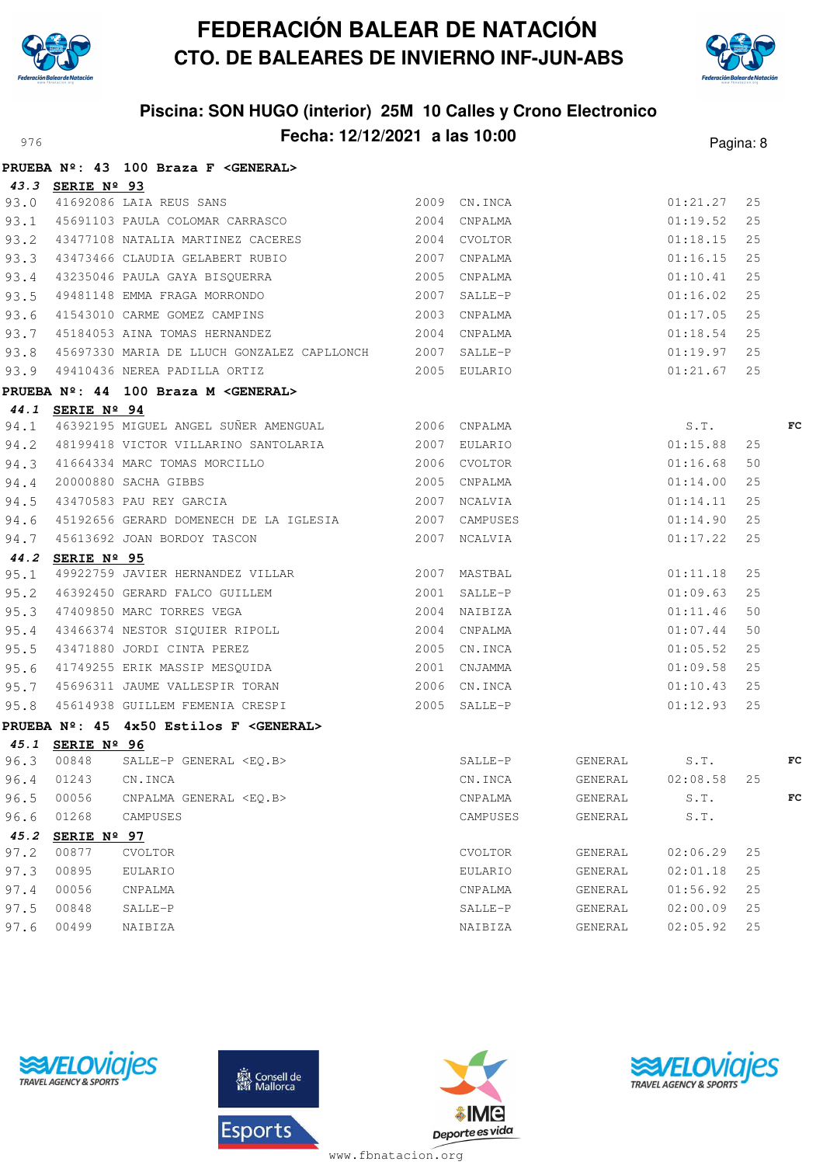



## **Piscina: SON HUGO (interior) 25M 10 Calles y Crono Electronico** Pagina: 8

|      |                    | PRUEBA Nº: 43 100 Braza F < GENERAL>                                                                                                                                                                                                   |                |                             |               |    |    |
|------|--------------------|----------------------------------------------------------------------------------------------------------------------------------------------------------------------------------------------------------------------------------------|----------------|-----------------------------|---------------|----|----|
|      |                    | 43.3 SERIE Nº 93<br>93.0 41692086 LAIA REUS SANS 2009 CN.INCA<br>93.1 45691103 PAULA COLOMAR CARRASCO 2004 CNPALMA                                                                                                                     |                |                             |               |    |    |
|      |                    |                                                                                                                                                                                                                                        |                |                             | 01:21.27      | 25 |    |
|      |                    |                                                                                                                                                                                                                                        |                |                             | 01:19.52      | 25 |    |
|      |                    | 93.2 43477108 NATALIA MARTINEZ CACERES 2004 CVOLTOR                                                                                                                                                                                    |                |                             | 01:18.15      | 25 |    |
|      |                    | 93.3 43473466 CLAUDIA GELABERT RUBIO 2007 CNPALMA                                                                                                                                                                                      |                |                             | 01:16.15      | 25 |    |
|      |                    |                                                                                                                                                                                                                                        |                |                             | 01:10.41      | 25 |    |
|      |                    | 93.4 43235046 PAULA GAYA BISQUERRA<br>93.5 49481148 EMMA FRAGA MORRONDO 2007 SALLE-P<br>93.6 41543010 CARME GOMEZ CAMPINS 2003 CNPALMA<br>93.7 45184053 AINA TOMAS HERNANDEZ 2004 CNPALMA                                              |                |                             | 01:16.02      | 25 |    |
|      |                    |                                                                                                                                                                                                                                        |                |                             | 01:17.05      | 25 |    |
|      |                    |                                                                                                                                                                                                                                        |                |                             | 01:18.54      | 25 |    |
|      |                    |                                                                                                                                                                                                                                        |                |                             |               |    |    |
|      |                    | 93.8 45697330 MARIA DE LLUCH GONZALEZ CAPLLONCH 2007 SALLE-P (1:19.97 25<br>93.9 49410436 NEREA PADILLA ORTIZ 2005 EULARIO (1:21.67 25                                                                                                 |                |                             |               |    |    |
|      |                    | PRUEBA Nº: 44 100 Braza M < GENERAL>                                                                                                                                                                                                   |                |                             |               |    |    |
|      | 44.1 SERIE Nº 94   |                                                                                                                                                                                                                                        |                |                             |               |    |    |
|      |                    | 94.1 46392195 MIGUEL ANGEL SUÑER AMENGUAL 6 2006 CNPALMA 63.T.<br>194.2 48199418 VICTOR VILLARINO SANTOLARIA 2007 EULARIO 62007 EULARIO 61:15.88 25                                                                                    |                |                             |               |    | FC |
|      |                    | 94.2 48199418 VICTOR VILLARINO SANTOLARIA 62007 EULARIO                                                                                                                                                                                |                |                             |               |    |    |
|      |                    |                                                                                                                                                                                                                                        |                |                             | 01:16.68      | 50 |    |
|      |                    |                                                                                                                                                                                                                                        |                |                             | 01:14.00      | 25 |    |
|      |                    | 94.3 41664334 MARC TOMAS MORCILLO 2006 CVOLTOR<br>94.4 20000880 SACHA GIBBS 2005 CNPALMA<br>94.5 43470583 PAU REY GARCIA 2007 NCALVIA                                                                                                  |                |                             | 01:14.11      | 25 |    |
|      |                    |                                                                                                                                                                                                                                        |                |                             | 01:14.90      | 25 |    |
|      |                    | 94.6 45192656 GERARD DOMENECH DE LA IGLESIA 2007 CAMPUSES<br>94.7 45613692 JOAN BORDOY TASCON 2007 NCALVIA                                                                                                                             |                |                             | 01:17.22      | 25 |    |
|      | 44.2 SERIE Nº 95   |                                                                                                                                                                                                                                        |                |                             |               |    |    |
| 95.1 |                    | 49922759 JAVIER HERNANDEZ VILLAR 2007 MASTBAL                                                                                                                                                                                          |                |                             | 01:11.18      | 25 |    |
|      |                    |                                                                                                                                                                                                                                        |                |                             |               | 25 |    |
|      |                    | 95.1 49922759 JAVIEA RENVANUEL VIERAN.<br>95.2 46392450 GERARD FALCO GUILLEM 2001 SALLE-P 01:09.63 2<br>95.3 47409850 MARC TORRES VEGA 2004 NAIBIZA 01:11.46 5<br>95.4 43466374 NESTOR SIQUIER RIPOLL 2004 CNPALMA 01:07.44<br>95.5 43 |                |                             |               | 50 |    |
|      |                    |                                                                                                                                                                                                                                        |                |                             |               | 50 |    |
|      |                    |                                                                                                                                                                                                                                        |                |                             |               | 25 |    |
|      |                    |                                                                                                                                                                                                                                        |                |                             | $01:09.58$ 25 |    |    |
|      |                    | 95.7 45696311 JAUME VALLESPIR TORAN 2006 CN.INCA<br>95.8 45614938 GUILLEM FEMENIA CRESPI 2005 SALLE-P                                                                                                                                  |                |                             | 01:10.43      | 25 |    |
|      |                    |                                                                                                                                                                                                                                        |                |                             | 01:12.93      | 25 |    |
|      |                    | PRUEBA Nº: 45 4x50 Estilos F <general></general>                                                                                                                                                                                       |                |                             |               |    |    |
|      | 45.1 SERIE Nº 96   |                                                                                                                                                                                                                                        |                |                             |               |    |    |
|      | 96.3 00848         | SALLE-P GENERAL <eq.b> SALLE-P GENERAL S.T. FO</eq.b>                                                                                                                                                                                  |                |                             |               |    |    |
|      | 96.4 01243 CN.INCA |                                                                                                                                                                                                                                        |                | CN.INCA GENERAL 02:08.58 25 |               |    |    |
| 96.5 | 00056              | CNPALMA GENERAL <eo.b></eo.b>                                                                                                                                                                                                          | CNPALMA        | GENERAL                     | S.T.          |    | FC |
| 96.6 | 01268              | CAMPUSES                                                                                                                                                                                                                               | CAMPUSES       | GENERAL                     | S.T.          |    |    |
| 45.2 | SERIE Nº 97        |                                                                                                                                                                                                                                        |                |                             |               |    |    |
| 97.2 | 00877              | <b>CVOLTOR</b>                                                                                                                                                                                                                         | <b>CVOLTOR</b> | GENERAL                     | 02:06.29      | 25 |    |
| 97.3 | 00895              | EULARIO                                                                                                                                                                                                                                | EULARIO        | GENERAL                     | 02:01.18      | 25 |    |
| 97.4 | 00056              | CNPALMA                                                                                                                                                                                                                                | CNPALMA        | GENERAL                     | 01:56.92      | 25 |    |
| 97.5 | 00848              | SALLE-P                                                                                                                                                                                                                                | SALLE-P        | GENERAL                     | 02:00.09      | 25 |    |
| 97.6 | 00499              | NAIBIZA                                                                                                                                                                                                                                | NAIBIZA        | GENERAL                     | 02:05.92      | 25 |    |





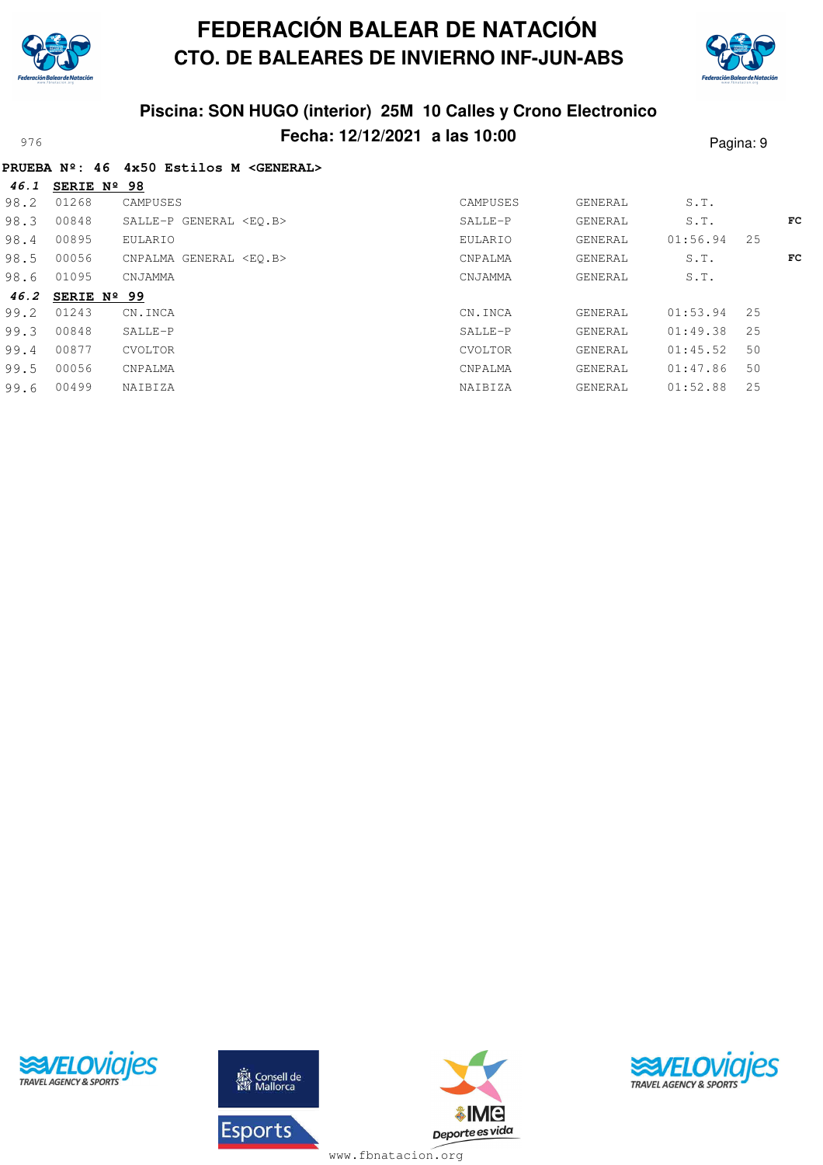

**46.1 SERIE Nº 98**

# **FEDERACIÓN BALEAR DE NATACIÓN CTO. DE BALEARES DE INVIERNO INF-JUN-ABS**



### **Piscina: SON HUGO (interior) 25M 10 Calles y Crono Electronico** Pecha: 12/12/2021 a las 10:00<br>
Pagina: 9

|  |  |  | PRUEBA Nº: 46 4x50 Estilos M <general></general> |
|--|--|--|--------------------------------------------------|
|  |  |  |                                                  |

| 70.1 | JERIE N- JO          |                               |          |         |          |    |     |
|------|----------------------|-------------------------------|----------|---------|----------|----|-----|
| 98.2 | 01268                | CAMPUSES                      | CAMPUSES | GENERAL | S.T.     |    |     |
| 98.3 | 00848                | SALLE-P GENERAL <eo.b></eo.b> | SALLE-P  | GENERAL | S.T.     |    | FC. |
| 98.4 | 00895                | EULARIO                       | EULARIO  | GENERAL | 01:56.94 | 25 |     |
| 98.5 | 00056                | CNPALMA GENERAL <eo.b></eo.b> | CNPALMA  | GENERAL | S.T.     |    | FC  |
| 98.6 | 01095                | CNJAMMA                       | CNJAMMA  | GENERAL | S.T.     |    |     |
| 46.2 | SERIE $N^{\circ}$ 99 |                               |          |         |          |    |     |
| 99.2 | 01243                | CN.INCA                       | CN.INCA  | GENERAL | 01:53.94 | 25 |     |
| 99.3 | 00848                | SALLE-P                       | SALLE-P  | GENERAL | 01:49.38 | 25 |     |
| 99.4 | 00877                | <b>CVOLTOR</b>                | CVOLTOR  | GENERAL | 01:45.52 | 50 |     |
| 99.5 | 00056                | CNPALMA                       | CNPALMA  | GENERAL | 01:47.86 | 50 |     |
| 99.6 | 00499                | NAIBIZA                       | NAIBIZA  | GENERAL | 01:52.88 | 25 |     |
|      |                      |                               |          |         |          |    |     |





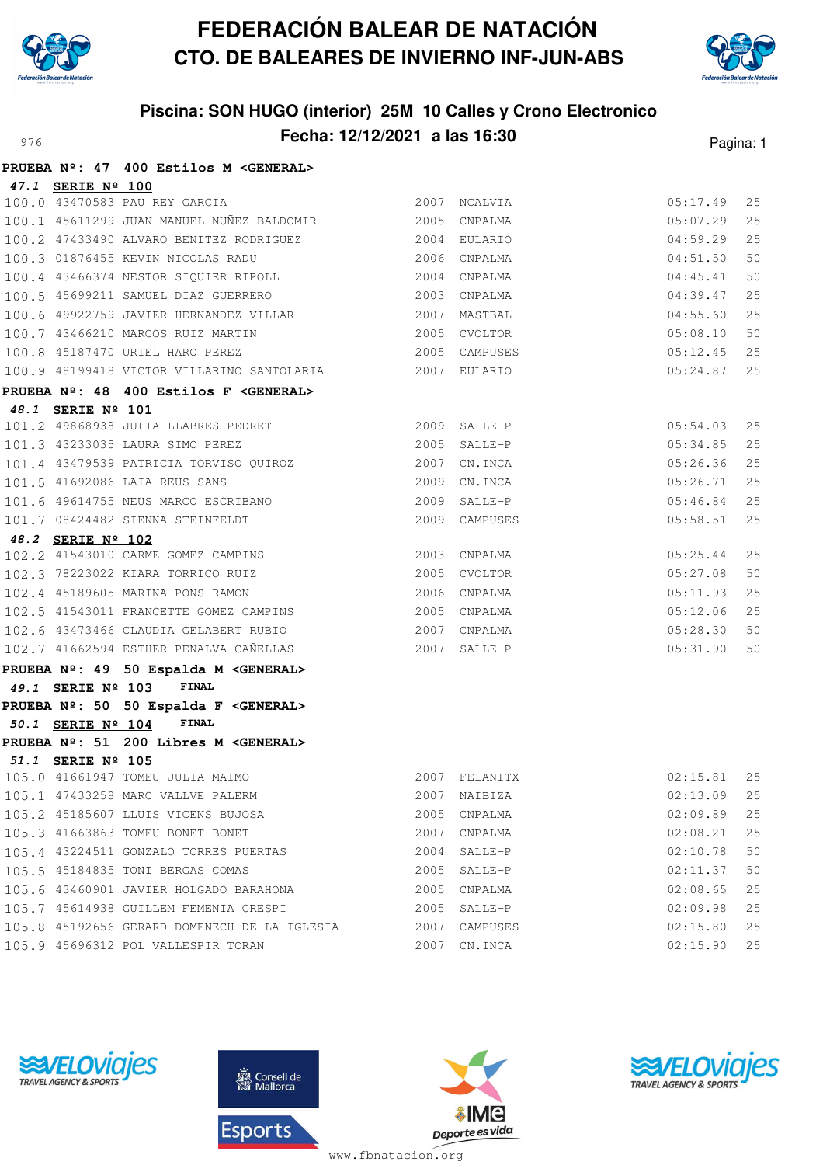



# **Piscina: SON HUGO (interior) 25M 10 Calles y Crono Electronico** Pagina: 12/12/2021 **a las 16:30** Pagina: 1

|                   | PRUEBA Nº: 47 400 Estilos M <general></general>                                 |                |                              |                      |          |
|-------------------|---------------------------------------------------------------------------------|----------------|------------------------------|----------------------|----------|
| 47.1 SERIE Nº 100 |                                                                                 |                |                              |                      |          |
|                   | 100.0 43470583 PAU REY GARCIA                                                   |                | 2007 NCALVIA                 | 05:17.49             | 25       |
|                   | 100.1 45611299 JUAN MANUEL NUÑEZ BALDOMIR<br>$\,$ 2005 CNPALMA                  |                |                              | 05:07.29             | 25       |
|                   | 100.2 47433490 ALVARO BENITEZ RODRIGUEZ                                         |                | 2004 EULARIO                 | 04:59.29             | 25       |
|                   | 100.3 01876455 KEVIN NICOLAS RADU                                               | 2006 CNPALMA   |                              | 04:51.50             | 50       |
|                   | 100.4 43466374 NESTOR SIQUIER RIPOLL                                            | 2004           | CNPALMA                      | 04:45.41             | 50       |
|                   | 100.5 45699211 SAMUEL DIAZ GUERRERO                                             |                | 2003 CNPALMA                 | 04:39.47             | 25       |
|                   | 100.6 49922759 JAVIER HERNANDEZ VILLAR                                          |                | 2007 MASTBAL                 | 04:55.60             | 25       |
|                   | 100.7 43466210 MARCOS RUIZ MARTIN                                               |                | 2005 CVOLTOR                 | 05:08.10             | 50       |
|                   | 100.8 45187470 URIEL HARO PEREZ                                                 | 2005 CAMPUSES  |                              | 05:12.45             | 25       |
|                   | 100.9 48199418 VICTOR VILLARINO SANTOLARIA 2007 EULARIO                         |                |                              | 05:24.87             | 25       |
|                   | PRUEBA Nº: 48 400 Estilos F < GENERAL>                                          |                |                              |                      |          |
| 48.1 SERIE Nº 101 |                                                                                 |                |                              |                      |          |
|                   | 101.2 49868938 JULIA LLABRES PEDRET                                             |                | 2009 SALLE-P                 | 05:54.03             | 25       |
|                   | 101.3 43233035 LAURA SIMO PEREZ                                                 | $2005$ SALLE-P |                              | 05:34.85             | 25       |
|                   | 101.4 43479539 PATRICIA TORVISO QUIROZ<br>101 5 41692086 LAIA REUS SANS         |                | 2007 CN.INCA                 | 05:26.36             | 25       |
|                   |                                                                                 |                | 2009 CN.INCA                 | 05:26.71             | 25       |
|                   | 101.6 49614755 NEUS MARCO ESCRIBANO                                             |                | 2009 SALLE-P                 | 05:46.84             | 25       |
|                   | 101.7 08424482 SIENNA STEINFELDT                                                |                | 2009 CAMPUSES                | 05:58.51             | 25       |
| 48.2 SERIE Nº 102 |                                                                                 |                |                              |                      |          |
|                   | 102.2 41543010 CARME GOMEZ CAMPINS                                              |                | 2003 CNPALMA                 | 05:25.44             | 25<br>50 |
|                   | 102.3 78223022 KIARA TORRICO RUIZ<br>102.4 45189605 MARINA PONS RAMON           |                | 2005 CVOLTOR<br>2006 CNPALMA | 05:27.08<br>05:11.93 | 25       |
|                   | 102.5 41543011 FRANCETTE GOMEZ CAMPINS                                          |                | 2005 CNPALMA                 | 05:12.06             | 25       |
|                   |                                                                                 |                | 2007 CNPALMA                 | 05:28.30             | 50       |
|                   | 102.6 43473466 CLAUDIA GELABERT RUBIO<br>102.7 41662594 ESTHER PENALVA CAÑELLAS | $2007$ SALLE-P |                              | 05:31.90             | 50       |
|                   |                                                                                 |                |                              |                      |          |
|                   | PRUEBA Nº: 49 50 Espalda M < GENERAL><br>FINAL                                  |                |                              |                      |          |
| 49.1 SERIE Nº 103 |                                                                                 |                |                              |                      |          |
| 50.1 SERIE Nº 104 | PRUEBA Nº: 50 50 Espalda F <general><br/>FINAL</general>                        |                |                              |                      |          |
|                   | PRUEBA Nº: 51 200 Libres M < GENERAL>                                           |                |                              |                      |          |
| 51.1 SERIE Nº 105 |                                                                                 |                |                              |                      |          |
|                   | 105.0 41661947 TOMEU JULIA MAIMO                                                |                | 2007 FELANITX                | $02:15.81$ 25        |          |
|                   | 105.1 47433258 MARC VALLVE PALERM                                               |                | 2007 NAIBIZA                 | 02:13.09             | 25       |
|                   | 105.2 45185607 LLUIS VICENS BUJOSA                                              |                | 2005 CNPALMA                 | 02:09.89             | 25       |
|                   | 105.3 41663863 TOMEU BONET BONET                                                |                | 2007 CNPALMA                 | 02:08.21             | 25       |
|                   | 105.4 43224511 GONZALO TORRES PUERTAS                                           |                | 2004 SALLE-P                 | 02:10.78             | 50       |
|                   | 105.5 45184835 TONI BERGAS COMAS                                                |                | 2005 SALLE-P                 | 02:11.37             | 50       |
|                   | 105.6 43460901 JAVIER HOLGADO BARAHONA                                          | 2005           | CNPALMA                      | 02:08.65             | 25       |
|                   | 105.7 45614938 GUILLEM FEMENIA CRESPI 2005 SALLE-P                              |                |                              | 02:09.98             | 25       |
|                   | 105.8 45192656 GERARD DOMENECH DE LA IGLESIA 2007 CAMPUSES                      |                |                              | 02:15.80             | 25       |
|                   | 105.9 45696312 POL VALLESPIR TORAN                                              |                | 2007 CN.INCA                 | 02:15.90             | 25       |







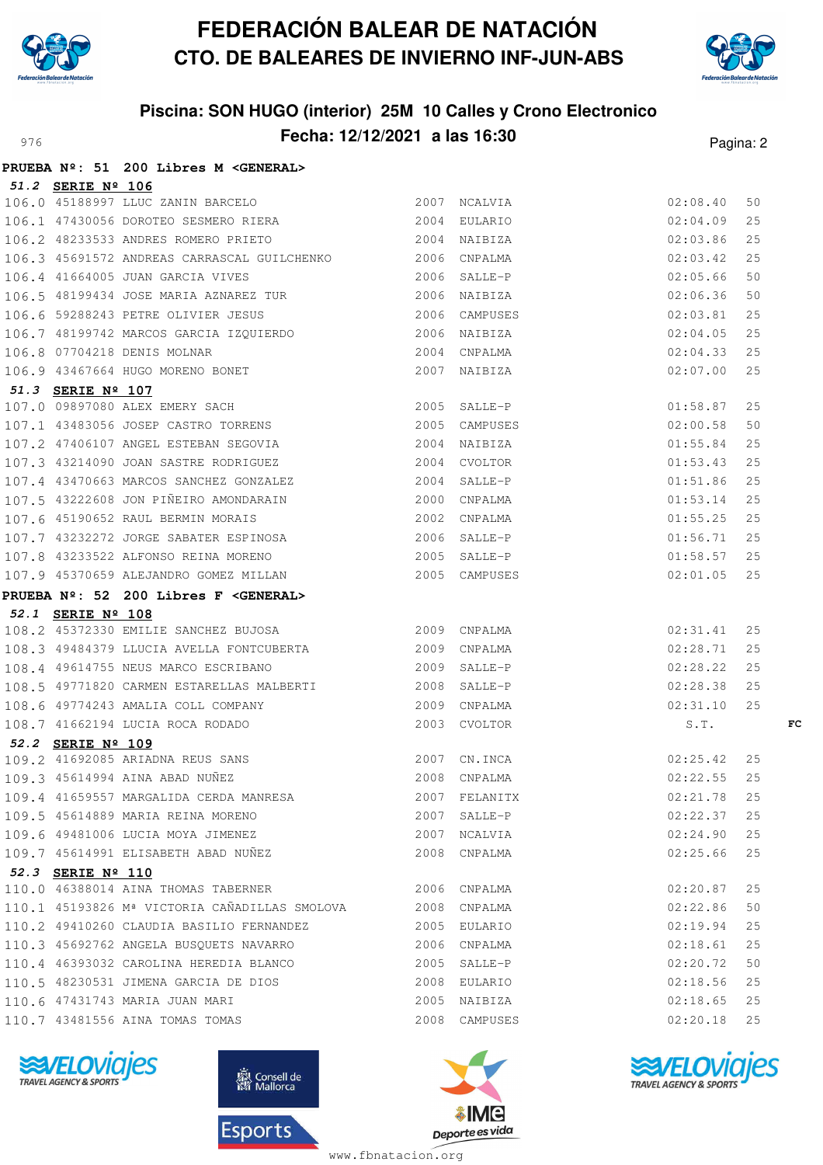



## **Piscina: SON HUGO (interior) 25M 10 Calles y Crono Electronico** Pagina: 2



|                   | PRUEBA Nº: 51 200 Libres M <general></general>                                                                                                                                                       |               |                      |          |
|-------------------|------------------------------------------------------------------------------------------------------------------------------------------------------------------------------------------------------|---------------|----------------------|----------|
| 51.2 SERIE Nº 106 |                                                                                                                                                                                                      |               |                      |          |
|                   | 106.0 45188997 LLUC ZANIN BARCELO<br>106.0 45188997 LLUC ZANIN BARCELO 2007 NCALVIA<br>106.1 47430056 DOROTEO SESMERO RIERA 2004 EULARIO                                                             |               | 02:08.40             | 50       |
|                   |                                                                                                                                                                                                      |               | 02:04.09             | 25       |
|                   | 106.2 48233533 ANDRES ROMERO PRIETO 2004 NAIBIZA                                                                                                                                                     |               | 02:03.86             | 25       |
|                   | 106.3 45691572 ANDREAS CARRASCAL GUILCHENKO 2006 CNPALMA                                                                                                                                             |               | 02:03.42             | 25       |
|                   | 2006 SALLE-P<br>106.4 41664005 JUAN GARCIA VIVES                                                                                                                                                     |               | 02:05.66             | 50       |
|                   | 106.5 48199434 JOSE MARIA AZNAREZ TUR 2006 NAIBIZA                                                                                                                                                   |               | 02:06.36             | 50       |
|                   |                                                                                                                                                                                                      |               | 02:03.81             | 25       |
|                   |                                                                                                                                                                                                      |               | 02:04.05             | 25       |
|                   |                                                                                                                                                                                                      |               | 02:04.33             | 25       |
|                   | 106.6 59288243 PETRE OLIVIER JESUS 2006 CAMPUSES<br>106.7 48199742 MARCOS GARCIA IZQUIERDO 2006 NAIBIZA<br>106.8 07704218 DENIS MOLNAR 2004 CNPALMA<br>106.9 43467664 HUGO MORENO BONET 2007 NAIBIZA |               | 02:07.00             | 25       |
|                   |                                                                                                                                                                                                      |               |                      |          |
|                   |                                                                                                                                                                                                      |               | 01:58.87             | 25       |
|                   | 51.3 SERIE Nº 107<br>107.0 09897080 ALEX EMERY SACH 2005 SALLE-P<br>107.1 43483056 JOSEP CASTRO TORRENS 2005 CAMPUSES                                                                                |               | 02:00.58             | 50       |
|                   | 107.2 47406107 ANGEL ESTEBAN SEGOVIA 2004 NAIBIZA                                                                                                                                                    |               | 01:55.84             | 25       |
|                   | 107.3 43214090 JOAN SASTRE RODRIGUEZ 2004 CVOLTOR                                                                                                                                                    |               | 01:53.43             | 25       |
|                   | 107.4 43470663 MARCOS SANCHEZ GONZALEZ 2004 SALLE-P<br>107.5 43222608 JON PIÑEIRO AMONDARAIN 2000 CNPALMA<br>107.6 45190652 RAUL BERMIN MORAIS 2002 CNPALMA                                          |               | 01:51.86             | 25       |
|                   |                                                                                                                                                                                                      |               | 01:53.14             | 25       |
|                   |                                                                                                                                                                                                      |               | 01:55.25             | 25       |
|                   | 107.7 43232272 JORGE SABATER ESPINOSA 2006 SALLE-P<br>107.8 43233522 ALFONSO REINA MORENO 2005 SALLE-P<br>107.9 45370659 ALEJANDRO GOMEZ MILLAN 2005 CAMPUSES                                        |               | 01:56.71             | 25       |
|                   |                                                                                                                                                                                                      |               | 01:58.57             | 25       |
|                   |                                                                                                                                                                                                      |               | 02:01.05             | 25       |
|                   | PRUEBA Nº: 52 200 Libres F <general></general>                                                                                                                                                       |               |                      |          |
| 52.1 SERIE Nº 108 | 108.2 45372330 EMILIE SANCHEZ BUJOSA 2009 CNPALMA                                                                                                                                                    |               |                      |          |
|                   |                                                                                                                                                                                                      |               | 02:31.41             | 25       |
|                   | 108.3 49484379 LLUCIA AVELLA FONTCUBERTA 2009 CNPALMA                                                                                                                                                |               | 02:28.71             | 25       |
|                   | 108.4 49614755 NEUS MARCO ESCRIBANO 2009 SALLE-P<br>108.5 49771820 CARMEN ESTARELLAS MALBERTI 2008 SALLE-P                                                                                           |               | 02:28.22<br>02:28.38 | 25<br>25 |
|                   |                                                                                                                                                                                                      |               | 02:31.10             | 25       |
|                   |                                                                                                                                                                                                      |               | S.T.                 | FC       |
| 52.2 SERIE Nº 109 |                                                                                                                                                                                                      |               |                      |          |
|                   |                                                                                                                                                                                                      | 02:25.42      |                      |          |
|                   | 109.2 41692085 ARIADNA REUS SANS<br>109.3 45614994 AINA ABAD NUÑEZ (2008 COPALMA ) 2008 COPALMA (22.55 25                                                                                            |               |                      |          |
|                   | 109.4 41659557 MARGALIDA CERDA MANRESA                                                                                                                                                               | 2007 FELANITX | 02:21.78             | 25       |
|                   | 109.5 45614889 MARIA REINA MORENO                                                                                                                                                                    | 2007 SALLE-P  | 02:22.37             | 25       |
|                   | 109.6 49481006 LUCIA MOYA JIMENEZ                                                                                                                                                                    | 2007 NCALVIA  | 02:24.90             | 25       |
|                   | 109.7 45614991 ELISABETH ABAD NUÑEZ                                                                                                                                                                  | 2008 CNPALMA  | 02:25.66             | 25       |
| 52.3 SERIE Nº 110 |                                                                                                                                                                                                      |               |                      |          |
|                   | 110.0 46388014 AINA THOMAS TABERNER 2006 CNPALMA                                                                                                                                                     |               | 02:20.87             | 25       |
|                   | 110.1 45193826 Mª VICTORIA CAÑADILLAS SMOLOVA 2008 CNPALMA                                                                                                                                           |               | 02:22.86             | 50       |
|                   | 110.2 49410260 CLAUDIA BASILIO FERNANDEZ                                                                                                                                                             | 2005 EULARIO  | 02:19.94             | 25       |
|                   | 110.3 45692762 ANGELA BUSQUETS NAVARRO                                                                                                                                                               | 2006 CNPALMA  | $02:18.61$ 25        |          |
|                   | 110.4 46393032 CAROLINA HEREDIA BLANCO                                                                                                                                                               | 2005 SALLE-P  | 02:20.72             | 50       |
|                   | 110.5 48230531 JIMENA GARCIA DE DIOS                                                                                                                                                                 | 2008 EULARIO  | 02:18.56             | 25       |
|                   | 110.6 47431743 MARIA JUAN MARI                                                                                                                                                                       | 2005 NAIBIZA  | 02:18.65             | 25       |
|                   | 110.7 43481556 AINA TOMAS TOMAS                                                                                                                                                                      | 2008 CAMPUSES | 02:20.18             | 25       |







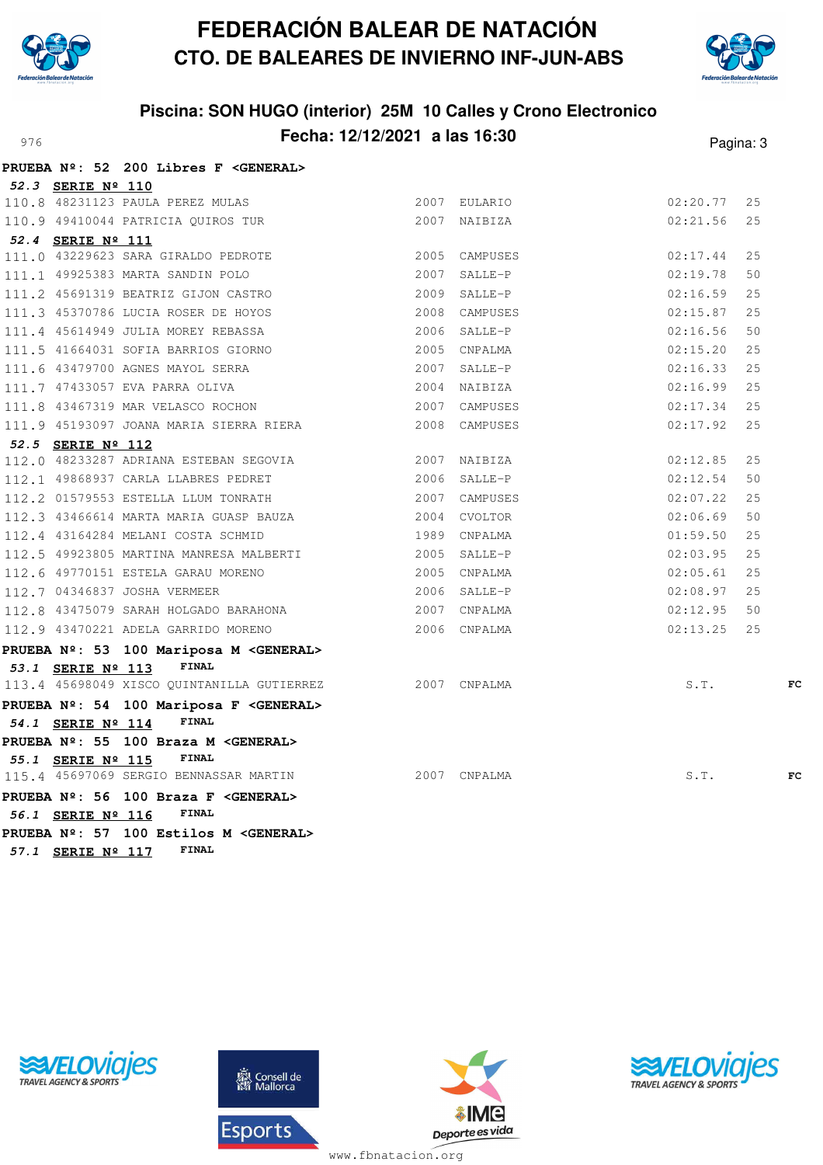



## **Piscina: SON HUGO (interior) 25M 10 Calles y Crono Electronico** Pagina: **Fecha: 12/12/2021 a las 16:30** Pagina: 3

|                   | PRUEBA Nº: 52 200 Libres F <general></general>          |               |          |    |
|-------------------|---------------------------------------------------------|---------------|----------|----|
| 52.3 SERIE Nº 110 |                                                         |               |          |    |
|                   | 110.8 48231123 PAULA PEREZ MULAS                        | 2007 EULARIO  | 02:20.77 | 25 |
|                   | 110.9 49410044 PATRICIA QUIROS TUR                      | 2007 NAIBIZA  | 02:21.56 | 25 |
| 52.4 SERIE Nº 111 |                                                         |               |          |    |
|                   | 111.0 43229623 SARA GIRALDO PEDROTE                     | 2005 CAMPUSES | 02:17.44 | 25 |
|                   | 111.1 49925383 MARTA SANDIN POLO                        | 2007 SALLE-P  | 02:19.78 | 50 |
|                   | 111.2 45691319 BEATRIZ GIJON CASTRO                     | 2009 SALLE-P  | 02:16.59 | 25 |
|                   | 111.3 45370786 LUCIA ROSER DE HOYOS                     | 2008 CAMPUSES | 02:15.87 | 25 |
|                   | 111.4 45614949 JULIA MOREY REBASSA                      | 2006 SALLE-P  | 02:16.56 | 50 |
|                   | 111.5 41664031 SOFIA BARRIOS GIORNO                     | 2005 CNPALMA  | 02:15.20 | 25 |
|                   | 2007 SALLE-P<br>111.6 43479700 AGNES MAYOL SERRA        |               | 02:16.33 | 25 |
|                   | 111.7 47433057 EVA PARRA OLIVA                          | 2004 NAIBIZA  | 02:16.99 | 25 |
|                   | 111.8 43467319 MAR VELASCO ROCHON 2007 CAMPUSES         |               | 02:17.34 | 25 |
|                   | 111.9 45193097 JOANA MARIA SIERRA RIERA                 | 2008 CAMPUSES | 02:17.92 | 25 |
| 52.5 SERIE Nº 112 |                                                         |               |          |    |
|                   | 112.0 48233287 ADRIANA ESTEBAN SEGOVIA 2007 NAIBIZA     |               | 02:12.85 | 25 |
|                   | 112.1 49868937 CARLA LLABRES PEDRET 2006 SALLE-P        |               | 02:12.54 | 50 |
|                   | 112.2 01579553 ESTELLA LLUM TONRATH 2007 CAMPUSES       |               | 02:07.22 | 25 |
|                   | 112.3 43466614 MARTA MARIA GUASP BAUZA 2004 CVOLTOR     |               | 02:06.69 | 50 |
|                   | 112.4 43164284 MELANI COSTA SCHMID<br>1989 CNPALMA      |               | 01:59.50 | 25 |
|                   | 112.5 49923805 MARTINA MANRESA MALBERTI 40005 SALLE-P   |               | 02:03.95 | 25 |
|                   | 112.6 49770151 ESTELA GARAU MORENO 2005 CNPALMA         |               | 02:05.61 | 25 |
|                   | 112.7 04346837 JOSHA VERMEER<br>2006 SALLE-P            |               | 02:08.97 | 25 |
|                   | 112.8 43475079 SARAH HOLGADO BARAHONA 2007 CNPALMA      |               | 02:12.95 | 50 |
|                   | 112.9 43470221 ADELA GARRIDO MORENO 2006 CNPALMA        |               | 02:13.25 | 25 |
|                   | PRUEBA Nº: 53 100 Mariposa M < GENERAL>                 |               |          |    |
| 53.1 SERIE Nº 113 | <b>FINAL</b>                                            |               |          |    |
|                   | 113.4 45698049 XISCO QUINTANILLA GUTIERREZ 2007 CNPALMA |               | S.T.     | FC |
|                   | PRUEBA Nº: 54 100 Mariposa F < GENERAL>                 |               |          |    |
| 54.1 SERIE Nº 114 | FINAL                                                   |               |          |    |
|                   | PRUEBA Nº: 55 100 Braza M < GENERAL>                    |               |          |    |
| 55.1 SERIE Nº 115 | <b>FINAL</b>                                            |               |          |    |
|                   | 115.4 45697069 SERGIO BENNASSAR MARTIN 2007 CNPALMA     |               | S.T.     | FC |
|                   | PRUEBA Nº: 56 100 Braza F < GENERAL>                    |               |          |    |
| 56.1 SERIE Nº 116 | FINAL                                                   |               |          |    |
|                   | PRUEBA Nº: 57 100 Estilos M < GENERAL>                  |               |          |    |
| 57.1 SERIE Nº 117 | <b>FINAL</b>                                            |               |          |    |